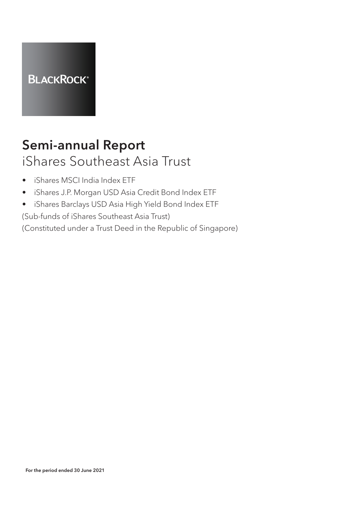

# Semi-annual Report iShares Southeast Asia Trust

- iShares MSCI India Index ETF
- iShares J.P. Morgan USD Asia Credit Bond Index ETF
- iShares Barclays USD Asia High Yield Bond Index ETF

(Sub-funds of iShares Southeast Asia Trust)

(Constituted under a Trust Deed in the Republic of Singapore)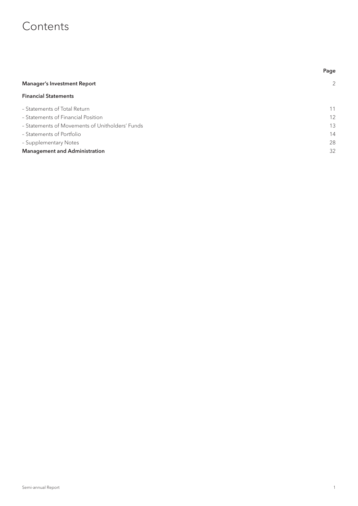# **Contents**

|                                                 | Page              |
|-------------------------------------------------|-------------------|
| <b>Manager's Investment Report</b>              | 2                 |
| <b>Financial Statements</b>                     |                   |
| - Statements of Total Return                    | 11                |
| - Statements of Financial Position              | $12 \overline{ }$ |
| - Statements of Movements of Unitholders' Funds | 13                |
| - Statements of Portfolio                       | 14                |
| - Supplementary Notes                           | 28                |
| <b>Management and Administration</b>            | 32                |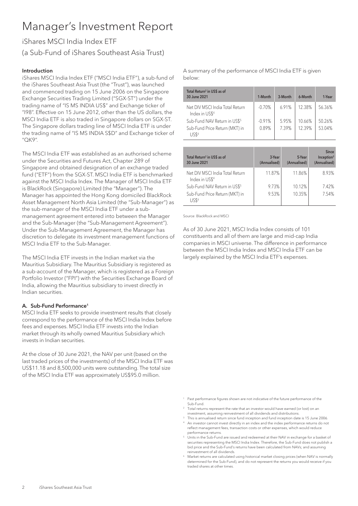# Manager's Investment Report

# iShares MSCI India Index ETF (a Sub-Fund of iShares Southeast Asia Trust)

#### Introduction

iShares MSCI India Index ETF ("MSCI India ETF"), a sub-fund of the iShares Southeast Asia Trust (the "Trust"), was launched and commenced trading on 15 June 2006 on the Singapore Exchange Securities Trading Limited ("SGX-ST") under the trading name of "IS MS INDIA US\$" and Exchange ticker of "I98". Effective on 15 June 2012, other than the US dollars, the MSCI India ETF is also traded in Singapore dollars on SGX-ST. The Singapore dollars trading line of MSCI India ETF is under the trading name of "IS MS INDIA S\$D" and Exchange ticker of "QK9".

The MSCI India ETF was established as an authorised scheme under the Securities and Futures Act, Chapter 289 of Singapore and obtained designation of an exchange traded fund ("ETF") from the SGX-ST. MSCI India ETF is benchmarked against the MSCI India Index. The Manager of MSCI India ETF is BlackRock (Singapore) Limited (the "Manager"). The Manager has appointed the Hong Kong domiciled BlackRock Asset Management North Asia Limited (the "Sub-Manager") as the sub-manager of the MSCI India ETF under a submanagement agreement entered into between the Manager and the Sub-Manager (the "Sub-Management Agreement"). Under the Sub-Management Agreement, the Manager has discretion to delegate its investment management functions of MSCI India ETF to the Sub-Manager.

The MSCI India ETF invests in the Indian market via the Mauritius Subsidiary. The Mauritius Subsidiary is registered as a sub-account of the Manager, which is registered as a Foreign Portfolio Investor ("FPI") with the Securities Exchange Board of India, allowing the Mauritius subsidiary to invest directly in Indian securities.

#### A. Sub-Fund Performance<sup>1</sup>

MSCI India ETF seeks to provide investment results that closely correspond to the performance of the MSCI India Index before fees and expenses. MSCI India ETF invests into the Indian market through its wholly owned Mauritius Subsidiary which invests in Indian securities.

At the close of 30 June 2021, the NAV per unit (based on the last traded prices of the investments) of the MSCI India ETF was US\$11.18 and 8,500,000 units were outstanding. The total size of the MSCI India ETF was approximately US\$95.0 million.

A summary of the performance of MSCI India ETF is given below:

| Total Return <sup>2</sup> in US\$ as of<br>30 June 2021       | 1-Month  | 3-Month | 6-Month | 1-Year |
|---------------------------------------------------------------|----------|---------|---------|--------|
| Net DIV MSCI India Total Return<br>Index in US\$ <sup>4</sup> | $-0.70%$ | 6.91%   | 12.38%  | 56.36% |
| Sub-Fund NAV Return in US\$ <sup>5</sup>                      | $-0.91%$ | 5.95%   | 10.66%  | 50.26% |
| Sub-Fund Price Return (MKT) in<br>11556                       | 0.89%    | 7.39%   | 12.39%  | 53.04% |

| Total Return <sup>2</sup> in US\$ as of<br>30 June 2021       | 3-Year<br>(Annualised) | 5-Year<br>(Annualised) | <b>Since</b><br>Inception <sup>3</sup><br>(Annualised) |
|---------------------------------------------------------------|------------------------|------------------------|--------------------------------------------------------|
| Net DIV MSCI India Total Return<br>Index in US\$ <sup>4</sup> | 11.87%                 | 11.86%                 | 8.93%                                                  |
| Sub-Fund NAV Return in US\$ <sup>5</sup>                      | 9.73%                  | 10.12%                 | 742%                                                   |
| Sub-Fund Price Return (MKT) in<br>US\$6                       | 9.53%                  | 10.35%                 | 7.54%                                                  |

Source: BlackRock and MSCI

As of 30 June 2021, MSCI India Index consists of 101 constituents and all of them are large and mid-cap India companies in MSCI universe. The difference in performance between the MSCI India Index and MSCI India ETF can be largely explained by the MSCI India ETF's expenses.

- <sup>1</sup> Past performance figures shown are not indicative of the future performance of the Sub-Fund.
- <sup>2</sup> Total returns represent the rate that an investor would have earned (or lost) on an investment, assuming reinvestment of all dividends and distributions.
- This is annualised return since fund inception and fund inception date is 15 June 2006. <sup>4</sup> An investor cannot invest directly in an index and the index performance returns do not
- reflect management fees, transaction costs or other expenses, which would reduce performance returns. <sup>5</sup> Units in the Sub-Fund are issued and redeemed at their NAV in exchange for a basket of
- securities representing the MSCI India Index. Therefore, the Sub-Fund does not publish a bid price and the Sub-Fund's returns have been calculated from NAVs; and assuming reinvestment of all dividends.
- <sup>6</sup> Market returns are calculated using historical market closing prices (when NAV is normally determined for the Sub-Fund), and do not represent the returns you would receive if you traded shares at other times.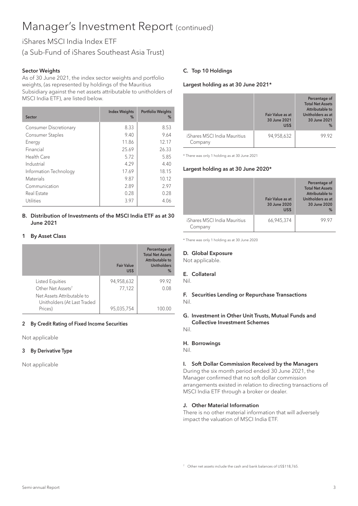# iShares MSCI India Index ETF

(a Sub-Fund of iShares Southeast Asia Trust)

### Sector Weights

As of 30 June 2021, the index sector weights and portfolio weights, (as represented by holdings of the Mauritius Subsidiary against the net assets attributable to unitholders of MSCI India ETF), are listed below.

| Sector                  | <b>Index Weights</b><br>$\%$ | <b>Portfolio Weights</b><br>% |
|-------------------------|------------------------------|-------------------------------|
| Consumer Discretionary  | 8.33                         | 8.53                          |
| <b>Consumer Staples</b> | 9.40                         | 9.64                          |
| Energy                  | 11.86                        | 12.17                         |
| Financial               | 25.69                        | 26.33                         |
| Health Care             | 5.72                         | 5.85                          |
| Industrial              | 4.29                         | 4.40                          |
| Information Technology  | 17.69                        | 18.15                         |
| <b>Materials</b>        | 9.87                         | 10.12                         |
| Communication           | 2.89                         | 2.97                          |
| Real Estate             | 0.28                         | 0.28                          |
| Utilities               | 3.97                         | 4.06                          |

#### B. Distribution of Investments of the MSCI India ETF as at 30 June 2021

#### 1 By Asset Class

|                                                           | <b>Fair Value</b><br>US\$ | Percentage of<br><b>Total Net Assets</b><br>Attributable to<br><b>Unitholders</b><br>% |
|-----------------------------------------------------------|---------------------------|----------------------------------------------------------------------------------------|
| Listed Equities                                           | 94,958,632                | 99.92                                                                                  |
| Other Net Assets <sup>7</sup>                             | 77,122                    | 0.08                                                                                   |
| Net Assets Attributable to<br>Unitholders (At Last Traded |                           |                                                                                        |
| Prices)                                                   | 95,035,754                |                                                                                        |

### 2 By Credit Rating of Fixed Income Securities

Not applicable

### 3 By Derivative Type

Not applicable

### C. Top 10 Holdings

#### Largest holding as at 30 June 2021\*

|                                         | Fair Value as at<br>30 June 2021<br>US\$ | Percentage of<br><b>Total Net Assets</b><br>Attributable to<br>Unitholders as at<br>30 June 2021<br>% |
|-----------------------------------------|------------------------------------------|-------------------------------------------------------------------------------------------------------|
| iShares MSCI India Mauritius<br>Company | 94,958,632                               | 99 92                                                                                                 |

\* There was only 1 holding as at 30 June 2021

#### Largest holding as at 30 June 2020\*

|                                         | Fair Value as at<br>30 June 2020<br>US\$ | Percentage of<br><b>Total Net Assets</b><br>Attributable to<br>Unitholders as at<br>30 June 2020<br>$\frac{9}{6}$ |
|-----------------------------------------|------------------------------------------|-------------------------------------------------------------------------------------------------------------------|
| iShares MSCI India Mauritius<br>Company | 66,945,374                               | 99 97                                                                                                             |

\* There was only 1 holding as at 30 June 2020

#### D. Global Exposure

Not applicable.

#### E. Collateral

Nil.

F. Securities Lending or Repurchase Transactions Nil.

#### G. Investment in Other Unit Trusts, Mutual Funds and Collective Investment Schemes

Nil.

#### H. Borrowings

Nil.

# I. Soft Dollar Commission Received by the Managers

During the six month period ended 30 June 2021, the Manager confirmed that no soft dollar commission arrangements existed in relation to directing transactions of MSCI India ETF through a broker or dealer.

## J. Other Material Information

There is no other material information that will adversely impact the valuation of MSCI India ETF.

<sup>7</sup> Other net assets include the cash and bank balances of US\$118,765.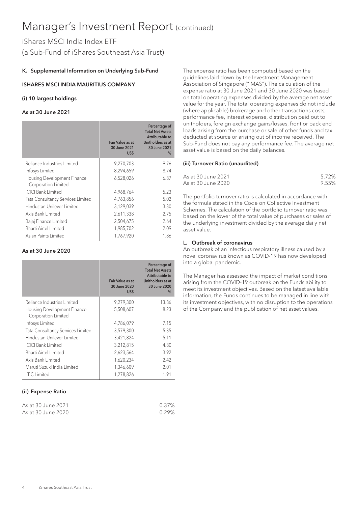# iShares MSCI India Index ETF (a Sub-Fund of iShares Southeast Asia Trust)

## K. Supplemental Information on Underlying Sub-Fund

## ISHARES MSCI INDIA MAURITIUS COMPANY

### (i) 10 largest holdings

### As at 30 June 2021

|                                                    | Fair Value as at<br>30 June 2021<br>US\$ | Percentage of<br><b>Total Net Assets</b><br>Attributable to<br>Unitholders as at<br>30 June 2021<br>% |
|----------------------------------------------------|------------------------------------------|-------------------------------------------------------------------------------------------------------|
| Reliance Industries Limited                        | 9,270,703                                | 9.76                                                                                                  |
| Infosys Limited                                    | 8,294,659                                | 8.74                                                                                                  |
| Housing Development Finance<br>Corporation Limited | 6,528,026                                | 6.87                                                                                                  |
| <b>ICICI Bank Limited</b>                          | 4,968,764                                | 5.23                                                                                                  |
| Tata Consultancy Services Limited                  | 4,763,856                                | 5.02                                                                                                  |
| Hindustan Unilever Limited                         | 3,129,039                                | 3.30                                                                                                  |
| Axis Bank Limited                                  | 2,611,338                                | 2.75                                                                                                  |
| Bajaj Finance Limited                              | 2,504,675                                | 2.64                                                                                                  |
| Bharti Airtel Limited                              | 1,985,702                                | 2.09                                                                                                  |
| Asian Paints Limited                               | 1,767,920                                | 1.86                                                                                                  |

## As at 30 June 2020

|                                                    | Fair Value as at<br>30 June 2020<br>US\$ | Percentage of<br><b>Total Net Assets</b><br>Attributable to<br>Unitholders as at<br>30 June 2020<br>$\%$ |
|----------------------------------------------------|------------------------------------------|----------------------------------------------------------------------------------------------------------|
| Reliance Industries Limited                        | 9,279,300                                | 13.86                                                                                                    |
| Housing Development Finance<br>Corporation Limited | 5,508,607                                | 8.23                                                                                                     |
| Infosys Limited                                    | 4,786,079                                | 7.15                                                                                                     |
| Tata Consultancy Services Limited                  | 3,579,300                                | 5.35                                                                                                     |
| Hindustan Unilever Limited                         | 3,421,824                                | 5.11                                                                                                     |
| <b>ICICI Bank Limited</b>                          | 3,212,815                                | 4.80                                                                                                     |
| Bharti Airtel Limited                              | 2,623,564                                | 3.92                                                                                                     |
| Axis Bank Limited                                  | 1,620,234                                | 2.42                                                                                                     |
| Maruti Suzuki India Limited                        | 1,346,609                                | 2.01                                                                                                     |
| I.T.C Limited                                      | 1,278,826                                | 1.91                                                                                                     |

### (ii) Expense Ratio

| As at 30 June 2021 | 0.37% |
|--------------------|-------|
| As at 30 June 2020 | 0.29% |

The expense ratio has been computed based on the guidelines laid down by the Investment Management Association of Singapore ("IMAS"). The calculation of the expense ratio at 30 June 2021 and 30 June 2020 was based on total operating expenses divided by the average net asset value for the year. The total operating expenses do not include (where applicable) brokerage and other transactions costs, performance fee, interest expense, distribution paid out to unitholders, foreign exchange gains/losses, front or back end loads arising from the purchase or sale of other funds and tax deducted at source or arising out of income received. The Sub-Fund does not pay any performance fee. The average net asset value is based on the daily balances.

#### (iii) Turnover Ratio (unaudited)

| As at 30 June 2021 | 5.72% |
|--------------------|-------|
| As at 30 June 2020 | 9.55% |

The portfolio turnover ratio is calculated in accordance with the formula stated in the Code on Collective Investment Schemes. The calculation of the portfolio turnover ratio was based on the lower of the total value of purchases or sales of the underlying investment divided by the average daily net asset value.

### L. Outbreak of coronavirus

An outbreak of an infectious respiratory illness caused by a novel coronavirus known as COVID-19 has now developed into a global pandemic.

The Manager has assessed the impact of market conditions arising from the COVID-19 outbreak on the Funds ability to meet its investment objectives. Based on the latest available information, the Funds continues to be managed in line with its investment objectives, with no disruption to the operations of the Company and the publication of net asset values.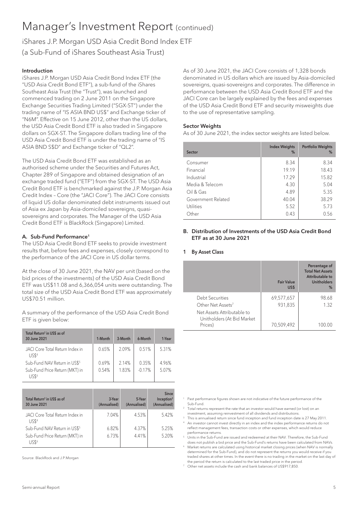iShares J.P. Morgan USD Asia Credit Bond Index ETF (a Sub-Fund of iShares Southeast Asia Trust)

#### Introduction

iShares J.P. Morgan USD Asia Credit Bond Index ETF (the "USD Asia Credit Bond ETF"), a sub-fund of the iShares Southeast Asia Trust (the "Trust"), was launched and commenced trading on 2 June 2011 on the Singapore Exchange Securities Trading Limited ("SGX-ST") under the trading name of "IS ASIA BND US\$" and Exchange ticker of "N6M". Effective on 15 June 2012, other than the US dollars, the USD Asia Credit Bond ETF is also traded in Singapore dollars on SGX-ST. The Singapore dollars trading line of the USD Asia Credit Bond ETF is under the trading name of "IS ASIA BND S\$D" and Exchange ticker of "QL2".

The USD Asia Credit Bond ETF was established as an authorised scheme under the Securities and Futures Act, Chapter 289 of Singapore and obtained designation of an exchange traded fund ("ETF") from the SGX-ST. The USD Asia Credit Bond ETF is benchmarked against the J.P. Morgan Asia Credit Index – Core (the "JACI Core"). The JACI Core consists of liquid US dollar denominated debt instruments issued out of Asia ex Japan by Asia-domiciled sovereigns, quasisovereigns and corporates. The Manager of the USD Asia Credit Bond ETF is BlackRock (Singapore) Limited.

## A. Sub-Fund Performance<sup>1</sup>

The USD Asia Credit Bond ETF seeks to provide investment results that, before fees and expenses, closely correspond to the performance of the JACI Core in US dollar terms.

At the close of 30 June 2021, the NAV per unit (based on the bid prices of the investments) of the USD Asia Credit Bond ETF was US\$11.08 and 6,366,054 units were outstanding. The total size of the USD Asia Credit Bond ETF was approximately US\$70.51 million.

A summary of the performance of the USD Asia Credit Bond ETF is given below:

| Total Return <sup>2</sup> in US\$ as of<br>30 June 2021 | 1-Month | 3-Month | 6-Month  | 1-Year |
|---------------------------------------------------------|---------|---------|----------|--------|
| JACI Core Total Return Index in<br>1JS\$ <sup>4</sup>   | 0.65%   | 2.09%   | 0.51%    | 5.31%  |
| Sub-Fund NAV Return in US\$ <sup>5</sup>                | 0.69%   | 2.14%   | 0.35%    | 4.96%  |
| Sub-Fund Price Return (MKT) in<br>JSR6                  | 0.54%   | 1.83%   | $-0.17%$ | 5.07%  |

| Total Return <sup>2</sup> in US\$ as of<br>30 June 2021 | 3-Year<br>(Annualised) | 5-Year<br>(Annualised) | <b>Since</b><br>Inception <sup>3</sup><br>(Annualised) |
|---------------------------------------------------------|------------------------|------------------------|--------------------------------------------------------|
| JACI Core Total Return Index in<br>1JS\$ <sup>4</sup>   | 7.04%                  | 4.53%                  | 5.42%                                                  |
| Sub-Fund NAV Return in US\$ <sup>5</sup>                | 6.82%                  | 4.37%                  | 5.25%                                                  |
| Sub-Fund Price Return (MKT) in<br>11556                 | 6.73%                  | 4.41%                  | 5.20%                                                  |

Source: BlackRock and J.P.Morgan

As of 30 June 2021, the JACI Core consists of 1,328 bonds denominated in US dollars which are issued by Asia-domiciled sovereigns, quasi-sovereigns and corporates. The difference in performance between the USD Asia Credit Bond ETF and the JACI Core can be largely explained by the fees and expenses of the USD Asia Credit Bond ETF and security misweights due to the use of representative sampling.

#### Sector Weights

As of 30 June 2021, the index sector weights are listed below.

| Sector             | <b>Index Weights</b><br>% | <b>Portfolio Weights</b><br>% |
|--------------------|---------------------------|-------------------------------|
| Consumer           | 8.34                      | 8.34                          |
| Financial          | 19.19                     | 18.43                         |
| Industrial         | 17.29                     | 15.82                         |
| Media & Telecom    | 4.30                      | 5.04                          |
| Oil & Gas          | 4.89                      | 5.35                          |
| Government Related | 40.04                     | 38.29                         |
| Utilities          | 5.52                      | 5.73                          |
| Other              | 0.43                      | 0.56                          |

### B. Distribution of Investments of the USD Asia Credit Bond ETF as at 30 June 2021

#### 1 By Asset Class

|                                                                     | <b>Fair Value</b><br>US\$ | Percentage of<br><b>Total Net Assets</b><br>Attributable to<br><b>Unitholders</b><br>$\%$ |
|---------------------------------------------------------------------|---------------------------|-------------------------------------------------------------------------------------------|
| Debt Securities<br>Other Net Assets <sup>7</sup>                    | 69,577,657<br>931,835     | 98.68<br>1.32                                                                             |
| Net Assets Attributable to<br>Unitholders (At Bid Market<br>Prices) | 70,509,492                |                                                                                           |

- <sup>1</sup> Past performance figures shown are not indicative of the future performance of the Sub-Fund.
- <sup>2</sup> Total returns represent the rate that an investor would have earned (or lost) on an investment, assuming reinvestment of all dividends and distributions.
- This is annualised return since fund inception and fund inception date is 27 May 2011. <sup>4</sup> An investor cannot invest directly in an index and the index performance returns do not
- reflect management fees, transaction costs or other expenses, which would reduce performance returns.
- <sup>5</sup> Units in the Sub-Fund are issued and redeemed at their NAV. Therefore, the Sub-Fund does not publish a bid price and the Sub-Fund's returns have been calculated from NAVs. <sup>6</sup> Market returns are calculated using historical market closing prices (when NAV is normally
- determined for the Sub-Fund), and do not represent the returns you would receive if you traded shares at other times. In the event there is no trading in the market on the last day of the period the return is calculated to the last traded price in the period.
- <sup>7</sup> Other net assets include the cash and bank balances of US\$917,850.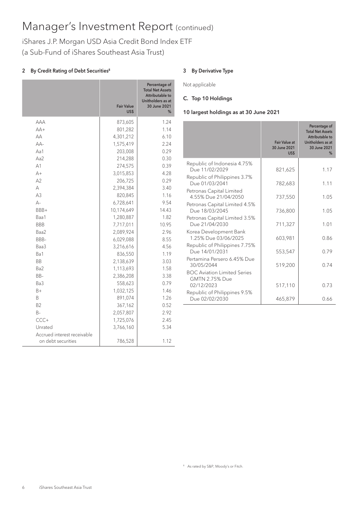iShares J.P. Morgan USD Asia Credit Bond Index ETF (a Sub-Fund of iShares Southeast Asia Trust)

# 2 By Credit Rating of Debt Securities<sup>8</sup>

|                                                   | <b>Fair Value</b><br>US\$ | Percentage of<br><b>Total Net Assets</b><br>Attributable to<br>Unitholders as at<br>30 June 2021<br>% |
|---------------------------------------------------|---------------------------|-------------------------------------------------------------------------------------------------------|
| AAA                                               | 873,605                   | 1.24                                                                                                  |
| $AA+$                                             | 801,282                   | 1.14                                                                                                  |
| AA                                                | 4,301,212                 | 6.10                                                                                                  |
| $AA-$                                             | 1,575,419                 | 2.24                                                                                                  |
| Aa1                                               | 203,008                   | 0.29                                                                                                  |
| Aa2                                               | 214,288                   | 0.30                                                                                                  |
| A <sub>1</sub>                                    | 274,575                   | 0.39                                                                                                  |
| $A+$                                              | 3,015,853                 | 4.28                                                                                                  |
| A2                                                | 206,725                   | 0.29                                                                                                  |
| А                                                 | 2,394,384                 | 3.40                                                                                                  |
| A3                                                | 820,845                   | 1.16                                                                                                  |
| $A -$                                             | 6,728,641                 | 9.54                                                                                                  |
| BBB+                                              | 10,174,649                | 14.43                                                                                                 |
| Baa1                                              | 1,280,887                 | 1.82                                                                                                  |
| <b>BBB</b>                                        | 7,717,011                 | 10.95                                                                                                 |
| Baa2                                              | 2,089,924                 | 2.96                                                                                                  |
| BBB-                                              | 6,029,088                 | 8.55                                                                                                  |
| Baa3                                              | 3,216,616                 | 4.56                                                                                                  |
| Ba1                                               | 836,550                   | 1.19                                                                                                  |
| <b>BB</b>                                         | 2,138,639                 | 3.03                                                                                                  |
| Ba2                                               | 1,113,693                 | 1.58                                                                                                  |
| BB-                                               | 2,386,208                 | 3.38                                                                                                  |
| Ba3                                               | 558,623                   | 0.79                                                                                                  |
| B+                                                | 1,032,125                 | 1.46                                                                                                  |
| B                                                 | 891,074                   | 1.26                                                                                                  |
| B <sub>2</sub>                                    | 367,162                   | 0.52                                                                                                  |
| $B -$                                             | 2,057,807                 | 2.92                                                                                                  |
| $CCC +$                                           | 1,725,076                 | 2.45                                                                                                  |
| Unrated                                           | 3,766,160                 | 5.34                                                                                                  |
| Accrued interest receivable<br>on debt securities | 786,528                   | 1.12                                                                                                  |

### 3 By Derivative Type

Not applicable

### C. Top 10 Holdings

### 10 largest holdings as at 30 June 2021

|                                                                    | <b>Fair Value at</b><br>30 June 2021<br>US\$ | Percentage of<br><b>Total Net Assets</b><br>Attributable to<br>Unitholders as at<br>30 June 2021<br>% |
|--------------------------------------------------------------------|----------------------------------------------|-------------------------------------------------------------------------------------------------------|
| Republic of Indonesia 4.75%<br>Due 11/02/2029                      | 821,625                                      | 1.17                                                                                                  |
| Republic of Philippines 3.7%<br>Due 01/03/2041                     | 782,683                                      | 1.11                                                                                                  |
| Petronas Capital Limited<br>4.55% Due 21/04/2050                   | 737,550                                      | 1.05                                                                                                  |
| Petronas Capital Limited 4.5%<br>Due 18/03/2045                    | 736,800                                      | 1.05                                                                                                  |
| Petronas Capital Limited 3.5%<br>Due 21/04/2030                    | 711,327                                      | 1.01                                                                                                  |
| Korea Development Bank<br>1.25% Due 03/06/2025                     | 603,981                                      | 0.86                                                                                                  |
| Republic of Philippines 7.75%<br>Due 14/01/2031                    | 553,547                                      | 0.79                                                                                                  |
| Pertamina Persero 6.45% Due<br>30/05/2044                          | 519,200                                      | 0.74                                                                                                  |
| <b>BOC Aviation Limited Series</b><br>GMTN 2.75% Due<br>02/12/2023 | 517,110                                      | 0.73                                                                                                  |
| Republic of Philippines 9.5%<br>Due 02/02/2030                     | 465,879                                      | 0.66                                                                                                  |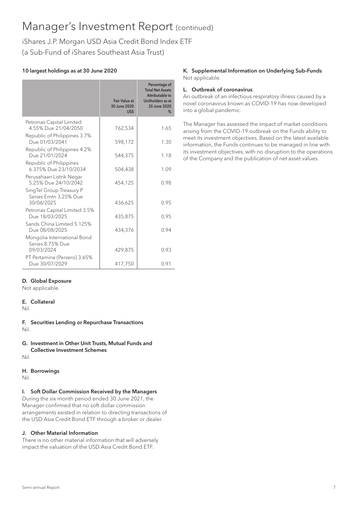iShares J.P. Morgan USD Asia Credit Bond Index ETF (a Sub-Fund of iShares Southeast Asia Trust)

# 10 largest holdings as at 30 June 2020

|                                                                 | <b>Fair Value at</b><br>30 June 2020<br>US\$ | Percentage of<br><b>Total Net Assets</b><br>Attributable to<br>Unitholders as at<br>30 June 2020<br>% |
|-----------------------------------------------------------------|----------------------------------------------|-------------------------------------------------------------------------------------------------------|
| Petronas Capital Limited<br>4.55% Due 21/04/2050                | 762,534                                      | 1.65                                                                                                  |
| Republic of Philippines 3.7%<br>Due 01/03/2041                  | 598,172                                      | 1.30                                                                                                  |
| Republic of Philippines 4.2%<br>Due 21/01/2024                  | 544,375                                      | 1.18                                                                                                  |
| Republic of Philippines<br>6.375% Due 23/10/2034                | 504,438                                      | 1.09                                                                                                  |
| Perusahaan Listrik Negar<br>5.25% Due 24/10/2042                | 454,125                                      | 0.98                                                                                                  |
| SingTel Group Treasury P<br>Series Emtn 3.25% Due<br>30/06/2025 | 436,625                                      | 095                                                                                                   |
| Petronas Capital Limited 3.5%<br>Due 18/03/2025                 | 435,875                                      | 0.95                                                                                                  |
| Sands China Limited 5.125%<br>Due 08/08/2025                    | 434,376                                      | 0.94                                                                                                  |
| Mongolia International Bond<br>Series 8.75% Due<br>09/03/2024   | 429,875                                      | 0.93                                                                                                  |
| PT Pertamina (Persero) 3.65%<br>Due 30/07/2029                  | 417,750                                      | 0.91                                                                                                  |

## K. Supplemental Information on Underlying Sub-Funds Not applicable.

# L. Outbreak of coronavirus

An outbreak of an infectious respiratory illness caused by a novel coronavirus known as COVID-19 has now developed into a global pandemic.

The Manager has assessed the impact of market conditions arising from the COVID-19 outbreak on the Funds ability to meet its investment objectives. Based on the latest available information, the Funds continues to be managed in line with its investment objectives, with no disruption to the operations of the Company and the publication of net asset values.

# D. Global Exposure

Not applicable.

# E. Collateral

Nil.

F. Securities Lending or Repurchase Transactions Nil.

# G. Investment in Other Unit Trusts, Mutual Funds and Collective Investment Schemes

Nil.

# H. Borrowings

Nil.

# I. Soft Dollar Commission Received by the Managers

During the six month period ended 30 June 2021, the Manager confirmed that no soft dollar commission arrangements existed in relation to directing transactions of the USD Asia Credit Bond ETF through a broker or dealer.

# J. Other Material Information

There is no other material information that will adversely impact the valuation of the USD Asia Credit Bond ETF.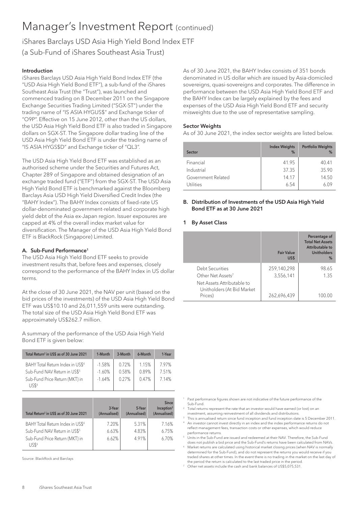iShares Barclays USD Asia High Yield Bond Index ETF (a Sub-Fund of iShares Southeast Asia Trust)

### Introduction

iShares Barclays USD Asia High Yield Bond Index ETF (the "USD Asia High Yield Bond ETF"), a sub-fund of the iShares Southeast Asia Trust (the "Trust"), was launched and commenced trading on 8 December 2011 on the Singapore Exchange Securities Trading Limited ("SGX-ST") under the trading name of "IS ASIA HYGUS\$" and Exchange ticker of "O9P". Effective on 15 June 2012, other than the US dollars, the USD Asia High Yield Bond ETF is also traded in Singapore dollars on SGX-ST. The Singapore dollar trading line of the USD Asia High Yield Bond ETF is under the trading name of "IS ASIA HYGS\$D" and Exchange ticker of "QL3".

The USD Asia High Yield Bond ETF was established as an authorised scheme under the Securities and Futures Act, Chapter 289 of Singapore and obtained designation of an exchange traded fund ("ETF") from the SGX-ST. The USD Asia High Yield Bond ETF is benchmarked against the Bloomberg Barclays Asia USD High Yield Diversified Credit Index (the "BAHY Index"). The BAHY Index consists of fixed-rate US dollar-denominated government-related and corporate high yield debt of the Asia ex-Japan region. Issuer exposures are capped at 4% of the overall index market value for diversification. The Manager of the USD Asia High Yield Bond ETF is BlackRock (Singapore) Limited.

## A. Sub-Fund Performance<sup>1</sup>

The USD Asia High Yield Bond ETF seeks to provide investment results that, before fees and expenses, closely correspond to the performance of the BAHY Index in US dollar terms.

At the close of 30 June 2021, the NAV per unit (based on the bid prices of the investments) of the USD Asia High Yield Bond ETF was US\$10.10 and 26,011,559 units were outstanding. The total size of the USD Asia High Yield Bond ETF was approximately US\$262.7 million.

A summary of the performance of the USD Asia High Yield Bond ETF is given below:

| Total Return <sup>2</sup> in US\$ as of 30 June 2021                                                                                | 1-Month                          | 3-Month                 | 6-Month                 | 1-Year               |
|-------------------------------------------------------------------------------------------------------------------------------------|----------------------------------|-------------------------|-------------------------|----------------------|
| BAHY Total Return Index in US\$4<br>Sub-Fund NAV Return in US\$ <sup>5</sup><br>Sub-Fund Price Return (MKT) in<br>US\$ <sup>6</sup> | $-1.58%$<br>$-1.60%$<br>$-1.64%$ | 0.72%<br>0.58%<br>0.27% | 1.15%<br>0.89%<br>0.47% | 797%<br>751%<br>714% |

| Total Return <sup>2</sup> in US\$ as of 30 June 2021                                                                                | 3-Year<br>(Annualised)  | 5-Year<br>(Annualised)  | <b>Since</b><br>Inception <sup>3</sup><br>(Annualised) |
|-------------------------------------------------------------------------------------------------------------------------------------|-------------------------|-------------------------|--------------------------------------------------------|
| BAHY Total Return Index in US\$ <sup>4</sup><br>Sub-Fund NAV Return in US\$ <sup>5</sup><br>Sub-Fund Price Return (MKT) in<br>11556 | 7.20%<br>6.63%<br>6.62% | 5.31%<br>4.83%<br>4.91% | 7.16%<br>6.75%<br>6.70%                                |

Source: BlackRock and Barclays

As of 30 June 2021, the BAHY Index consists of 351 bonds denominated in US dollar which are issued by Asia-domiciled sovereigns, quasi-sovereigns and corporates. The difference in performance between the USD Asia High Yield Bond ETF and the BAHY Index can be largely explained by the fees and expenses of the USD Asia High Yield Bond ETF and security misweights due to the use of representative sampling.

#### Sector Weights

As of 30 June 2021, the index sector weights are listed below.

| Sector             | <b>Index Weights</b><br>% | <b>Portfolio Weights</b><br>% |
|--------------------|---------------------------|-------------------------------|
| Financial          | 41.95                     | 40.41                         |
| Industrial         | 37.35                     | 35.90                         |
| Government Related | 14.17                     | 14.50                         |
| Utilities          | 6.54                      | 6.09                          |

#### B. Distribution of Investments of the USD Asia High Yield Bond ETF as at 30 June 2021

#### 1 By Asset Class

|                                                                     | <b>Fair Value</b><br>US\$ | Percentage of<br><b>Total Net Assets</b><br>Attributable to<br><b>Unitholders</b><br>$\%$ |
|---------------------------------------------------------------------|---------------------------|-------------------------------------------------------------------------------------------|
| Debt Securities<br>Other Net Assets <sup>7</sup>                    | 259,140,298<br>3,556,141  | 98.65<br>1.35                                                                             |
| Net Assets Attributable to<br>Unitholders (At Bid Market<br>Prices) | 262,696,439               | 100.00                                                                                    |

- <sup>1</sup> Past performance figures shown are not indicative of the future performance of the Sub-Fund.
- <sup>2</sup> Total returns represent the rate that an investor would have earned (or lost) on an investment, assuming reinvestment of all dividends and distributions.
- This is annualised return since fund inception and fund inception date is 5 December 2011. 4 An investor cannot invest directly in an index and the index performance returns do not
- reflect management fees, transaction costs or other expenses, which would reduce performance returns. <sup>5</sup> Units in the Sub-Fund are issued and redeemed at their NAV. Therefore, the Sub-Fund
- does not publish a bid price and the Sub-Fund's returns have been calculated from NAVs. <sup>6</sup> Market returns are calculated using historical market closing prices (when NAV is normally
- determined for the Sub-Fund), and do not represent the returns you would receive if you traded shares at other times. In the event there is no trading in the market on the last day of the period the return is calculated to the last traded price in the period.
- <sup>7</sup> Other net assets include the cash and bank balances of US\$5,075,531.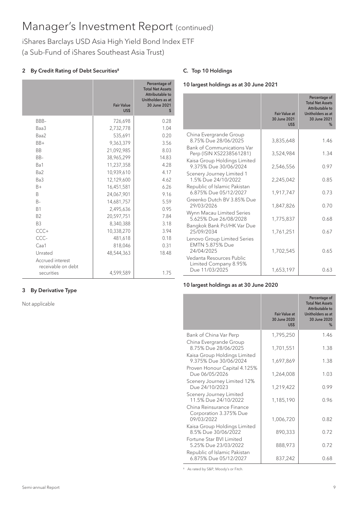# iShares Barclays USD Asia High Yield Bond Index ETF (a Sub-Fund of iShares Southeast Asia Trust)

# 2 By Credit Rating of Debt Securities<sup>8</sup>

|                                                      | <b>Fair Value</b><br>US\$ | Percentage of<br><b>Total Net Assets</b><br>Attributable to<br>Unitholders as at<br>30 June 2021<br>\$ |
|------------------------------------------------------|---------------------------|--------------------------------------------------------------------------------------------------------|
| BBB-                                                 | 726,698                   | 0.28                                                                                                   |
| Baa3                                                 | 2,732,778                 | 1.04                                                                                                   |
| Baa2                                                 | 535,691                   | 0.20                                                                                                   |
| $BB+$                                                | 9,363,379                 | 3.56                                                                                                   |
| <b>BB</b>                                            | 21,092,985                | 8.03                                                                                                   |
| $BB-$                                                | 38,965,299                | 14.83                                                                                                  |
| Ba1                                                  | 11,237,358                | 4.28                                                                                                   |
| Ba <sub>2</sub>                                      | 10,939,610                | 4.17                                                                                                   |
| Ba3                                                  | 12,129,600                | 4.62                                                                                                   |
| $B+$                                                 | 16,451,581                | 6.26                                                                                                   |
| B.                                                   | 24,067,901                | 9.16                                                                                                   |
| $B -$                                                | 14,681,757                | 5.59                                                                                                   |
| <b>B1</b>                                            | 2,495,636                 | 0.95                                                                                                   |
| <b>B2</b>                                            | 20,597,751                | 7.84                                                                                                   |
| B <sub>3</sub>                                       | 8,340,388                 | 3.18                                                                                                   |
| $CCC +$                                              | 10,338,270                | 3.94                                                                                                   |
| CCC-                                                 | 481,618                   | 0.18                                                                                                   |
| Caa1                                                 | 818,046                   | 0.31                                                                                                   |
| Unrated                                              | 48,544,363                | 18.48                                                                                                  |
| Accrued interest<br>receivable on debt<br>securities | 4,599,589                 | 1.75                                                                                                   |

### 3 By Derivative Type

Not applicable

## C. Top 10 Holdings

### 10 largest holdings as at 30 June 2021

|                                                                     | Fair Value at<br>30 June 2021<br>US\$ | Percentage of<br><b>Total Net Assets</b><br>Attributable to<br>Unitholders as at<br>30 June 2021<br>$\%$ |
|---------------------------------------------------------------------|---------------------------------------|----------------------------------------------------------------------------------------------------------|
| China Evergrande Group<br>8.75% Due 28/06/2025                      | 3,835,648                             | 1.46                                                                                                     |
| <b>Bank of Communications Var</b><br>Perp (ISIN XS2238561281)       | 3,524,984                             | 1.34                                                                                                     |
| Kaisa Group Holdings Limited<br>9.375% Due 30/06/2024               | 2,546,556                             | 0.97                                                                                                     |
| Scenery Journey Limited 1<br>1.5% Due 24/10/2022                    | 2,245,042                             | 0.85                                                                                                     |
| Republic of Islamic Pakistan<br>6.875% Due 05/12/2027               | 1.917.747                             | 0.73                                                                                                     |
| Greenko Dutch BV 3.85% Due<br>29/03/2026                            | 1,847,826                             | 0.70                                                                                                     |
| Wynn Macau Limited Series<br>5.625% Due 26/08/2028                  | 1,775,837                             | 0.68                                                                                                     |
| Bangkok Bank Pcl/HK Var Due<br>25/09/2034                           | 1,761,251                             | 0.67                                                                                                     |
| Lenovo Group Limited Series<br><b>EMTN 5.875% Due</b><br>24/04/2025 | 1,702,545                             | 0.65                                                                                                     |
| Vedanta Resources Public<br>Limited Company 8.95%<br>Due 11/03/2025 | 1,653,197                             | 0.63                                                                                                     |

#### 10 largest holdings as at 30 June 2020

|                                                       | <b>Fair Value at</b><br>30 June 2020<br>US\$ | Percentage of<br><b>Total Net Assets</b><br>Attributable to<br>Unitholders as at<br>30 June 2020<br>$\%$ |
|-------------------------------------------------------|----------------------------------------------|----------------------------------------------------------------------------------------------------------|
| Bank of China Var Perp<br>China Evergrande Group      | 1,795,250                                    | 1.46                                                                                                     |
| 8.75% Due 28/06/2025<br>Kaisa Group Holdings Limited  | 1,701,551                                    | 1.38                                                                                                     |
| 9.375% Due 30/06/2024                                 | 1,697,869                                    | 1.38                                                                                                     |
| Proven Honour Capital 4.125%<br>Due 06/05/2026        | 1,264,008                                    | 1.03                                                                                                     |
| Scenery Journey Limited 12%<br>Due 24/10/2023         | 1,219,422                                    | 0.99                                                                                                     |
| Scenery Journey Limited<br>11.5% Due 24/10/2022       | 1,185,190                                    | 0.96                                                                                                     |
| China Reinsurance Finance<br>Corporation 3.375% Due   |                                              |                                                                                                          |
| 09/03/2022                                            | 1,006,720                                    | 0.82                                                                                                     |
| Kaisa Group Holdings Limited<br>8.5% Due 30/06/2022   | 890,333                                      | 0.72                                                                                                     |
| Fortune Star BVI Limited<br>5.25% Due 23/03/2022      | 888,973                                      | 0.72                                                                                                     |
| Republic of Islamic Pakistan<br>6.875% Due 05/12/2027 | 837,242                                      | 0.68                                                                                                     |

8 As rated by S&P, Moody's or Fitch.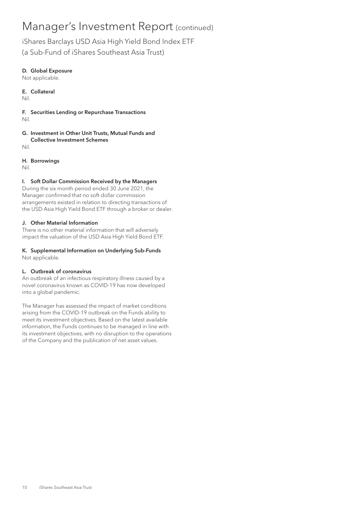iShares Barclays USD Asia High Yield Bond Index ETF

(a Sub-Fund of iShares Southeast Asia Trust)

# D. Global Exposure

Not applicable.

E. Collateral Nil.

F. Securities Lending or Repurchase Transactions Nil.

## G. Investment in Other Unit Trusts, Mutual Funds and Collective Investment Schemes

Nil.

H. Borrowings

Nil.

## I. Soft Dollar Commission Received by the Managers

During the six month period ended 30 June 2021, the Manager confirmed that no soft dollar commission arrangements existed in relation to directing transactions of the USD Asia High Yield Bond ETF through a broker or dealer.

## J. Other Material Information

There is no other material information that will adversely impact the valuation of the USD Asia High Yield Bond ETF.

# K. Supplemental Information on Underlying Sub-Funds

Not applicable.

## L. Outbreak of coronavirus

An outbreak of an infectious respiratory illness caused by a novel coronavirus known as COVID-19 has now developed into a global pandemic.

The Manager has assessed the impact of market conditions arising from the COVID-19 outbreak on the Funds ability to meet its investment objectives. Based on the latest available information, the Funds continues to be managed in line with its investment objectives, with no disruption to the operations of the Company and the publication of net asset values.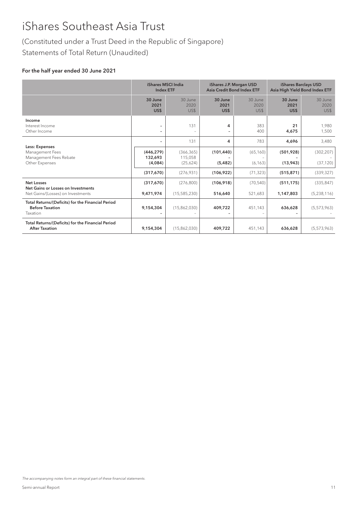# (Constituted under a Trust Deed in the Republic of Singapore)

Statements of Total Return (Unaudited)

## For the half year ended 30 June 2021

|                                                                                         | <b>iShares MSCI India</b><br><b>Index ETF</b> |                                   | iShares J.P. Morgan USD<br><b>Asia Credit Bond Index ETF</b> |                         | iShares Barclays USD<br>Asia High Yield Bond Index ETF |                         |
|-----------------------------------------------------------------------------------------|-----------------------------------------------|-----------------------------------|--------------------------------------------------------------|-------------------------|--------------------------------------------------------|-------------------------|
|                                                                                         | 30 June<br>2021<br>US\$                       | 30 June<br>2020<br>US\$           | 30 June<br>2021<br>US\$                                      | 30 June<br>2020<br>US\$ | 30 June<br>2021<br>US\$                                | 30 June<br>2020<br>US\$ |
| Income<br>Interest Income<br>Other Income                                               | -                                             | 131                               | 4                                                            | 383<br>400              | 21<br>4,675                                            | 1.980<br>1,500          |
|                                                                                         | $\overline{\phantom{0}}$                      | 131                               | 4                                                            | 783                     | 4.696                                                  | 3,480                   |
| Less: Expenses<br>Management Fees<br>Management Fees Rebate<br>Other Expenses           | (446, 279)<br>132,693<br>(4,084)              | (366, 365)<br>115,058<br>(25,624) | (101, 440)<br>(5, 482)                                       | (65, 160)<br>(6, 163)   | (501,928)<br>(13,943)                                  | (302, 207)<br>(37, 120) |
|                                                                                         | (317,670)                                     | (276, 931)                        | (106, 922)                                                   | (71, 323)               | (515, 871)                                             | (339, 327)              |
| <b>Net Losses</b>                                                                       | (317,670)                                     | (276, 800)                        | (106, 918)                                                   | (70, 540)               | (511, 175)                                             | (335, 847)              |
| Net Gains or Losses on Investments<br>Net Gains/(Losses) on Investments                 | 9,471,974                                     | (15,585,230)                      | 516,640                                                      | 521,683                 | 1,147,803                                              | (5,238,116)             |
| Total Returns/(Deficits) for the Financial Period<br><b>Before Taxation</b><br>Taxation | 9,154,304                                     | (15,862,030)                      | 409,722                                                      | 451,143                 | 636,628                                                | (5,573,963)             |
| Total Returns/(Deficits) for the Financial Period<br><b>After Taxation</b>              | 9,154,304                                     | (15,862,030)                      | 409,722                                                      | 451,143                 | 636,628                                                | (5,573,963)             |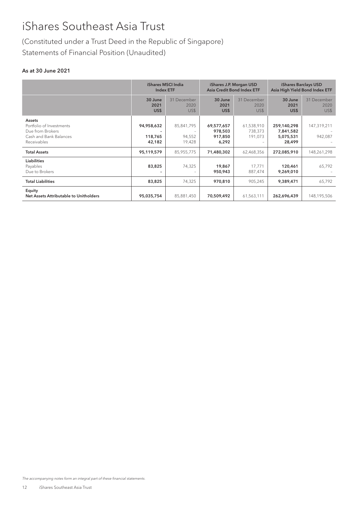# (Constituted under a Trust Deed in the Republic of Singapore) Statements of Financial Position (Unaudited)

## As at 30 June 2021

|                                                                                                 | iShares MSCI India<br><b>Index ETF</b> |                                | iShares J.P. Morgan USD<br><b>Asia Credit Bond Index ETF</b> |                                  | iShares Barclays USD<br>Asia High Yield Bond Index ETF |                             |
|-------------------------------------------------------------------------------------------------|----------------------------------------|--------------------------------|--------------------------------------------------------------|----------------------------------|--------------------------------------------------------|-----------------------------|
|                                                                                                 | 30 June<br>2021<br>US\$                | 31 December<br>2020<br>US\$    | 30 June<br>2021<br>US\$                                      | 31 December<br>2020<br>US\$      | 30 June<br>2021<br>US\$                                | 31 December<br>2020<br>US\$ |
| Assets<br>Portfolio of Investments<br>Due from Brokers<br>Cash and Bank Balances<br>Receivables | 94,958,632<br>118,765<br>42,182        | 85,841,795<br>94,552<br>19,428 | 69,577,657<br>978,503<br>917,850<br>6,292                    | 61,538,910<br>738,373<br>191,073 | 259,140,298<br>7,841,582<br>5,075,531<br>28,499        | 147,319,211<br>942,087      |
| <b>Total Assets</b>                                                                             | 95,119,579                             | 85,955,775                     | 71,480,302                                                   | 62,468,356                       | 272,085,910                                            | 148,261,298                 |
| <b>Liabilities</b><br>Payables<br>Due to Brokers                                                | 83,825                                 | 74,325                         | 19,867<br>950,943                                            | 17,771<br>887,474                | 120,461<br>9,269,010                                   | 65,792                      |
| <b>Total Liabilities</b>                                                                        | 83,825                                 | 74,325                         | 970,810                                                      | 905,245                          | 9,389,471                                              | 65,792                      |
| Equity<br>Net Assets Attributable to Unitholders                                                | 95,035,754                             | 85,881,450                     | 70,509,492                                                   | 61,563,111                       | 262,696,439                                            | 148,195,506                 |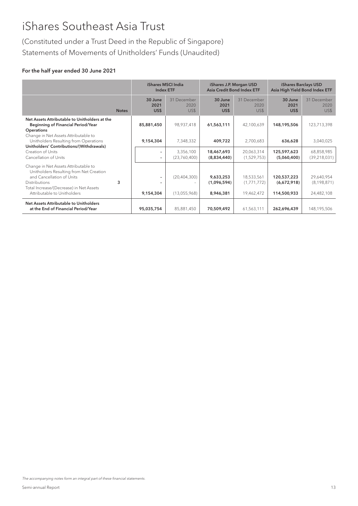(Constituted under a Trust Deed in the Republic of Singapore) Statements of Movements of Unitholders' Funds (Unaudited)

## For the half year ended 30 June 2021

|                                                                                                                                                                                                                |              | <b>iShares MSCI India</b><br><b>Index ETF</b> |                                | iShares J.P. Morgan USD<br>Asia Credit Bond Index ETF |                                         | iShares Barclays USD<br>Asia High Yield Bond Index ETF |                                           |
|----------------------------------------------------------------------------------------------------------------------------------------------------------------------------------------------------------------|--------------|-----------------------------------------------|--------------------------------|-------------------------------------------------------|-----------------------------------------|--------------------------------------------------------|-------------------------------------------|
|                                                                                                                                                                                                                | <b>Notes</b> | 30 June<br>2021<br>US\$                       | 31 December<br>2020<br>US\$    | 30 June<br>2021<br>US\$                               | 31 December<br>2020<br>US\$             | 30 June<br>2021<br>US\$                                | 31 December<br>2020<br>US\$               |
| Net Assets Attributable to Unitholders at the<br><b>Beginning of Financial Period/Year</b><br><b>Operations</b><br>Change in Net Assets Attributable to                                                        |              | 85,881,450                                    | 98,937,418                     | 61,563,111                                            | 42,100,639                              | 148,195,506                                            | 123,713,398                               |
| Unitholders Resulting from Operations                                                                                                                                                                          |              | 9,154,304                                     | 7,348,332                      | 409,722                                               | 2,700,683                               | 636,628                                                | 3,040,025                                 |
| Unitholders' Contributions/(Withdrawals)<br>Creation of Units<br>Cancellation of Units                                                                                                                         |              |                                               | 3,356,100<br>(23,760,400)      | 18,467,693<br>(8,834,440)                             | 20,063,314<br>(1,529,753)               | 125,597,623<br>(5,060,400)                             | 68,858,985<br>(39, 218, 031)              |
| Change in Net Assets Attributable to<br>Unitholders Resulting from Net Creation<br>and Cancellation of Units<br><b>Distributions</b><br>Total Increase/(Decrease) in Net Assets<br>Attributable to Unitholders | 3            | 9,154,304                                     | (20, 404, 300)<br>(13,055,968) | 9,633,253<br>(1,096,594)<br>8,946,381                 | 18,533,561<br>(1,771,772)<br>19,462,472 | 120,537,223<br>(6,672,918)<br>114,500,933              | 29,640,954<br>(8, 198, 871)<br>24,482,108 |
| Net Assets Attributable to Unitholders<br>at the End of Financial Period/Year                                                                                                                                  |              | 95,035,754                                    | 85,881,450                     | 70,509,492                                            | 61,563,111                              | 262,696,439                                            | 148,195,506                               |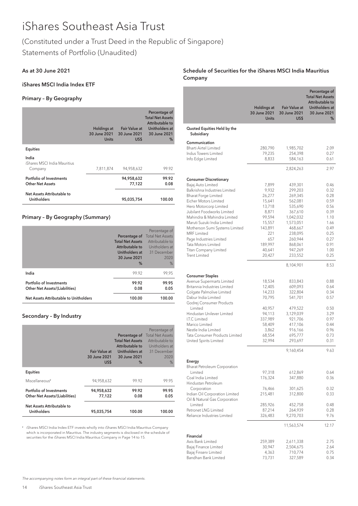# (Constituted under a Trust Deed in the Republic of Singapore)

Statements of Portfolio (Unaudited)

# As at 30 June 2021

# iShares MSCI India Index ETF

# Primary – By Geography

|                                                     | <b>Holdings at</b><br>30 June 2021<br><b>Units</b> | Fair Value at<br>30 June 2021<br>US\$ | Percentage of<br><b>Total Net Assets</b><br>Attributable to<br>Unitholders at<br>30 June 2021<br>% |
|-----------------------------------------------------|----------------------------------------------------|---------------------------------------|----------------------------------------------------------------------------------------------------|
| Equities                                            |                                                    |                                       |                                                                                                    |
| India<br>iShares MSCI India Mauritius<br>Company    | 7,811,874                                          | 94,958,632                            | 99.92                                                                                              |
| Portfolio of Investments<br><b>Other Net Assets</b> |                                                    | 94,958,632<br>77,122                  | 99.92<br>0.08                                                                                      |
| Net Assets Attributable to<br><b>Unitholders</b>    |                                                    | 95,035,754                            | 100.00                                                                                             |

# Primary – By Geography (Summary)

|                                                                   | Percentage of<br><b>Total Net Assets</b><br>Attributable to<br>Unitholders at<br>30 June 2021<br>$\%$ | Percentage of<br><b>Total Net Assets</b><br>Attributable to<br>Unitholders at<br>31 December<br>2020<br>% |
|-------------------------------------------------------------------|-------------------------------------------------------------------------------------------------------|-----------------------------------------------------------------------------------------------------------|
| India                                                             | 99.92                                                                                                 | 99.95                                                                                                     |
| Portfolio of Investments<br><b>Other Net Assets/(Liabilities)</b> | 99.92<br>0.08                                                                                         | 99.95<br>0.05                                                                                             |
| Net Assets Attributable to Unitholders                            | 100.00                                                                                                | 100.00                                                                                                    |

# Secondary – By Industry

|                                                                   | Fair Value at<br>30 June 2021<br>US\$ | Percentage of<br><b>Total Net Assets</b><br>Attributable to<br>Unitholders at<br>30 June 2021<br>% | Percentage of<br><b>Total Net Assets</b><br>Attributable to<br>Unitholders at<br>31 December<br>2020<br>% |
|-------------------------------------------------------------------|---------------------------------------|----------------------------------------------------------------------------------------------------|-----------------------------------------------------------------------------------------------------------|
| <b>Equities</b>                                                   |                                       |                                                                                                    |                                                                                                           |
| Miscellaneous <sup>#</sup>                                        | 94,958,632                            | 99.92                                                                                              | 99.95                                                                                                     |
| Portfolio of Investments<br><b>Other Net Assets/(Liabilities)</b> | 94,958,632<br>77,122                  | 99.92<br>0.08                                                                                      | 99.95<br>0.05                                                                                             |
| Net Assets Attributable to<br><b>Unitholders</b>                  | 95,035,754                            | 100.00                                                                                             | 100.00                                                                                                    |

# iShares MSCI India Index ETF invests wholly into iShares MSCI India Mauritius Company which is incorporated in Mauritius. The industry segments is disclosed in the schedule of securities for the iShares MSCI India Mauritius Company in Page 14 to 15.

## Schedule of Securities for the iShares MSCI India Mauritius Company

|                                                           |                                                    |                                              | Percentage of                              |
|-----------------------------------------------------------|----------------------------------------------------|----------------------------------------------|--------------------------------------------|
|                                                           |                                                    |                                              | <b>Total Net Assets</b><br>Attributable to |
|                                                           | <b>Holdings at</b><br>30 June 2021<br><b>Units</b> | <b>Fair Value at</b><br>30 June 2021<br>US\$ | Unitholders at<br>30 June 2021<br>%        |
| Quoted Equities Held by the<br>Subsidiary                 |                                                    |                                              |                                            |
| Communication                                             |                                                    |                                              |                                            |
| <b>Bharti Airtel Limited</b><br>Indus Towers Limited      | 280,790                                            | 1,985,702                                    | 2.09                                       |
| Info Edge Limited                                         | 79,235<br>8,833                                    | 254,398<br>584,163                           | 0.27<br>0.61                               |
|                                                           |                                                    |                                              |                                            |
|                                                           |                                                    | 2,824,263                                    | 2.97                                       |
| <b>Consumer Discretionary</b>                             |                                                    |                                              |                                            |
| Bajaj Auto Limited<br>Balkrishna Industries Limited       | 7,899<br>9,932                                     | 439,301<br>299,203                           | 0.46<br>0.32                               |
| <b>Bharat Forge Limited</b>                               | 26,277                                             | 269,345                                      | 0.28                                       |
| Eicher Motors Limited                                     | 15,641                                             | 562,081                                      | 0.59                                       |
| Hero Motorcorp Limited                                    | 13,718                                             | 535,690                                      | 0.56                                       |
| Jubilant Foodworks Limited<br>Mahindra & Mahindra Limited | 8,871<br>99,594                                    | 367,610<br>1,042,032                         | 0.39<br>1.10                               |
| Maruti Suzuki India Limited                               | 15,557                                             | 1,573,051                                    | 1.66                                       |
| Motherson Sumi Systems Limited                            | 143,891                                            | 468,667                                      | 0.49                                       |
| MRF I imited                                              | 221                                                | 238,095                                      | 0.25                                       |
| Page Industries Limited<br>Tata Motors Limited            | 657<br>189,997                                     | 260,944<br>868,061                           | 0.27<br>0.91                               |
| Titan Company Limited                                     | 40,641                                             | 947,269                                      | 1.00                                       |
| <b>Trent Limited</b>                                      | 20,427                                             | 233,552                                      | 0.25                                       |
|                                                           |                                                    | 8,104,901                                    | 8.53                                       |
| <b>Consumer Staples</b>                                   |                                                    |                                              |                                            |
| Avenue Supermarts Limited                                 | 18,534                                             | 833,843                                      | 0.88                                       |
| Britannia Industries Limited<br>Colgate Palmolive Limited | 12,405<br>14,233                                   | 609,093<br>322,804                           | 0.64<br>0.34                               |
| Dabur India Limited                                       | 70,795                                             | 541,701                                      | 0.57                                       |
| Godrej Consumer Products                                  |                                                    |                                              |                                            |
| Limited                                                   | 40,957                                             | 479,522                                      | 0.50                                       |
| Hindustan Unilever Limited<br>I.T.C Limited               | 94,113<br>337,989                                  | 3,129,039<br>921,706                         | 3.29<br>0.97                               |
| Marico Limited                                            | 58,409                                             | 417,106                                      | 0.44                                       |
| Nestle India Limited                                      | 3,862                                              | 916,166                                      | 0.96                                       |
| Tata Consumer Products Limited                            | 68,554<br>32,994                                   | 695,777<br>293,697                           | 0.73<br>0.31                               |
| United Spirits Limited                                    |                                                    |                                              |                                            |
|                                                           |                                                    | 9,160,454                                    | 9.63                                       |
| Energy<br><b>Bharat Petroleum Corporation</b>             |                                                    |                                              |                                            |
| Limited                                                   | 97,318                                             | 612,869                                      | 0.64                                       |
| Coal India Limited                                        | 176,324                                            | 347,880                                      | 0.36                                       |
| Hindustan Petroleum                                       |                                                    |                                              |                                            |
| Corporation<br>Indian Oil Corporation Limited             | 76,466<br>215,481                                  | 301,625<br>312,800                           | 0.32<br>0.33                               |
| Oil & Natural Gas Corporation                             |                                                    |                                              |                                            |
| Limited                                                   | 285,926                                            | 452,758                                      | 0.48                                       |
| Petronet LNG Limited<br>Reliance Industries Limited       | 87,214<br>326,483                                  | 264,939<br>9,270,703                         | 0.28<br>9.76                               |
|                                                           |                                                    |                                              |                                            |
|                                                           |                                                    | 11,563,574                                   | 12.17                                      |
| Financial                                                 |                                                    |                                              |                                            |
| Axis Bank Limited                                         | 259,389                                            | 2,611,338                                    | 2.75                                       |
| Bajaj Finance Limited<br>Bajaj Finserv Limited            | 30,947<br>4,363                                    | 2,504,675<br>710,774                         | 2.64<br>0.75                               |
| Bandhan Bank Limited                                      | 73,731                                             | 327,589                                      | 0.34                                       |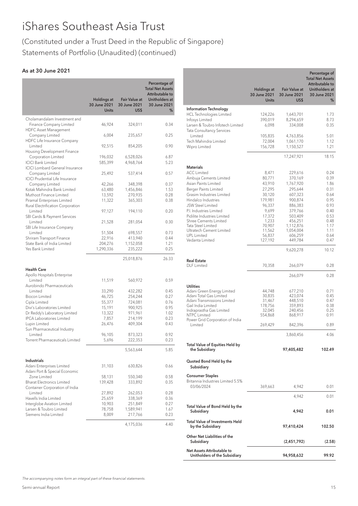# (Constituted under a Trust Deed in the Republic of Singapore) Statements of Portfolio (Unaudited) (continued)

# As at 30 June 2021

|                                                                  | <b>Holdings at</b><br>30 June 2021<br><b>Units</b> | <b>Fair Value at</b><br>30 June 2021<br>US\$ | Percentage of<br><b>Total Net Assets</b><br>Attributable to<br>Unitholders at<br>30 June 2021<br>% |
|------------------------------------------------------------------|----------------------------------------------------|----------------------------------------------|----------------------------------------------------------------------------------------------------|
| Cholamandalam Investment and                                     |                                                    |                                              |                                                                                                    |
| Finance Company Limited<br><b>HDFC Asset Management</b>          | 46,924                                             | 324,011                                      | 0.34                                                                                               |
| Company Limited<br>HDFC Life Insurance Company                   | 6,004                                              | 235,657                                      | 0.25                                                                                               |
| Limited<br>Housing Development Finance                           | 92,515                                             | 854,205                                      | 0.90                                                                                               |
| Corporation Limited<br><b>ICICI Bank Limited</b>                 | 196,032<br>585,399                                 | 6,528,026<br>4,968,764                       | 6.87<br>5.23                                                                                       |
| <b>ICICI Lombard General Insurance</b><br>Company Limited        | 25,492                                             | 537,414                                      | 0.57                                                                                               |
| <b>ICICI Prudential Life Insurance</b><br>Company Limited        | 42,266                                             | 348,398                                      | 0.37                                                                                               |
| Kotak Mahindra Bank Limited                                      | 63,480                                             | 1,456,846                                    | 1.53                                                                                               |
| Muthoot Finance Limited                                          | 13,592                                             | 270,935                                      | 0.28                                                                                               |
| Piramal Enterprises Limited<br>Rural Electrification Corporation | 11,322                                             | 365,303                                      | 0.38                                                                                               |
| Limited<br>SBI Cards & Payment Services                          | 97,127                                             | 194,110                                      | 0.20                                                                                               |
| Limited<br>SBI Life Insurance Company                            | 21,528                                             | 281,054                                      | 0.30                                                                                               |
| I imited                                                         | 51,504                                             | 698,557                                      | 0.73                                                                                               |
| Shriram Transport Finance                                        |                                                    |                                              |                                                                                                    |
|                                                                  | 22,916                                             | 413,940                                      | 0.44                                                                                               |
| State Bank of India Limited                                      | 204,276                                            | 1,152,058                                    | 1.21                                                                                               |
| Yes Bank Limited                                                 | 1,290,336                                          | 235,222                                      | 0.25                                                                                               |
|                                                                  |                                                    | 25,018,876                                   | 26.33                                                                                              |
| <b>Health Care</b><br>Apollo Hospitals Enterprise                |                                                    |                                              |                                                                                                    |
| Limited<br>Aurobindo Pharmaceuticals                             | 11,519                                             | 560,972                                      | 0.59                                                                                               |
| Limited                                                          | 33,290                                             | 432,282                                      | 0.45                                                                                               |
| <b>Biocon Limited</b>                                            | 46,725                                             | 254,244                                      | 0.27                                                                                               |
| Cipla Limited                                                    | 55,377                                             | 724,081                                      | 0.76                                                                                               |
| Divi's Laboratories Limited                                      | 15,191                                             | 900,925                                      | 0.95                                                                                               |
| Dr Reddy's Laboratory Limited                                    | 13,322                                             | 971,961                                      | 1.02                                                                                               |
| <b>IPCA Laboratories Limited</b>                                 | 7,857                                              | 214,199                                      | 0.23                                                                                               |
| Lupin Limited                                                    |                                                    | 409,304                                      | 0.43                                                                                               |
| Sun Pharmaceutical Industry                                      | 26,476                                             |                                              |                                                                                                    |
| Limited                                                          | 96,105                                             | 873,323                                      | 0.92                                                                                               |
| Torrent Pharmaceuticals Limited                                  | 5,696                                              | 222,353                                      | 0.23                                                                                               |
|                                                                  |                                                    | 5,563,644                                    | 5.85                                                                                               |
| Industrials                                                      |                                                    |                                              |                                                                                                    |
| Adani Enterprises Limited<br>Adani Port & Special Economic       | 31,103                                             | 630,826                                      | 0.66                                                                                               |
| Zone Limited<br><b>Bharat Electronics Limited</b>                | 58,131<br>139,428                                  | 550,340<br>333,892                           | 0.58<br>0.35                                                                                       |
| Container Corporation of India<br>Limited                        | 27,892                                             | 262,053                                      | 0.28                                                                                               |
| Havells India Limited                                            | 25,659                                             | 338,369                                      | 0.36                                                                                               |
| Interglobe Aviation Limited                                      | 10,903                                             | 251,849                                      | 0.27                                                                                               |
| Larsen & Toubro Limited                                          | 78,758                                             | 1,589,941                                    | 1.67                                                                                               |
| Siemens India Limited                                            | 8,009                                              | 217,766                                      | 0.23                                                                                               |
|                                                                  |                                                    | 4,175,036                                    | 4.40                                                                                               |

|                                                        | Holdings at<br>30 June 2021 | <b>Fair Value at</b><br>30 June 2021 | Percentage of<br><b>Total Net Assets</b><br>Attributable to<br>Unitholders at<br>30 June 2021 |
|--------------------------------------------------------|-----------------------------|--------------------------------------|-----------------------------------------------------------------------------------------------|
|                                                        | <b>Units</b>                | US\$                                 | %                                                                                             |
| <b>Information Technology</b>                          |                             |                                      |                                                                                               |
| <b>HCL Technologies Limited</b>                        | 124,226                     | 1,643,701                            | 1.73                                                                                          |
| Infosys Limited                                        | 390,019                     | 8,294,659                            | 8.73                                                                                          |
| Larsen & Toubro Infotech Limited                       | 6,098                       | 334,008                              | 0.35                                                                                          |
| Tata Consultancy Services                              |                             |                                      |                                                                                               |
| Limited                                                | 105,835                     | 4,763,856                            | 5.01                                                                                          |
| Tech Mahindra Limited                                  | 72,004                      | 1,061,170                            | 1.12                                                                                          |
| Wipro Limited                                          | 156,728                     | 1,150,527                            | 1.21                                                                                          |
|                                                        |                             |                                      |                                                                                               |
|                                                        |                             | 17,247,921                           | 18.15                                                                                         |
| <b>Materials</b>                                       |                             |                                      |                                                                                               |
| <b>ACC Limited</b>                                     | 8,471                       |                                      | 0.24                                                                                          |
| Ambuja Cements Limited                                 | 80,771                      | 229,616<br>370,169                   | 0.39                                                                                          |
| Asian Paints Limited                                   | 43,910                      | 1,767,920                            | 1.86                                                                                          |
| Berger Paints Limited                                  | 27,295                      | 295,644                              | 0.31                                                                                          |
| Grasim Industries Limited                              | 30,120                      | 607,323                              | 0.64                                                                                          |
| Hindalco Industries                                    | 179,981                     | 900,874                              | 0.95                                                                                          |
| <b>JSW Steel Limited</b>                               | 96,337                      | 886,383                              | 0.93                                                                                          |
| P.I. Industries Limited                                | 9,699                       | 379,766                              | 0.40                                                                                          |
| Pidilite Industries Limited                            | 17,372                      | 503,409                              | 0.53                                                                                          |
| <b>Shree Cements Limited</b>                           | 1,233                       | 456,251                              | 0.48                                                                                          |
| Tata Steel Limited                                     | 70.907                      | 1,112,876                            | 1.17                                                                                          |
| Ultratech Cement Limited                               | 11,562                      | 1,054,004                            | 1.11                                                                                          |
| <b>UPL</b> Limited                                     | 56,837                      | 606,259                              | 0.64                                                                                          |
| Vedanta Limited                                        | 127,192                     | 449,784                              | 0.47                                                                                          |
|                                                        |                             | 9,620,278                            | 10.12                                                                                         |
|                                                        |                             |                                      |                                                                                               |
| <b>Real Estate</b>                                     |                             |                                      |                                                                                               |
| <b>DLF</b> Limited                                     | 70,358                      | 266,079                              | 0.28                                                                                          |
|                                                        |                             |                                      |                                                                                               |
|                                                        |                             | 266,079                              | 0.28                                                                                          |
| <b>Utilities</b>                                       |                             |                                      |                                                                                               |
| Adani Green Energy Limited                             | 44,748                      | 677,210                              | 0.71                                                                                          |
| Adani Total Gas Limited                                | 30,835                      | 423,074                              | 0.45                                                                                          |
| Adani Transmissions Limited                            | 31,467                      | 448,510                              | 0.47                                                                                          |
| Gail India Limited                                     | 178,756                     | 359,893                              | 0.38                                                                                          |
| Indraprastha Gas Limited                               | 32,045                      | 240.456                              | 0.25                                                                                          |
| <b>NTPC Limited</b><br>Power Grid Corporation of India | 554,868                     | 868,917                              | 0.91                                                                                          |
| Limited                                                | 269,429                     | 842,396                              | 0.89                                                                                          |
|                                                        |                             |                                      |                                                                                               |
|                                                        |                             | 3,860,456                            | 4.06                                                                                          |
|                                                        |                             |                                      |                                                                                               |
| Total Value of Equities Held by<br>the Subsidiary      |                             | 97,405,482                           | 102.49                                                                                        |
|                                                        |                             |                                      |                                                                                               |
| Quoted Bond Held by the<br>Subsidiary                  |                             |                                      |                                                                                               |
|                                                        |                             |                                      |                                                                                               |
| <b>Consumer Staples</b>                                |                             |                                      |                                                                                               |
| Britannia Industries Limited 5.5%                      |                             |                                      |                                                                                               |
| 03/06/2024                                             | 369,663                     | 4,942                                | 0.01                                                                                          |
|                                                        |                             | 4,942                                | 0.01                                                                                          |
|                                                        |                             |                                      |                                                                                               |
| Total Value of Bond Held by the                        |                             |                                      |                                                                                               |
| Subsidiary                                             |                             | 4,942                                | 0.01                                                                                          |
|                                                        |                             |                                      |                                                                                               |
| <b>Total Value of Investments Held</b>                 |                             |                                      | 102.50                                                                                        |
| by the Subsidiary                                      |                             | 97,410,424                           |                                                                                               |
| Other Net Liabilities of the                           |                             |                                      |                                                                                               |
| Subsidiary                                             |                             | (2,451,792)                          | (2.58)                                                                                        |
| Net Assets Attributable to                             |                             |                                      |                                                                                               |
| Unitholders of the Subsidiary                          |                             | 94,958,632                           | 99.92                                                                                         |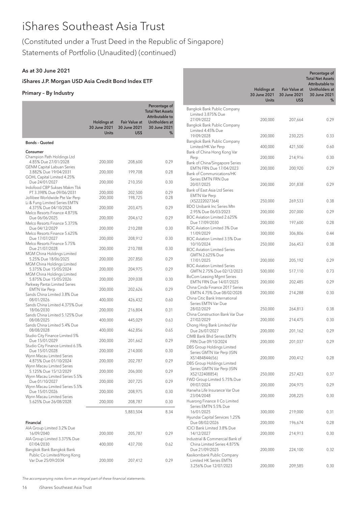# (Constituted under a Trust Deed in the Republic of Singapore)

Statements of Portfolio (Unaudited) (continued)

# As at 30 June 2021

# iShares J.P. Morgan USD Asia Credit Bond Index ETF

# Primary – By Industry

|                                                                                         | <b>Holdings at</b>           | <b>Fair Value at</b>       | Percentage of<br><b>Total Net Assets</b><br>Attributable to<br>Unitholders at |
|-----------------------------------------------------------------------------------------|------------------------------|----------------------------|-------------------------------------------------------------------------------|
|                                                                                         | 30 June 2021<br><b>Units</b> | 30 June 2021<br><b>USS</b> | 30 June 2021<br>%                                                             |
| <b>Bonds - Quoted</b>                                                                   |                              |                            |                                                                               |
| Consumer                                                                                |                              |                            |                                                                               |
| Champion Path Holdings Ltd<br>4.85% Due 27/01/2028<br><b>GENM Capital Labuan Series</b> | 200,000                      | 208,600                    | 0.29                                                                          |
| 3.882% Due 19/04/2031                                                                   | 200,000                      | 199,708                    | 0.28                                                                          |
| GOHL Capital Limited 4.25%<br>Due 24/01/2027                                            | 200,000                      | 210,350                    | 0.30                                                                          |
| Indofood CBP Sukses Makm Tbk<br>PT 3.398% Due 09/06/2031                                | 200,000                      | 202,500                    | 0.29                                                                          |
| Jollibee Worldwide Pte Var Perp<br>Li & Fung Limited Series EMTN                        | 200,000                      | 198,725                    | 0.28                                                                          |
| 4.375% Due 04/10/2024                                                                   | 200,000                      | 203,475                    | 0.29                                                                          |
| Melco Resorts Finance 4.875%<br>Due 06/06/2025                                          | 200,000                      | 204,612                    | 0.29                                                                          |
| Melco Resorts Finance 5.375%<br>Due 04/12/2029                                          | 200,000                      | 210,288                    | 0.30                                                                          |
| Melco Resorts Finance 5.625%<br>Due 17/07/2027                                          | 200,000                      | 208,912                    | 0.30                                                                          |
| Melco Resorts Finance 5.75%<br>Due 21/07/2028                                           | 200,000                      | 210,788                    | 0.30                                                                          |
| MGM China Holdings Limited<br>5.25% Due 18/06/2025                                      | 200,000                      | 207,850                    | 0.29                                                                          |
| MGM China Holdings Limited<br>5.375% Due 15/05/2024                                     | 200,000                      | 204,975                    | 0.29                                                                          |
| MGM China Holdings Limited<br>5.875% Due 15/05/2026                                     | 200,000                      | 209,038                    | 0.30                                                                          |
| Parkway Pantai Limited Series<br><b>EMTN Var Perp</b>                                   | 200,000                      | 202,626                    | 0.29                                                                          |
| Sands China Limited 3.8% Due<br>08/01/2026                                              | 400,000                      | 426,432                    | 0.60                                                                          |
| Sands China Limited 4.375% Due<br>18/06/2030                                            | 200,000                      | 216,804                    | 0.31                                                                          |
| Sands China Limited 5.125% Due<br>08/08/2025                                            | 400,000                      | 445,029                    | 0.63                                                                          |
| Sands China Limited 5.4% Due<br>08/08/2028                                              | 400,000                      | 462,856                    | 0.65                                                                          |
| Studio City Finance Limited 5%<br>Due 15/01/2029                                        | 200,000                      | 201,662                    | 0.29                                                                          |
| Studio City Finance Limited 6.5%<br>Due 15/01/2028                                      | 200,000                      | 214,000                    | 0.30                                                                          |
| Wynn Macau Limited Series<br>4.875% Due 01/10/2024                                      | 200,000                      | 202,787                    | 0.29                                                                          |
| Wynn Macau Limited Series<br>5.125% Due 15/12/2029                                      | 200,000                      | 206,000                    | 0.29                                                                          |
| Wynn Macau Limited Series 5.5%<br>Due 01/10/2027<br>Wynn Macau Limited Series 5.5%      | 200,000                      | 207,725                    | 0.29                                                                          |
| Due 15/01/2026<br>Wynn Macau Limited Series                                             | 200,000                      | 208,975                    | 0.30                                                                          |
| 5.625% Due 26/08/2028                                                                   | 200,000                      | 208,787                    | 0.30                                                                          |
|                                                                                         |                              | 5,883,504                  | 8.34                                                                          |
| Financial                                                                               |                              |                            |                                                                               |
| AIA Group Limited 3.2% Due<br>16/09/2040                                                | 200,000                      | 205,787                    | 0.29                                                                          |
| AIA Group Limited 3.375% Due<br>07/04/2030<br>Bangkok Bank Bangkok Bank                 | 400,000                      | 437,700                    | 0.62                                                                          |
| Public Co Limited/Hong Kong<br>Var Due 25/09/2034                                       | 200,000                      | 207,412                    | 0.29                                                                          |

|                                                                                                | Holdings at<br>30 June 2021<br><b>Units</b> | <b>Fair Value at</b><br>30 June 2021<br>US\$ | Percentage of<br><b>Total Net Assets</b><br>Attributable to<br>Unitholders at<br>30 June 2021<br>% |
|------------------------------------------------------------------------------------------------|---------------------------------------------|----------------------------------------------|----------------------------------------------------------------------------------------------------|
| Bangkok Bank Public Company<br>Limited 3.875% Due                                              |                                             |                                              |                                                                                                    |
| 27/09/2022<br>Bangkok Bank Public Company<br>Limited 4.45% Due                                 | 200,000                                     | 207,664                                      | 0.29                                                                                               |
| 19/09/2028<br>Bangkok Bank Public Company                                                      | 200,000                                     | 230,225                                      | 0.33                                                                                               |
| Limited/HK Var Perp<br>Bank of China Hong Kong Var                                             | 400,000                                     | 421,500                                      | 0.60                                                                                               |
| Perp<br>Bank of China/Singapore Series                                                         | 200,000                                     | 214,916                                      | 0.30                                                                                               |
| EMTN FRN Due 17/04/2023<br>Bank of Communications/HK                                           | 200,000                                     | 200,920                                      | 0.29                                                                                               |
| Series EMTN FRN Due<br>20/07/2025<br>Bank of East Asia Ltd Series                              | 200,000                                     | 201,838                                      | 0.29                                                                                               |
| <b>EMTN Var Perp</b><br>(XS2222027364)                                                         | 250,000                                     | 269,533                                      | 0.38                                                                                               |
| <b>BDO Unibank Inc Series Mtn</b><br>2.95% Due 06/03/2023                                      | 200,000                                     | 207,000                                      | 0.29                                                                                               |
| BOC Aviation Limited 2.625%<br>Due 17/09/2030                                                  | 200,000                                     | 197,600                                      | 0.28                                                                                               |
| <b>BOC Aviation Limited 3% Due</b><br>11/09/2029                                               | 300,000                                     | 306,806                                      | 0.44                                                                                               |
| <b>BOC Aviation Limited 3.5% Due</b><br>10/10/2024<br><b>BOC Aviation Limited Series</b>       | 250,000                                     | 266,453                                      | 0.38                                                                                               |
| GMTN 2.625% Due<br>17/01/2025                                                                  | 200,000                                     | 205,192                                      | 0.29                                                                                               |
| <b>BOC Aviation Limited Series</b><br>GMTN 2.75% Due 02/12/2023                                | 500,000                                     | 517,110                                      | 0.73                                                                                               |
| <b>BoCom Leasing Mgmt Series</b><br>EMTN FRN Due 14/07/2025                                    | 200,000                                     | 202,485                                      | 0.29                                                                                               |
| China Cinda Finance 2017 Series<br>EMTN 4.75% Due 08/02/2028<br>China Citic Bank International | 200,000                                     | 214,288                                      | 0.30                                                                                               |
| Series EMTN Var Due<br>28/02/2029                                                              | 250,000                                     | 264,813                                      | 0.38                                                                                               |
| China Construction Bank Var Due<br>27/02/2029                                                  | 200,000                                     | 214,475                                      | 0.30                                                                                               |
| Chong Hing Bank Limited Var<br>Due 26/07/2027                                                  | 200,000                                     | 201,162                                      | 0.29                                                                                               |
| CIMB Bank Bhd Series EMTN<br>FRN Due 09/10/2024                                                | 200,000                                     | 201,037                                      | 0.29                                                                                               |
| DBS Group Holdings Limited<br>Series GMTN Var Perp (ISIN                                       |                                             |                                              |                                                                                                    |
| XS1484844656)<br>DBS Group Holdings Limited<br>Series GMTN Var Perp (ISIN                      | 200,000                                     | 200,412                                      | 0.28                                                                                               |
| XS2122408854)<br>FWD Group Limited 5.75% Due                                                   | 250,000                                     | 257,423                                      | 0.37                                                                                               |
| 09/07/2024<br>Hanwha Life Insurance Var Due                                                    | 200,000                                     | 204,975                                      | 0.29                                                                                               |
| 23/04/2048<br>Huarong Finance II Co Limited                                                    | 200,000                                     | 208,225                                      | 0.30                                                                                               |
| Series EMTN 5.5% Due<br>16/01/2025                                                             | 300,000                                     | 219,000                                      | 0.31                                                                                               |
| Hyundai Capital Services 1.25%<br>Due 08/02/2026                                               | 200,000                                     | 196,674                                      | 0.28                                                                                               |
| ICICI Bank Limited 3.8% Due<br>14/12/2027<br>Industrial & Commercial Bank of                   | 200,000                                     | 214,913                                      | 0.30                                                                                               |
| China Limited Series 4.875%<br>Due 21/09/2025<br>Kasikornbank Public Company                   | 200,000                                     | 224,100                                      | 0.32                                                                                               |
| <b>Limited HK Series EMTN</b><br>3.256% Due 12/07/2023                                         | 200,000                                     | 209,585                                      | 0.30                                                                                               |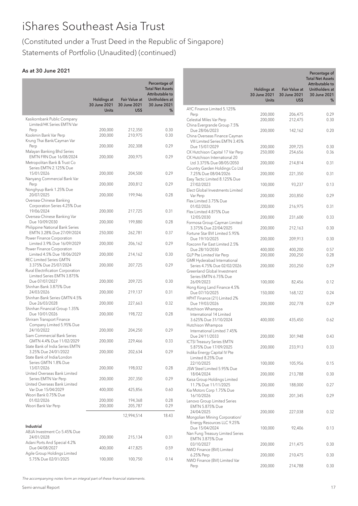# (Constituted under a Trust Deed in the Republic of Singapore) Statements of Portfolio (Unaudited) (continued)

# As at 30 June 2021

|                                                                                           | <b>Holdings at</b>           | <b>Fair Value at</b> | Percentage of<br><b>Total Net Assets</b><br>Attributable to<br>Unitholders at |
|-------------------------------------------------------------------------------------------|------------------------------|----------------------|-------------------------------------------------------------------------------|
|                                                                                           | 30 June 2021<br><b>Units</b> | 30 June 2021<br>US\$ | 30 June 2021<br>%                                                             |
| Kasikornbank Public Company<br>Limited/HK Series EMTN Var                                 |                              |                      |                                                                               |
| Perp<br>Kookmin Bank Var Perp<br>Krung Thai Bank/Cayman Var                               | 200,000<br>200,000           | 212,350<br>210,975   | 0.30<br>0.30                                                                  |
| Perp<br>Malayan Banking Bhd Series                                                        | 200,000                      | 202,308              | 0.29                                                                          |
| EMTN FRN Due 16/08/2024<br>Metropolitan Bank & Trust Co<br>Series EMTN 2.125% Due         | 200,000                      | 200,975              | 0.29                                                                          |
| 15/01/2026<br>Nanyang Commercial Bank Var                                                 | 200,000                      | 204,500              | 0.29                                                                          |
| Perp<br>Nonghyup Bank 1.25% Due                                                           | 200,000                      | 200,812              | 0.29                                                                          |
| 20/07/2025<br>Oversea-Chinese Banking                                                     | 200,000                      | 199,946              | 0.28                                                                          |
| Corporation Series 4.25% Due<br>19/06/2024                                                | 200,000                      | 217,725              | 0.31                                                                          |
| Oversea-Chinese Banking Var<br>Due 10/09/2030                                             | 200,000                      | 199,880              | 0.28                                                                          |
| Philippine National Bank Series<br>EMTN 3.28% Due 27/09/2024<br>Power Finance Corporation | 250,000                      | 262,781              | 0.37                                                                          |
| Limited 3.9% Due 16/09/2029<br>Power Finance Corporation                                  | 200,000                      | 206,162              | 0.29                                                                          |
| Limited 4.5% Due 18/06/2029<br><b>REC Limited Series GMTN</b>                             | 200,000                      | 214,162              | 0.30                                                                          |
| 3.375% Due 25/07/2024<br>Rural Electrification Corporation<br>Limited Series EMTN 3.875%  | 200,000                      | 207,725              | 0.29                                                                          |
| Due 07/07/2027<br>Shinhan Bank 3.875% Due                                                 | 200,000                      | 209,725              | 0.30                                                                          |
| 24/03/2026<br>Shinhan Bank Series GMTN 4.5%                                               | 200,000                      | 219,137              | 0.31                                                                          |
| Due 26/03/2028<br>Shinhan Financial Group 1.35%                                           | 200,000                      | 227,663              | 0.32                                                                          |
| Due 10/01/2026<br>Shriram Transport Finance<br>Company Limited 5.95% Due                  | 200,000                      | 198,722              | 0.28                                                                          |
| 24/10/2022<br>Siam Commercial Bank Series                                                 | 200,000                      | 204,250              | 0.29                                                                          |
| GMTN 4.4% Due 11/02/2029<br>State Bank of India Series EMTN                               | 200,000                      | 229,466              | 0.33                                                                          |
| 3.25% Due 24/01/2022<br>State Bank of India/London                                        | 200,000                      | 202,634              | 0.29                                                                          |
| Series GMTN 1.8% Due<br>13/07/2026<br>United Overseas Bank Limited                        | 200,000                      | 198,032              | 0.28                                                                          |
| Series EMTN Var Perp<br>United Overseas Bank Limited                                      | 200,000                      | 207,350              | 0.29                                                                          |
| Var Due 15/04/2029<br>Woori Bank 0.75% Due                                                | 400,000                      | 425,856              | 0.60                                                                          |
| 01/02/2026<br>Woori Bank Var Perp                                                         | 200,000<br>200,000           | 194,368<br>205,787   | 0.28<br>0.29                                                                  |
|                                                                                           |                              | 12,994,514           | 18.43                                                                         |
| Industrial<br>ABJA Investment Co 5.45% Due                                                |                              |                      |                                                                               |
| 24/01/2028<br>Adani Ports And Special 4.2%                                                | 200,000                      | 215,134              | 0.31                                                                          |
| Due 04/08/2027<br>Agile Group Holdings Limited                                            | 400,000                      | 417,825              | 0.59                                                                          |
| 5.75% Due 02/01/2025                                                                      | 100,000                      | 100,750              | 0.14                                                                          |

|                                                                 | Holdings at<br>30 June 2021<br><b>Units</b> | Fair Value at<br>30 June 2021<br>US\$ | Percentage of<br><b>Total Net Assets</b><br>Attributable to<br>Unitholders at<br>30 June 2021<br>℅ |
|-----------------------------------------------------------------|---------------------------------------------|---------------------------------------|----------------------------------------------------------------------------------------------------|
| AYC Finance Limited 5.125%                                      |                                             |                                       |                                                                                                    |
| Perp                                                            | 200,000                                     | 206,475                               | 0.29                                                                                               |
| Celestial Miles Var Perp                                        | 200,000                                     | 212,475                               | 0.30                                                                                               |
| China Evergrande Group 7.5%                                     |                                             |                                       |                                                                                                    |
| Due 28/06/2023                                                  | 200,000                                     | 142,162                               | 0.20                                                                                               |
| China Overseas Finance Cayman<br>VIII Limited Series EMTN 3.45% |                                             |                                       |                                                                                                    |
| Due 15/07/2029                                                  | 200,000                                     | 209,725                               | 0.30                                                                                               |
| CK Hutchison Capital 17 Var Perp                                | 250,000                                     | 254,656                               | 0.36                                                                                               |
| CK Hutchison International 20                                   |                                             |                                       |                                                                                                    |
| Ltd 3.375% Due 08/05/2050                                       | 200,000                                     | 214,814                               | 0.31                                                                                               |
| Country Garden Holdings Co Ltd                                  |                                             |                                       |                                                                                                    |
| 7.25% Due 08/04/2026<br>Easy Tactic Limited 8.125% Due          | 200,000                                     | 221,350                               | 0.31                                                                                               |
| 27/02/2023                                                      | 100,000                                     | 93,237                                | 0.13                                                                                               |
| Elect Global Investments Limited                                |                                             |                                       |                                                                                                    |
| Var Perp                                                        | 200,000                                     | 203,850                               | 0.29                                                                                               |
| Flex Limited 3.75% Due                                          |                                             |                                       |                                                                                                    |
| 01/02/2026                                                      | 200,000                                     | 216,975                               | 0.31                                                                                               |
| Flex Limited 4.875% Due<br>12/05/2030                           | 200,000                                     |                                       |                                                                                                    |
| Formosa Group Cayman Limited                                    |                                             | 231,600                               | 0.33                                                                                               |
| 3.375% Due 22/04/2025                                           | 200,000                                     | 212,163                               | 0.30                                                                                               |
| Fortune Star BVI Limited 5.95%                                  |                                             |                                       |                                                                                                    |
| Due 19/10/2025                                                  | 200,000                                     | 209,913                               | 0.30                                                                                               |
| Foxconn Far East Limited 2.5%                                   |                                             |                                       |                                                                                                    |
| Due 28/10/2030                                                  | 400,000                                     | 400,200                               | 0.57                                                                                               |
| GLP Pte Limited Var Perp<br>GMR Hyderabad International         | 200,000                                     | 200,250                               | 0.28                                                                                               |
| Series 4.75% Due 02/02/2026                                     | 200,000                                     | 203,250                               | 0.29                                                                                               |
| Greenland Global Investment                                     |                                             |                                       |                                                                                                    |
| Series EMTN 6.75% Due                                           |                                             |                                       |                                                                                                    |
| 26/09/2023                                                      | 100,000                                     | 82,456                                | 0.12                                                                                               |
| Hong Kong Land Finance 4.5%<br>Due 07/10/2025                   | 150,000                                     | 168,122                               | 0.24                                                                                               |
| HPHT Finance (21) Limited 2%                                    |                                             |                                       |                                                                                                    |
| Due 19/03/2026                                                  | 200,000                                     | 202,778                               | 0.29                                                                                               |
| Hutchison Whampoa                                               |                                             |                                       |                                                                                                    |
| International 14 Limited                                        |                                             |                                       |                                                                                                    |
| 3.625% Due 31/10/2024                                           | 400,000                                     | 435,450                               | 0.62                                                                                               |
| Hutchison Whampoa<br>International Limited 7.45%                |                                             |                                       |                                                                                                    |
| Due 24/11/2033                                                  | 200,000                                     | 301,948                               | 0.43                                                                                               |
| <b>ICTSI Treasury Series EMTN</b>                               |                                             |                                       |                                                                                                    |
| 5.875% Due 17/09/2025                                           | 200,000                                     | 233,913                               | 0.33                                                                                               |
| Indika Energy Capital IV Pte                                    |                                             |                                       |                                                                                                    |
| Limited 8.25% Due<br>22/10/2025                                 | 100,000                                     | 105,956                               | 0.15                                                                                               |
| JSW Steel Limited 5.95% Due                                     |                                             |                                       |                                                                                                    |
| 18/04/2024                                                      | 200,000                                     | 213,788                               | 0.30                                                                                               |
| Kaisa Group Holdings Limited                                    |                                             |                                       |                                                                                                    |
| 11.7% Due 11/11/2025                                            | 200,000                                     | 188,000                               | 0.27                                                                                               |
| Kia Motors Corp 1.75% Due                                       |                                             |                                       |                                                                                                    |
| 16/10/2026<br>Lenovo Group Limited Series                       | 200,000                                     | 201,345                               | 0.29                                                                                               |
| EMTN 5.875% Due                                                 |                                             |                                       |                                                                                                    |
| 24/04/2025                                                      | 200,000                                     | 227,038                               | 0.32                                                                                               |
| Mongolian Mining Corporation/                                   |                                             |                                       |                                                                                                    |
| Energy Resources LLC 9.25%                                      |                                             |                                       |                                                                                                    |
| Due 15/04/2024                                                  | 100,000                                     | 92,406                                | 0.13                                                                                               |
| Nan Fung Treasury Limited Series<br>EMTN 3.875% Due             |                                             |                                       |                                                                                                    |
| 03/10/2027                                                      | 200,000                                     | 211,475                               | 0.30                                                                                               |
| NWD Finance (BVI) Limited                                       |                                             |                                       |                                                                                                    |
| 6.25% Perp                                                      | 200,000                                     | 210,475                               | 0.30                                                                                               |
| NWD Finance (BVI) Limited Var                                   |                                             |                                       |                                                                                                    |
| Perp                                                            | 200,000                                     | 214,788                               | 0.30                                                                                               |

The accompanying notes form an integral part of these financial statements.

Semi-annual Report 17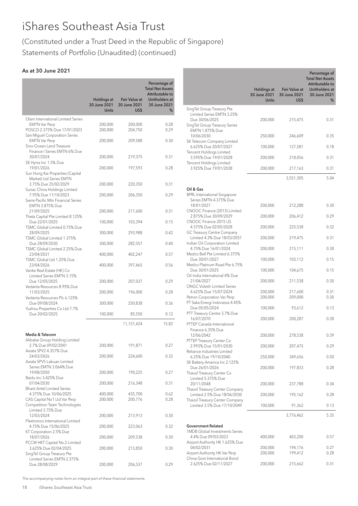# (Constituted under a Trust Deed in the Republic of Singapore) Statements of Portfolio (Unaudited) (continued)

# As at 30 June 2021

|                                                                                                             | <b>Holdings at</b><br>30 June 2021<br><b>Units</b> | <b>Fair Value at</b><br>30 June 2021<br>US\$ | Percentage of<br><b>Total Net Assets</b><br>Attributable to<br>Unitholders at<br>30 June 2021<br>% |
|-------------------------------------------------------------------------------------------------------------|----------------------------------------------------|----------------------------------------------|----------------------------------------------------------------------------------------------------|
| Olam International Limited Series                                                                           |                                                    |                                              |                                                                                                    |
| <b>EMTN Var Perp</b><br>POSCO 2.375% Due 17/01/2023<br>San Miguel Corporation Series                        | 200,000<br>200,000                                 | 200,000<br>204,750                           | 0.28<br>0.29                                                                                       |
| <b>EMTN Var Perp</b><br>Sino-Ocean Land Treasure                                                            | 200,000                                            | 209,588                                      | 0.30                                                                                               |
| Finance I Series EMTN 6% Due<br>30/07/2024<br>SK Hynix Inc 1.5% Due                                         | 200,000                                            | 219,375                                      | 0.31                                                                                               |
| 19/01/2026<br>Sun Hung Kai Properties (Capital                                                              | 200,000                                            | 197,593                                      | 0.28                                                                                               |
| Market) Ltd Series EMTN<br>3.75% Due 25/02/2029<br>Sunac China Holdings Limited                             | 200,000                                            | 220,350                                      | 0.31                                                                                               |
| 7.95% Due 11/10/2023<br>Swire Pacific Mtn Financial Series                                                  | 200,000                                            | 206,350                                      | 0.29                                                                                               |
| EMTN 3.875% Due<br>21/09/2025<br>Theta Capital Pte Limited 8.125%                                           | 200,000                                            | 217,600                                      | 0.31                                                                                               |
| Due 22/01/2025<br>TSMC Global Limited 0.75% Due                                                             | 100,000                                            | 103,394                                      | 0.15                                                                                               |
| 28/09/2025<br>TSMC Global Limited 1.375%                                                                    | 300,000                                            | 293,988                                      | 0.42                                                                                               |
| Due 28/09/2030<br>TSMC Global Limited 2.25% Due<br>23/04/2031                                               | 300,000                                            | 282,557                                      | 0.40<br>0.57                                                                                       |
| TSMC Global Ltd 1.25% Due<br>23/04/2026                                                                     | 400,000<br>400,000                                 | 402,247<br>397,465                           | 0.56                                                                                               |
| Vanke Real Estate (HK) Co<br>Limited Series EMTN 3.15%<br>Due 12/05/2025                                    | 200,000                                            | 207,037                                      | 0.29                                                                                               |
| Vedanta Resources 8.95% Due<br>11/03/2025                                                                   | 200,000                                            | 196,000                                      | 0.28                                                                                               |
| Vedanta Resources Plc 6.125%<br>Due 09/08/2024                                                              | 300,000                                            | 250,838                                      | 0.36                                                                                               |
| Yuzhou Properties Co Ltd 7.7%<br>Due 20/02/2025                                                             | 100,000                                            | 85,550                                       | 0.12                                                                                               |
|                                                                                                             |                                                    | 11,151,424                                   | 15.82                                                                                              |
| Media & Telecom<br>Alibaba Group Holding Limited                                                            |                                                    |                                              |                                                                                                    |
| 2.7% Due 09/02/2041<br>Axiata SPV2 4.357% Due                                                               | 200,000                                            | 191,871                                      | 0.27                                                                                               |
| 24/03/2026<br>Axiata SPV5 Labuan Limited                                                                    | 200,000                                            | 224,600                                      | 0.32                                                                                               |
| Series EMTN 3.064% Due<br>19/08/2050<br>Baidu Inc 3.425% Due                                                | 200,000                                            | 190,225                                      | 0.27                                                                                               |
| 07/04/2030<br>Bharti Airtel Limited Series                                                                  | 200,000                                            | 216,348                                      | 0.31                                                                                               |
| 4.375% Due 10/06/2025<br>CAS Capital No1 Ltd Var Perp<br>Competition Team Technologies<br>Limited 3.75% Due | 400,000<br>200,000                                 | 435,700<br>200,776                           | 0.62<br>0.28                                                                                       |
| 12/03/2024<br>Flextronics International Limited                                                             | 200,000                                            | 213,913                                      | 0.30                                                                                               |
| 4.75% Due 15/06/2025<br>KT Corporation 2.5% Due                                                             | 200,000                                            | 223,063                                      | 0.32                                                                                               |
| 18/07/2026<br>PCCW HKT Capital No.2 Limited                                                                 | 200,000                                            | 209,538                                      | 0.30                                                                                               |
| 3.625% Due 02/04/2025<br>SingTel Group Treasury Pte<br>Limited Series EMTN 2.375%                           | 200,000                                            | 213,850                                      | 0.30                                                                                               |
| Due 28/08/2029                                                                                              | 200,000                                            | 206,537                                      | 0.29                                                                                               |

|                                                                                                                             | Holdings at<br>30 June 2021<br><b>Units</b> | <b>Fair Value at</b><br>30 June 2021<br>US\$ | Percentage of<br><b>Total Net Assets</b><br>Attributable to<br>Unitholders at<br>30 June 2021<br>% |
|-----------------------------------------------------------------------------------------------------------------------------|---------------------------------------------|----------------------------------------------|----------------------------------------------------------------------------------------------------|
| SingTel Group Treasury Pte<br>Limited Series EMTN 3.25%<br>Due 30/06/2025<br>SingTel Group Treasury Series                  | 200,000                                     | 215,475                                      | 0.31                                                                                               |
| EMTN 1.875% Due<br>10/06/2030                                                                                               | 250,000                                     | 246,609                                      | 0.35                                                                                               |
| SK Telecom Company Limited<br>6.625% Due 20/07/2027                                                                         | 100,000                                     | 127,581                                      | 0.18                                                                                               |
| Tencent Holdings Limited<br>3.595% Due 19/01/2028                                                                           | 200,000                                     | 218,056                                      | 0.31                                                                                               |
| Tencent Holdings Limited<br>3.925% Due 19/01/2038                                                                           | 200,000                                     | 217,163                                      | 0.31                                                                                               |
|                                                                                                                             |                                             | 3,551,305                                    | 5.04                                                                                               |
| Oil & Gas<br><b>BPRL</b> International Singapore<br>Series EMTN 4.375% Due<br>18/01/2027<br>CNOOC Finance (2013) Limited    | 200,000                                     | 212,288                                      | 0.30                                                                                               |
| 2.875% Due 30/09/2029<br>CNOOC Finance 2015 US                                                                              | 200,000                                     | 206,412                                      | 0.29                                                                                               |
| 4.375% Due 02/05/2028<br>GC Treasury Centre Company                                                                         | 200,000                                     | 225,538                                      | 0.32                                                                                               |
| Limited 4.3% Due 18/03/2051<br>Indian Oil Corporation Limited<br>4.75% Due 16/01/2024                                       | 200,000<br>200,000                          | 219,475<br>215,111                           | 0.31<br>0.30                                                                                       |
| Medco Bell Pte Limited 6.375%<br>Due 30/01/2027                                                                             | 100,000                                     | 103,112                                      | 0.15                                                                                               |
| Medco Platinum Road Pte 6.75%<br>Due 30/01/2025                                                                             | 100,000                                     | 104,675                                      | 0.15                                                                                               |
| Oil India International 4% Due<br>21/04/2027                                                                                | 200,000                                     | 211,538                                      | 0.30                                                                                               |
| <b>ONGC Videsh Limited Series</b><br>4.625% Due 15/07/2024<br>Petron Corporation Var Perp<br>PT Saka Energi Indonesia 4.45% | 200,000<br>200,000                          | 217,600<br>209,000                           | 0.31<br>0.30                                                                                       |
| Due 05/05/2024<br>PTT Treasury Centre 3.7% Due                                                                              | 100,000                                     | 93,612                                       | 0.13                                                                                               |
| 16/07/2070<br>PTTEP Canada International<br>Finance 6.35% Due                                                               | 200,000                                     | 200,287                                      | 0.28                                                                                               |
| 12/06/2042<br>PTTEP Treasury Center Co                                                                                      | 200,000                                     | 278,538                                      | 0.39                                                                                               |
| 2.993% Due 15/01/2030<br>Reliance Industries Limited                                                                        | 200,000                                     | 207,475                                      | 0.29                                                                                               |
| 6.25% Due 19/10/2040<br>SK Battery America Inc 2.125%                                                                       | 250,000                                     | 349,656                                      | 0.50                                                                                               |
| Due 26/01/2026<br>Thaioil Treasury Center Co<br>Limited 5.375% Due                                                          | 200,000                                     | 197,833                                      | 0.28                                                                                               |
| 20/11/2048<br>Thaioil Treasury Center Company                                                                               | 200,000                                     | 237,788                                      | 0.34                                                                                               |
| Limited 2.5% Due 18/06/2030<br>Thaioil Treasury Center Company                                                              | 200,000                                     | 195,162                                      | 0.28                                                                                               |
| Limited 3.5% Due 17/10/2049                                                                                                 | 100,000                                     | 91,362                                       | 0.13                                                                                               |
|                                                                                                                             |                                             | 3,776,462                                    | 5.35                                                                                               |
| <b>Government Related</b><br>1MDB Global Investments Series<br>4.4% Due 09/03/2023                                          | 400,000                                     | 403,200                                      | 0.57                                                                                               |
| Airport Authority HK 1.625% Due<br>04/02/2031<br>Airport Authority HK Var Perp<br>China Govt International Bond             | 200,000<br>200,000                          | 194,176<br>199,412                           | 0.27<br>0.28                                                                                       |
| 2.625% Due 02/11/2027                                                                                                       | 200,000                                     | 215,662                                      | 0.31                                                                                               |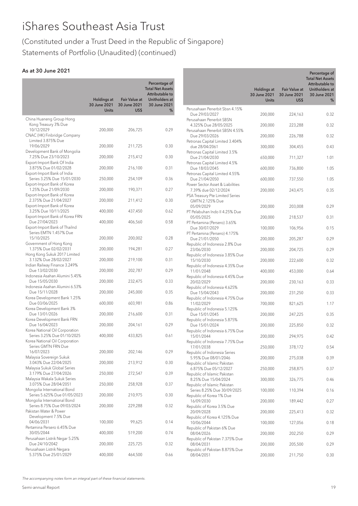# (Constituted under a Trust Deed in the Republic of Singapore) Statements of Portfolio (Unaudited) (continued)

# As at 30 June 2021

|                                                             | <b>Holdings at</b><br>30 June 2021 | <b>Fair Value at</b><br>30 June 2021 | Percentage of<br><b>Total Net Assets</b><br>Attributable to<br>Unitholders at<br>30 June 2021 |                                                    |
|-------------------------------------------------------------|------------------------------------|--------------------------------------|-----------------------------------------------------------------------------------------------|----------------------------------------------------|
|                                                             | <b>Units</b>                       | US\$                                 | %                                                                                             | Perusahaan Penerbit Sbsn 4.15%                     |
| China Huaneng Group Hong                                    |                                    |                                      |                                                                                               | Due 29/03/2027<br>Perusahaan Penerbit SBSN         |
| Kong Treasury 3% Due                                        |                                    |                                      |                                                                                               | 4.325% Due 28/05/2025                              |
| 10/12/2029                                                  | 200,000                            | 206,725                              | 0.29                                                                                          | Perusahaan Penerbit SBSN 4.55%                     |
| CNAC (HK) Finbridge Company                                 |                                    |                                      |                                                                                               | Due 29/03/2026                                     |
| Limited 3.875% Due                                          |                                    |                                      |                                                                                               | Petronas Capital Limited 3.404%                    |
| 19/06/2029<br>Development Bank of Mongolia                  | 200,000                            | 211,725                              | 0.30                                                                                          | due 28/04/2061                                     |
| 7.25% Due 23/10/2023                                        | 200,000                            | 215,412                              | 0.30                                                                                          | Petronas Capital Limited 3.5%<br>Due 21/04/2030    |
| Export-Import Bank Of India                                 |                                    |                                      |                                                                                               | Petronas Capital Limited 4.5%                      |
| 3.875% Due 01/02/2028                                       | 200,000                            | 216,100                              | 0.31                                                                                          | Due 18/03/2045                                     |
| Export-Import Bank of India                                 |                                    |                                      |                                                                                               | Petronas Capital Limited 4.55%                     |
| Series 3.25% Due 15/01/2030                                 | 250,000                            | 254,109                              | 0.36                                                                                          | Due 21/04/2050                                     |
| Export-Import Bank of Korea                                 |                                    |                                      |                                                                                               | Power Sector Asset & Liabilities                   |
| 1.25% Due 21/09/2030<br>Export-Import Bank of Korea         | 200,000                            | 190,371                              | 0.27                                                                                          | 7.39% due 02/12/2024                               |
| 2.375% Due 21/04/2027                                       | 200,000                            | 211,412                              | 0.30                                                                                          | PSA Treasury Pte Limited Series<br>GMTN 2.125% Due |
| Export-Import Bank of Korea                                 |                                    |                                      |                                                                                               | 05/09/2029                                         |
| 3.25% Due 10/11/2025                                        | 400,000                            | 437,450                              | 0.62                                                                                          | PT Pelabuhan Indo II 4.25% Due                     |
| Export-Import Bank of Korea FRN                             |                                    |                                      |                                                                                               | 05/05/2025                                         |
| Due 27/04/2023                                              | 400,000                            | 406,560                              | 0.58                                                                                          | PT Pertamina (Persero) 3.65%                       |
| Export-Import Bank of Thailnd                               |                                    |                                      |                                                                                               | Due 30/07/2029                                     |
| Series EMTN 1.457% Due                                      |                                    |                                      |                                                                                               | PT Pertamina (Persero) 4.175%                      |
| 15/10/2025                                                  | 200,000                            | 200,002                              | 0.28                                                                                          | Due 21/01/2050                                     |
| Government of Hong Kong<br>1.375% Due 02/02/2031            | 200,000                            | 194,281                              | 0.27                                                                                          | Republic of Indonesia 2.8% Due                     |
| Hong Kong Sukuk 2017 Limited                                |                                    |                                      |                                                                                               | 23/06/2030                                         |
| 3.132% Due 28/02/2027                                       | 200,000                            | 219,100                              | 0.31                                                                                          | Republic of Indonesia 3.85% Due<br>15/10/2030      |
| Indian Railway Finance 3.249%                               |                                    |                                      |                                                                                               | Republic of Indonesia 4.35% Due                    |
| Due 13/02/2030                                              | 200,000                            | 202,787                              | 0.29                                                                                          | 11/01/2048                                         |
| Indonesia Asahan Alumini 5.45%                              |                                    |                                      |                                                                                               | Republic of Indonesia 4.45% Due                    |
| Due 15/05/2030                                              | 200,000                            | 232,475                              | 0.33                                                                                          | 20/02/2029                                         |
| Indonesia Asahan Alumini 6.53%                              |                                    |                                      |                                                                                               | Republic of Indonesia 4.625%                       |
| Due 15/11/2028                                              | 200,000                            | 245,000                              | 0.35                                                                                          | Due 15/04/2043                                     |
| Korea Development Bank 1.25%<br>Due 03/06/2025              | 600,000                            | 603,981                              | 0.86                                                                                          | Republic of Indonesia 4.75% Due<br>11/02/2029      |
| Korea Development Bank 3%                                   |                                    |                                      |                                                                                               | Republic of Indonesia 5.125%                       |
| Due 13/01/2026                                              | 200,000                            | 216,600                              | 0.31                                                                                          | Due 15/01/2045                                     |
| Korea Development Bank FRN                                  |                                    |                                      |                                                                                               | Republic of Indonesia 5.875%                       |
| Due 16/04/2023                                              | 200,000                            | 204,161                              | 0.29                                                                                          | Due 15/01/2024                                     |
| Korea National Oil Corporation                              |                                    |                                      |                                                                                               | Republic of Indonesia 6.75% Due                    |
| Series 3.25% Due 01/10/2025                                 | 400,000                            | 433,825                              | 0.61                                                                                          | 15/01/2044                                         |
| Korea National Oil Corporation<br>Series GMTN FRN Due       |                                    |                                      |                                                                                               | Republic of Indonesia 7.75% Due                    |
| 16/07/2023                                                  | 200,000                            | 202,146                              | 0.29                                                                                          | 17/01/2038<br>Republic of Indonesia Series         |
| Malaysia Sovereign Sukuk                                    |                                    |                                      |                                                                                               | 5.95% Due 08/01/2046                               |
| 3.043% Due 22/04/2025                                       | 200,000                            | 213,912                              | 0.30                                                                                          | Republic of Islamic Pakistan                       |
| Malaysia Sukuk Global Series                                |                                    |                                      |                                                                                               | 6.875% Due 05/12/2027                              |
| 3.179% Due 27/04/2026                                       | 250,000                            | 272,547                              | 0.39                                                                                          | Republic of Islamic Pakistan                       |
| Malaysia Wakala Sukuk Series                                |                                    |                                      |                                                                                               | 8.25% Due 15/04/2024                               |
| 3.075% Due 28/04/2051                                       | 250,000                            | 258,928                              | 0.37                                                                                          | Republic of Islamic Pakistan                       |
| Mongolia International Bond                                 |                                    |                                      |                                                                                               | Series 8.25% Due 30/09/2025                        |
| Series 5.625% Due 01/05/2023<br>Mongolia International Bond | 200,000                            | 210,975                              | 0.30                                                                                          | Republic of Korea 1% Due<br>16/09/2030             |
| Series 8.75% Due 09/03/2024                                 | 200,000                            | 229,288                              | 0.32                                                                                          | Republic of Korea 3.5% Due                         |
| Pakistan Water & Power                                      |                                    |                                      |                                                                                               | 20/09/2028                                         |
| Development 7.5% Due                                        |                                    |                                      |                                                                                               | Republic of Korea 4.125% Due                       |
| 04/06/2031                                                  | 100,000                            | 99,625                               | 0.14                                                                                          | 10/06/2044                                         |
| Pertamina Persero 6.45% Due                                 |                                    |                                      |                                                                                               | Republic of Pakistan 6% Due                        |
| 30/05/2044                                                  | 400,000                            | 519,200                              | 0.74                                                                                          | 08/04/2026                                         |
| Perusahaan Listrik Negar 5.25%                              |                                    |                                      |                                                                                               | Republic of Pakistan 7.375% Due                    |
| Due 24/10/2042                                              | 200,000                            | 225,725                              | 0.32                                                                                          | 08/04/2031                                         |
| Perusahaan Listrik Negara                                   |                                    |                                      | 0.66                                                                                          | Republic of Pakistan 8.875% Due                    |

|                                                         | Holdings at<br>30 June 2021<br><b>Units</b> | <b>Fair Value at</b><br>30 June 2021<br>US\$ | Percentage of<br><b>Total Net Assets</b><br>Attributable to<br>Unitholders at<br>30 June 2021<br>℅ |
|---------------------------------------------------------|---------------------------------------------|----------------------------------------------|----------------------------------------------------------------------------------------------------|
| Perusahaan Penerbit Sbsn 4.15%<br>Due 29/03/2027        | 200,000                                     | 224,163                                      | 0.32                                                                                               |
| Perusahaan Penerbit SBSN                                |                                             |                                              |                                                                                                    |
| 4.325% Due 28/05/2025<br>Perusahaan Penerbit SBSN 4.55% | 200,000                                     | 223,288                                      | 0.32                                                                                               |
| Due 29/03/2026                                          | 200,000                                     | 226,788                                      | 0.32                                                                                               |
| Petronas Capital Limited 3.404%<br>due 28/04/2061       | 300,000                                     | 304,455                                      | 0.43                                                                                               |
| Petronas Capital Limited 3.5%<br>Due 21/04/2030         | 650,000                                     | 711,327                                      | 1.01                                                                                               |
| Petronas Capital Limited 4.5%<br>Due 18/03/2045         | 600,000                                     | 736,800                                      | 1.05                                                                                               |
| Petronas Capital Limited 4.55%                          |                                             |                                              |                                                                                                    |
| Due 21/04/2050<br>Power Sector Asset & Liabilities      | 600,000                                     | 737,550                                      | 1.05                                                                                               |
| 7.39% due 02/12/2024<br>PSA Treasury Pte Limited Series | 200,000                                     | 243,475                                      | 0.35                                                                                               |
| GMTN 2.125% Due                                         |                                             |                                              |                                                                                                    |
| 05/09/2029<br>PT Pelabuhan Indo II 4.25% Due            | 200,000                                     | 203,008                                      | 0.29                                                                                               |
| 05/05/2025<br>PT Pertamina (Persero) 3.65%              | 200,000                                     | 218,537                                      | 0.31                                                                                               |
| Due 30/07/2029                                          | 100,000                                     | 106,956                                      | 0.15                                                                                               |
| PT Pertamina (Persero) 4.175%<br>Due 21/01/2050         | 200,000                                     | 205,287                                      | 0.29                                                                                               |
| Republic of Indonesia 2.8% Due<br>23/06/2030            | 200,000                                     | 204,725                                      | 0.29                                                                                               |
| Republic of Indonesia 3.85% Due                         |                                             |                                              |                                                                                                    |
| 15/10/2030<br>Republic of Indonesia 4.35% Due           | 200,000                                     | 222,600                                      | 0.32                                                                                               |
| 11/01/2048<br>Republic of Indonesia 4.45% Due           | 400,000                                     | 453,000                                      | 0.64                                                                                               |
| 20/02/2029<br>Republic of Indonesia 4.625%              | 200,000                                     | 230,163                                      | 0.33                                                                                               |
| Due 15/04/2043                                          | 200,000                                     | 231,250                                      | 0.33                                                                                               |
| Republic of Indonesia 4.75% Due<br>11/02/2029           | 700,000                                     | 821,625                                      | 1.17                                                                                               |
| Republic of Indonesia 5.125%<br>Due 15/01/2045          | 200,000                                     | 247,225                                      | 0.35                                                                                               |
| Republic of Indonesia 5.875%                            |                                             |                                              |                                                                                                    |
| Due 15/01/2024<br>Republic of Indonesia 6.75% Due       | 200,000                                     | 225,850                                      | 0.32                                                                                               |
| 15/01/2044<br>Republic of Indonesia 7.75% Due           | 200,000                                     | 294,975                                      | 0.42                                                                                               |
| 17/01/2038<br>Republic of Indonesia Series              | 250,000                                     | 378,172                                      | 0.54                                                                                               |
| 5.95% Due 08/01/2046                                    | 200,000                                     | 275,038                                      | 0.39                                                                                               |
| Republic of Islamic Pakistan<br>6.875% Due 05/12/2027   | 250,000                                     | 258,875                                      | 0.37                                                                                               |
| Republic of Islamic Pakistan<br>8.25% Due 15/04/2024    | 300,000                                     | 326,775                                      | 0.46                                                                                               |
| Republic of Islamic Pakistan                            |                                             |                                              |                                                                                                    |
| Series 8.25% Due 30/09/2025<br>Republic of Korea 1% Due | 100,000                                     | 110,394                                      | 0.16                                                                                               |
| 16/09/2030<br>Republic of Korea 3.5% Due                | 200,000                                     | 189,442                                      | 0.27                                                                                               |
| 20/09/2028                                              | 200,000                                     | 225,413                                      | 0.32                                                                                               |
| Republic of Korea 4.125% Due<br>10/06/2044              | 100,000                                     | 127,056                                      | 0.18                                                                                               |
| Republic of Pakistan 6% Due<br>08/04/2026               | 200,000                                     | 202,250                                      | 0.29                                                                                               |
| Republic of Pakistan 7.375% Due<br>08/04/2031           | 200,000                                     | 205,500                                      | 0.29                                                                                               |
| Republic of Pakistan 8.875% Due                         |                                             |                                              |                                                                                                    |
| 08/04/2051                                              | 200,000                                     | 211,750                                      | 0.30                                                                                               |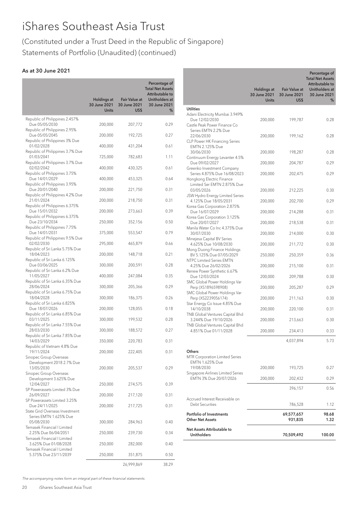# (Constituted under a Trust Deed in the Republic of Singapore) Statements of Portfolio (Unaudited) (continued)

# As at 30 June 2021

|                                                          |                                                    |                                              | Percentage of<br><b>Total Net Assets</b><br>Attributable to |
|----------------------------------------------------------|----------------------------------------------------|----------------------------------------------|-------------------------------------------------------------|
|                                                          | <b>Holdings at</b><br>30 June 2021<br><b>Units</b> | <b>Fair Value at</b><br>30 June 2021<br>US\$ | Unitholders at<br>30 June 2021<br>℅                         |
| Republic of Philippines 2.457%<br>Due 05/05/2030         | 200,000                                            | 207,772                                      | 0.29                                                        |
| Republic of Philippines 2.95%<br>Due 05/05/2045          | 200,000                                            | 192,725                                      | 0.27                                                        |
| Republic of Philippines 3% Due<br>01/02/2028             | 400,000                                            | 431,204                                      | 0.61                                                        |
| Republic of Philippines 3.7% Due<br>01/03/2041           | 725,000                                            | 782,683                                      | 1.11                                                        |
| Republic of Philippines 3.7% Due<br>02/02/2042           | 400,000                                            | 430,325                                      | 0.61                                                        |
| Republic of Philippines 3.75%<br>Due 14/01/2029          | 400,000                                            | 453,325                                      | 0.64                                                        |
| Republic of Philippines 3.95%<br>Due 20/01/2040          | 200,000                                            | 221,750                                      | 0.31                                                        |
| Republic of Philippines 4.2% Due<br>21/01/2024           | 200,000                                            | 218,750                                      | 0.31                                                        |
| Republic of Philippines 6.375%<br>Due 15/01/2032         | 200,000                                            | 273,663                                      | 0.39                                                        |
| Republic of Philippines 6.375%<br>Due 23/10/2034         | 250,000                                            | 352,156                                      | 0.50                                                        |
| Republic of Philippines 7.75%<br>Due 14/01/2031          | 375,000                                            | 553,547                                      | 0.79                                                        |
| Republic of Philippines 9.5% Due<br>02/02/2030           | 295,000                                            | 465,879                                      | 0.66                                                        |
| Republic of Sri Lanka 5.75% Due<br>18/04/2023            | 200,000                                            | 148,718                                      | 0.21                                                        |
| Republic of Sri Lanka 6.125%<br>Due 03/06/2025           | 300,000                                            | 200,591                                      | 0.28                                                        |
| Republic of Sri Lanka 6.2% Due<br>11/05/2027             | 400,000                                            | 247,084                                      | 0.35                                                        |
| Republic of Sri Lanka 6.35% Due<br>28/06/2024            | 300,000                                            | 205,366                                      | 0.29                                                        |
| Republic of Sri Lanka 6.75% Due<br>18/04/2028            | 300,000                                            | 186,375                                      | 0.26                                                        |
| Republic of Sri Lanka 6.825%<br>Due 18/07/2026           | 200,000                                            | 128,055                                      | 0.18                                                        |
| Republic of Sri Lanka 6.85% Due<br>03/11/2025            | 300,000                                            | 199,532                                      | 0.28                                                        |
| Republic of Sri Lanka 7.55% Due<br>28/03/2030            | 300,000                                            | 188,572                                      | 0.27                                                        |
| Republic of Sri Lanka 7.85% Due<br>14/03/2029            | 350,000                                            | 220,783                                      | 0.31                                                        |
| Republic of Vietnam 4.8% Due<br>19/11/2024               | 200,000                                            | 222,405                                      | 0.31                                                        |
| Sinopec Group Overseas<br>Development 2018 2.7% Due      |                                                    |                                              |                                                             |
| 13/05/2030<br>Sinopec Group Overseas                     | 200,000                                            | 205,537                                      | 0.29                                                        |
| Development 3.625% Due<br>12/04/2027                     | 250,000                                            | 274,575                                      | 0.39                                                        |
| SP Powerassets Limited 3% Due<br>26/09/2027              | 200,000                                            | 217,120                                      | 0.31                                                        |
| SP Powerassets Limited 3.25%<br>Due 24/11/2025           | 200,000                                            | 217,725                                      | 0.31                                                        |
| State Grid Overseas Investment<br>Series EMTN 1.625% Due |                                                    |                                              |                                                             |
| 05/08/2030<br>Temasek Financial I Limited                | 300,000                                            | 284,963                                      | 0.40                                                        |
| 2.25% Due 06/04/2051<br>Temasek Financial I Limited      | 250,000                                            | 239,730                                      | 0.34                                                        |
| 3.625% Due 01/08/2028<br>Temasek Financial I Limited     | 250,000                                            | 282,000                                      | 0.40                                                        |
| 5.375% Due 23/11/2039                                    | 250,000                                            | 351,875                                      | 0.50                                                        |
|                                                          |                                                    | 26,999,869                                   | 38.29                                                       |

|                                                                                   |                                             |                                              | Percentage of<br><b>Total Net Assets</b><br>Attributable to |
|-----------------------------------------------------------------------------------|---------------------------------------------|----------------------------------------------|-------------------------------------------------------------|
|                                                                                   | Holdings at<br>30 June 2021<br><b>Units</b> | <b>Fair Value at</b><br>30 June 2021<br>US\$ | Unitholders at<br>30 June 2021<br>℅                         |
| <b>Utilities</b>                                                                  |                                             |                                              |                                                             |
| Adani Electricity Mumbai 3.949%<br>Due 12/02/2030<br>Castle Peak Power Finance Co | 200,000                                     | 199,787                                      | 0.28                                                        |
| Series EMTN 2.2% Due<br>22/06/2030                                                | 200,000                                     | 199,162                                      | 0.28                                                        |
| <b>CLP Power HK Financing Series</b><br>EMTN 2.125% Due<br>30/06/2030             | 200,000                                     | 198,287                                      | 0.28                                                        |
| Continuum Energy Levanter 4.5%                                                    |                                             |                                              |                                                             |
| Due 09/02/2027<br>Greenko Investment Company                                      | 200,000                                     | 204,787                                      | 0.29                                                        |
| Series 4.875% Due 16/08/2023<br>Hongkong Electric Finance                         | 200,000                                     | 202,475                                      | 0.29                                                        |
| Limited Ser EMTN 2.875% Due<br>03/05/2026<br>JSW Hydro Energy Limited Series      | 200,000                                     | 212,225                                      | 0.30                                                        |
| 4.125% Due 18/05/2031                                                             | 200,000                                     | 202,700                                      | 0.29                                                        |
| Korea Gas Corporation 2.875%<br>Due 16/07/2029                                    | 200,000                                     | 214,288                                      | 0.31                                                        |
| Korea Gas Corporation 3.125%<br>Due 20/07/2027                                    | 200,000                                     | 218,538                                      | 0.31                                                        |
| Manila Water Co Inc 4.375% Due<br>30/07/2030                                      | 200,000                                     | 214,000                                      | 0.30                                                        |
| Minejesa Capital BV Series<br>4.625% Due 10/08/2030                               | 200,000                                     | 211,772                                      | 0.30                                                        |
| Mong Duong Finance Holdings<br>BV 5.125% Due 07/05/2029                           | 250,000                                     | 250,359                                      | 0.36                                                        |
| <b>NTPC Limited Series EMTN</b><br>4.25% Due 26/02/2026                           | 200,000                                     | 215,100                                      | 0.31                                                        |
| Renew Power Synthetic 6.67%<br>Due 12/03/2024                                     | 200,000                                     | 209,788                                      | 0.30                                                        |
| SMC Global Power Holdings Var<br>Perp (XS1896598908)                              | 200,000                                     | 205,287                                      | 0.29                                                        |
| SMC Global Power Holdings Var<br>Perp (XS2239056174)                              | 200,000                                     | 211,163                                      | 0.30                                                        |
| Star Energy Co Issue 4.85% Due<br>14/10/2038                                      | 200,000                                     | 220,100                                      | 0.31                                                        |
| TNB Global Ventures Capital Bhd<br>3.244% Due 19/10/2026                          | 200,000                                     | 213,663                                      | 0.30                                                        |
| TNB Global Ventures Capital Bhd<br>4.851% Due 01/11/2028                          | 200,000                                     | 234,413                                      | 0.33                                                        |
|                                                                                   |                                             | 4,037,894                                    | 5.73                                                        |
|                                                                                   |                                             |                                              |                                                             |
| Others<br>MTR Corporation Limited Series<br>EMTN 1.625% Due                       |                                             |                                              |                                                             |
| 19/08/2030                                                                        | 200,000                                     | 193,725                                      | 0.27                                                        |
| Singapore Airlines Limited Series<br>EMTN 3% Due 20/07/2026                       | 200,000                                     | 202,432                                      | 0.29                                                        |
|                                                                                   |                                             | 396,157                                      | 0.56                                                        |
| Accrued Interest Receivable on<br>Debt Securities                                 |                                             | 786,528                                      | 1.12                                                        |
| Portfolio of Investments                                                          |                                             | 69,577,657                                   | 98.68                                                       |
| <b>Other Net Assets</b>                                                           |                                             | 931,835                                      | 1.32                                                        |
| Net Assets Attributable to<br><b>Unitholders</b>                                  |                                             | 70,509,492                                   | 100.00                                                      |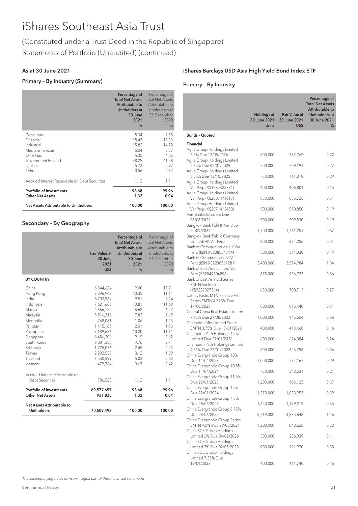# (Constituted under a Trust Deed in the Republic of Singapore) Statements of Portfolio (Unaudited) (continued)

#### As at 30 June 2021

#### Primary – By Industry (Summary)

|                                                                                                                  | Percentage of<br><b>Total Net Assets</b><br>Attributable to<br>Unitholders at<br>30 June<br>2021<br>% | Percentage of<br><b>Total Net Assets</b><br>Attributable to<br>Unitholders at<br>31 December<br>2020<br>% |
|------------------------------------------------------------------------------------------------------------------|-------------------------------------------------------------------------------------------------------|-----------------------------------------------------------------------------------------------------------|
| Consumer<br>Financial<br>Industrial<br>Media & Telecom<br>Oil & Gas<br>Government Related<br>Utilities<br>Others | 8.34<br>18.43<br>15.82<br>5.04<br>5.35<br>38.29<br>5.73<br>0.56                                       | 7.55<br>19.33<br>14.78<br>5.57<br>4.05<br>41.28<br>5.97<br>0.32                                           |
| Accrued Interest Receivable on Debt Securities                                                                   | 1.12                                                                                                  | 1.11                                                                                                      |
| <b>Portfolio of Investments</b><br><b>Other Net Assets</b>                                                       | 98.68<br>1.32                                                                                         | 99.96<br>0.04                                                                                             |
| Net Assets Attributable to Unitholders                                                                           | 100.00                                                                                                | 100.00                                                                                                    |

### Secondary – By Geography

|                                                                                                                                                                                | <b>Fair Value at</b><br>30 June<br>2021<br>US\$                                                                                                                                             | Percentage of<br><b>Total Net Assets</b><br>Attributable to<br>Unitholders at<br>30 June<br>2021<br>%                   | Percentage of<br><b>Total Net Assets</b><br>Attributable to<br>Unitholders at<br>31 December<br>2020<br>%                |
|--------------------------------------------------------------------------------------------------------------------------------------------------------------------------------|---------------------------------------------------------------------------------------------------------------------------------------------------------------------------------------------|-------------------------------------------------------------------------------------------------------------------------|--------------------------------------------------------------------------------------------------------------------------|
| <b>BY COUNTRY</b>                                                                                                                                                              |                                                                                                                                                                                             |                                                                                                                         |                                                                                                                          |
| China<br>Hong Kong<br>India<br>Indonesia<br>Macau<br>Malaysia<br>Mongolia<br>Pakistan<br>Philippines<br>Singapore<br>South Korea<br>Sri Lanka<br>Taiwan<br>Thailand<br>Vietnam | 6,344,624<br>7,296,948<br>6,703,964<br>7,621,663<br>4,666,120<br>5,516,316<br>748,081<br>1,415,169<br>7,189,686<br>6,456,206<br>6,881,380<br>1,725,076<br>2,202,533<br>3,550,599<br>472,764 | 9.00<br>10.35<br>9.51<br>10.81<br>6.62<br>7.82<br>1.06<br>2.01<br>10.20<br>9.15<br>9.76<br>2.45<br>3.12<br>5.03<br>0.67 | 10.21<br>11.11<br>9.24<br>11.69<br>6.22<br>7.69<br>1.25<br>1.13<br>11.31<br>9.62<br>9.71<br>2.23<br>1.99<br>5.03<br>0.42 |
| Accrued Interest Receivable on<br>Debt Securities                                                                                                                              | 786,528                                                                                                                                                                                     | 1.12                                                                                                                    | 1.11                                                                                                                     |
| Portfolio of Investments<br><b>Other Net Assets</b>                                                                                                                            | 69,577,657<br>931,835                                                                                                                                                                       | 98.68<br>1.32                                                                                                           | 99.96<br>0.04                                                                                                            |
| Net Assets Attributable to<br><b>Unitholders</b>                                                                                                                               | 70,509,492                                                                                                                                                                                  | 100.00                                                                                                                  | 100.00                                                                                                                   |

### iShares Barclays USD Asia High Yield Bond Index ETF

### Primary – By Industry

|                                                                                     |                                             |                                              | Percentage of<br><b>Total Net Assets</b><br>Attributable to |
|-------------------------------------------------------------------------------------|---------------------------------------------|----------------------------------------------|-------------------------------------------------------------|
|                                                                                     | Holdings at<br>30 June 2021<br><b>Units</b> | <b>Fair Value at</b><br>30 June 2021<br>US\$ | Unitholders at<br>30 June 2021<br>%                         |
| <b>Bonds - Quoted</b>                                                               |                                             |                                              |                                                             |
| Financial                                                                           |                                             |                                              |                                                             |
| Agile Group Holdings Limited<br>5.5% Due 17/05/2026<br>Agile Group Holdings Limited | 600,000                                     | 582,765                                      | 0.22                                                        |
| 5.75% Due 02/01/2025                                                                | 700,000                                     | 709,191                                      | 0.27                                                        |
| Agile Group Holdings Limited<br>6.05% Due 13/10/2025                                | 750,000                                     | 761,310                                      | 0.29                                                        |
| Agile Group Holdings Limited<br>Var Perp (XS1785422731)                             | 400,000                                     | 406,804                                      | 0.15                                                        |
| Agile Group Holdings Limited<br>Var Perp (XS2003471617)                             | 850,000                                     | 885,726                                      | 0.34                                                        |
| Agile Group Holdings Limited<br>Var Perp (XS2071413483)<br>Axis Bank/Dubai 3% Due   | 500,000                                     | 510,850                                      | 0.19                                                        |
| 08/08/2022                                                                          | 500,000                                     | 509,530                                      | 0.19                                                        |
| Bangkok Bank Pcl/HK Var Due<br>25/09/2034<br>Bangkok Bank Public Company            | 1,700,000                                   | 1,761,251                                    | 0.67                                                        |
| Limited/HK Var Perp                                                                 | 600,000                                     | 634,206                                      | 0.24                                                        |
| Bank of Communication HK Var<br>Perp (ISIN XS2085545494)                            | 500,000                                     | 511,330                                      | 0.19                                                        |
| Bank of Communications Var<br>Perp (ISIN XS2238561281)                              | 3,400,000                                   | 3,524,984                                    | 1.34                                                        |
| Bank of East Asia Limited Var<br>Perp (XS2049804896)                                | 875,000                                     | 936,723                                      | 0.36                                                        |
| Bank of East Asia Ltd Series<br><b>EMTN Var Perp</b>                                |                                             |                                              |                                                             |
| (XS2222027364)<br>Cathay Pacfic MTN Finance HK                                      | 650,000                                     | 700,713                                      | 0.27                                                        |
| Series EMTN 4.875% Due<br>17/08/2026                                                | 800,000                                     | 815,440                                      | 0.31                                                        |
| Central China Real Estate Limited<br>7.65% Due 27/08/2023                           | 1,000,000                                   | 945,554                                      | 0.36                                                        |
| Champion Mtn Limited Series<br>EMTN 3.75% Due 17/01/2023                            | 400,000                                     | 413,460                                      | 0.16                                                        |
| Champion Path Holdings 4.5%<br>Limited Due 27/01/2026                               | 600,000                                     | 624,084                                      | 0.24                                                        |
| Champion Path Holdings Limited<br>4.85% Due 27/01/2028                              | 600,000                                     | 625,758                                      | 0.24                                                        |
| China Evergrande Group 10%<br>Due 11/04/2023                                        | 1,000,000                                   | 774,167                                      | 0.29                                                        |
| China Evergrande Group 10.5%<br>Due 11/04/2024                                      | 750,000                                     | 542,531                                      | 0.21                                                        |
| China Evergrande Group 11.5%<br>Due 22/01/2023                                      | 1,200,000                                   | 963,125                                      | 0.37                                                        |
| China Evergrande Group 12%<br>Due 22/01/2024                                        | 1,370,000                                   | 1,033,953                                    | 0.39                                                        |
| China Evergrande Group 7.5%<br>Due 28/06/2023                                       | 1,650,000                                   | 1,179,219                                    | 0.45                                                        |
| China Evergrande Group 8.75%<br>Due 28/06/2025                                      | 5,719,000                                   | 3,835,648                                    | 1.46                                                        |
| China Evergrande Group Series<br>EMTN 9.5% Due 29/03/2024                           | 1,200,000                                   | 842,628                                      | 0.32                                                        |
| China SCE Group Holdings<br>Limited 6% Due 04/02/2026                               | 300,000                                     | 286,039                                      | 0.11                                                        |
| China SCE Group Holdings<br>Limited 7% Due 02/05/2025                               | 900,000                                     | 911,970                                      | 0.35                                                        |
| China SCE Group Holdings<br>Limited 7.25% Due<br>19/04/2023                         | 400,000                                     | 411,740                                      | 0.16                                                        |
|                                                                                     |                                             |                                              |                                                             |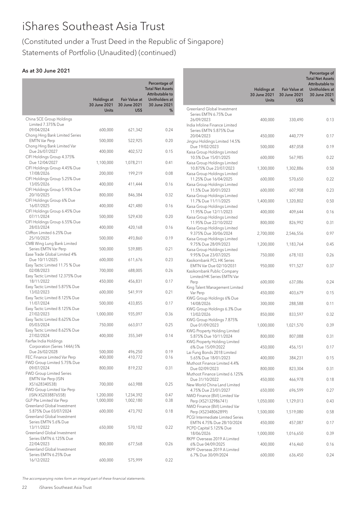# (Constituted under a Trust Deed in the Republic of Singapore) Statements of Portfolio (Unaudited) (continued)

# As at 30 June 2021

| Percentage of<br><b>Total Net Assets</b><br>Attributable to<br><b>Holdings at</b><br><b>Fair Value at</b><br>Unitholders at<br>30 June 2021<br>30 June 2021<br>30 June 2021<br><b>Units</b><br>US\$<br>%<br>China SCE Group Holdings<br>Limited 7.375% Due<br>09/04/2024<br>600,000<br>621,342<br>0.24<br>Chong Hing Bank Limited Series<br><b>EMTN Var Perp</b><br>500,000<br>522,925<br>0.20<br>Chong Hing Bank Limited Var<br>Due 26/07/2027<br>400,000<br>402,572<br>0.15<br>CIFI Holdings Group 4.375%<br>Due 12/04/2027<br>1,100,000<br>0.41<br>1,078,211<br>CIFI Holdings Group 4.45% Due |
|--------------------------------------------------------------------------------------------------------------------------------------------------------------------------------------------------------------------------------------------------------------------------------------------------------------------------------------------------------------------------------------------------------------------------------------------------------------------------------------------------------------------------------------------------------------------------------------------------|
|                                                                                                                                                                                                                                                                                                                                                                                                                                                                                                                                                                                                  |
|                                                                                                                                                                                                                                                                                                                                                                                                                                                                                                                                                                                                  |
|                                                                                                                                                                                                                                                                                                                                                                                                                                                                                                                                                                                                  |
|                                                                                                                                                                                                                                                                                                                                                                                                                                                                                                                                                                                                  |
|                                                                                                                                                                                                                                                                                                                                                                                                                                                                                                                                                                                                  |
|                                                                                                                                                                                                                                                                                                                                                                                                                                                                                                                                                                                                  |
|                                                                                                                                                                                                                                                                                                                                                                                                                                                                                                                                                                                                  |
|                                                                                                                                                                                                                                                                                                                                                                                                                                                                                                                                                                                                  |
|                                                                                                                                                                                                                                                                                                                                                                                                                                                                                                                                                                                                  |
|                                                                                                                                                                                                                                                                                                                                                                                                                                                                                                                                                                                                  |
|                                                                                                                                                                                                                                                                                                                                                                                                                                                                                                                                                                                                  |
| 17/08/2026<br>200,000<br>199,219<br>0.08                                                                                                                                                                                                                                                                                                                                                                                                                                                                                                                                                         |
| CIFI Holdings Group 5.25% Due                                                                                                                                                                                                                                                                                                                                                                                                                                                                                                                                                                    |
| 13/05/2026<br>400,000<br>0.16<br>411,444                                                                                                                                                                                                                                                                                                                                                                                                                                                                                                                                                         |
| CIFI Holdings Group 5.95% Due<br>20/10/2025<br>800,000<br>846,384<br>0.32                                                                                                                                                                                                                                                                                                                                                                                                                                                                                                                        |
| CIFI Holdings Group 6% Due                                                                                                                                                                                                                                                                                                                                                                                                                                                                                                                                                                       |
| 16/07/2025<br>400,000<br>0.16<br>421,480                                                                                                                                                                                                                                                                                                                                                                                                                                                                                                                                                         |
| CIFI Holdings Group 6.45% Due                                                                                                                                                                                                                                                                                                                                                                                                                                                                                                                                                                    |
| 07/11/2024<br>500,000<br>529,430<br>0.20                                                                                                                                                                                                                                                                                                                                                                                                                                                                                                                                                         |
| CIFI Holdings Group 6.55% Due<br>28/03/2024<br>400,000<br>0.16<br>420,168                                                                                                                                                                                                                                                                                                                                                                                                                                                                                                                        |
| Cliffton Limited 6.25% Due                                                                                                                                                                                                                                                                                                                                                                                                                                                                                                                                                                       |
| 25/10/2025<br>500,000<br>493,860<br>0.19                                                                                                                                                                                                                                                                                                                                                                                                                                                                                                                                                         |
| CMB Wing Lung Bank Limited                                                                                                                                                                                                                                                                                                                                                                                                                                                                                                                                                                       |
| Series EMTN Var Perp<br>500,000<br>539,885<br>0.21<br>Ease Trade Global Limited 4%                                                                                                                                                                                                                                                                                                                                                                                                                                                                                                               |
| Due 10/11/2025<br>600,000<br>0.23<br>611,676                                                                                                                                                                                                                                                                                                                                                                                                                                                                                                                                                     |
| Easy Tactic Limited 11.75 % Due                                                                                                                                                                                                                                                                                                                                                                                                                                                                                                                                                                  |
| 02/08/2023<br>700,000<br>0.26<br>688,005                                                                                                                                                                                                                                                                                                                                                                                                                                                                                                                                                         |
| Easy Tactic Limited 12.375% Due                                                                                                                                                                                                                                                                                                                                                                                                                                                                                                                                                                  |
| 18/11/2022<br>450,000<br>0.17<br>456,831<br>Easy Tactic Limited 5.875% Due                                                                                                                                                                                                                                                                                                                                                                                                                                                                                                                       |
| 13/02/2023<br>600,000<br>541,919<br>0.21                                                                                                                                                                                                                                                                                                                                                                                                                                                                                                                                                         |
| Easy Tactic Limited 8.125% Due                                                                                                                                                                                                                                                                                                                                                                                                                                                                                                                                                                   |
| 11/07/2024<br>500,000<br>433,855<br>0.17                                                                                                                                                                                                                                                                                                                                                                                                                                                                                                                                                         |
| Easy Tactic Limited 8.125% Due<br>27/02/2023<br>0.36                                                                                                                                                                                                                                                                                                                                                                                                                                                                                                                                             |
| 1,000,000<br>935,097<br>Easy Tactic Limited 8.625% Due                                                                                                                                                                                                                                                                                                                                                                                                                                                                                                                                           |
| 05/03/2024<br>750,000<br>0.25<br>663,017                                                                                                                                                                                                                                                                                                                                                                                                                                                                                                                                                         |
| Easy Tactic Limited 8.625% Due                                                                                                                                                                                                                                                                                                                                                                                                                                                                                                                                                                   |
| 27/02/2024<br>400,000<br>355,349<br>0.14                                                                                                                                                                                                                                                                                                                                                                                                                                                                                                                                                         |
| Fairfax India Holdings<br>Corporation (Series 144A) 5%                                                                                                                                                                                                                                                                                                                                                                                                                                                                                                                                           |
| Due 26/02/2028<br>500,000<br>496,250<br>0.19                                                                                                                                                                                                                                                                                                                                                                                                                                                                                                                                                     |
| FEC Finance Limited Var Perp<br>400,000<br>410,772<br>0.16                                                                                                                                                                                                                                                                                                                                                                                                                                                                                                                                       |
| FWD Group Limited 5.75% Due                                                                                                                                                                                                                                                                                                                                                                                                                                                                                                                                                                      |
| 09/07/2024<br>800,000<br>0.31<br>819,232<br><b>FWD Group Limited Series</b>                                                                                                                                                                                                                                                                                                                                                                                                                                                                                                                      |
| EMTN Var Perp (ISIN                                                                                                                                                                                                                                                                                                                                                                                                                                                                                                                                                                              |
| XS1628340538)<br>700,000<br>663,988<br>0.25                                                                                                                                                                                                                                                                                                                                                                                                                                                                                                                                                      |
| FWD Group Limited Var Perp                                                                                                                                                                                                                                                                                                                                                                                                                                                                                                                                                                       |
| (ISIN XS2038876558)<br>1,200,000<br>0.47<br>1,234,392                                                                                                                                                                                                                                                                                                                                                                                                                                                                                                                                            |
| GLP Pte Limited Var Perp<br>1,000,000<br>0.38<br>1,002,180<br>Greenland Global Investment                                                                                                                                                                                                                                                                                                                                                                                                                                                                                                        |
| 5.875% Due 03/07/2024<br>600,000<br>473,792<br>0.18                                                                                                                                                                                                                                                                                                                                                                                                                                                                                                                                              |
| Greenland Global Investment                                                                                                                                                                                                                                                                                                                                                                                                                                                                                                                                                                      |
| Series EMTN 5.6% Due                                                                                                                                                                                                                                                                                                                                                                                                                                                                                                                                                                             |
| 13/11/2022<br>650,000<br>570,102<br>0.22                                                                                                                                                                                                                                                                                                                                                                                                                                                                                                                                                         |
| Greenland Global Investment<br>Series EMTN 6.125% Due                                                                                                                                                                                                                                                                                                                                                                                                                                                                                                                                            |
| 22/04/2023<br>800,000<br>677,568<br>0.26                                                                                                                                                                                                                                                                                                                                                                                                                                                                                                                                                         |
| Greenland Global Investment                                                                                                                                                                                                                                                                                                                                                                                                                                                                                                                                                                      |
| Series EMTN 6.25% Due                                                                                                                                                                                                                                                                                                                                                                                                                                                                                                                                                                            |
| 16/12/2022<br>600,000<br>575,999<br>0.22                                                                                                                                                                                                                                                                                                                                                                                                                                                                                                                                                         |

|                                                                                       | Holdings at<br>30 June 2021 | <b>Fair Value at</b><br>30 June 2021 | Percentage of<br><b>Total Net Assets</b><br>Attributable to<br>Unitholders at<br>30 June 2021 |
|---------------------------------------------------------------------------------------|-----------------------------|--------------------------------------|-----------------------------------------------------------------------------------------------|
|                                                                                       | <b>Units</b>                | US\$                                 | %                                                                                             |
| Greenland Global Investment<br>Series EMTN 6.75% Due                                  |                             |                                      |                                                                                               |
| 26/09/2023<br>India Infoline Finance Limited                                          | 400,000                     | 330,490                              | 0.13                                                                                          |
| Series EMTN 5.875% Due<br>20/04/2023<br>Jingrui Holdings Limited 14.5%                | 450,000                     | 440,779                              | 0.17                                                                                          |
| Due 19/02/2023                                                                        | 500,000                     | 487,058                              | 0.19                                                                                          |
| Kaisa Group Holdings Limited<br>10.5% Due 15/01/2025<br>Kaisa Group Holdings Limited  | 600,000                     | 567,985                              | 0.22                                                                                          |
| 10.875% Due 23/07/2023                                                                | 1,300,000                   | 1,302,886                            | 0.50                                                                                          |
| Kaisa Group Holdings Limited<br>11.25% Due 16/04/2025<br>Kaisa Group Holdings Limited | 600,000                     | 570,650                              | 0.22                                                                                          |
| 11.5% Due 30/01/2023                                                                  | 600,000                     | 607,908                              | 0.23                                                                                          |
| Kaisa Group Holdings Limited<br>11.7% Due 11/11/2025                                  | 1,400,000                   | 1,320,802                            | 0.50                                                                                          |
| Kaisa Group Holdings Limited<br>11.95% Due 12/11/2023                                 | 400,000                     | 409,644                              | 0.16                                                                                          |
| Kaisa Group Holdings Limited<br>11.95% Due 22/10/2022                                 | 800,000                     | 826,992                              | 0.31                                                                                          |
| Kaisa Group Holdings Limited<br>9.375% Due 30/06/2024                                 | 2,700,000                   | 2,546,556                            | 0.97                                                                                          |
| Kaisa Group Holdings Limited<br>9.75% Due 28/09/2023                                  | 1,200,000                   | 1,183,764                            | 0.45                                                                                          |
| Kaisa Group Holdings Limited<br>9.95% Due 23/07/2025                                  | 750,000                     | 678,103                              | 0.26                                                                                          |
| Kasikornbank PCL HK Series<br>EMTN Var Due 02/10/2031                                 | 950,000                     | 971,527                              | 0.37                                                                                          |
| Kasikornbank Public Company<br>Limited/HK Series EMTN Var                             |                             |                                      |                                                                                               |
| Perp<br>King Talent Management Limited                                                | 600,000                     | 637,086                              | 0.24                                                                                          |
| Var Perp<br>KWG Group Holdings 6% Due                                                 | 450,000                     | 403,679                              | 0.15                                                                                          |
| 14/08/2026<br>KWG Group Holdings 6.3% Due                                             | 300,000                     | 288,588                              | 0.11                                                                                          |
| 13/02/2026<br>KWG Group Holdings 7.875%                                               | 850,000                     | 833,597                              | 0.32                                                                                          |
| Due 01/09/2023                                                                        | 1,000,000                   | 1,021,570                            | 0.39                                                                                          |
| KWG Property Holding Limited<br>5.875% Due 10/11/2024                                 | 800,000                     | 807,088                              | 0.31                                                                                          |
| KWG Property Holding Limited<br>6% Due 15/09/2022                                     | 450,000                     | 456,151                              | 0.17                                                                                          |
| Lai Fung Bonds 2018 Limited<br>5.65% Due 18/01/2023                                   | 400,000                     | 384,231                              | 0.15                                                                                          |
| Muthoot Finance Limited 4.4%<br>Due 02/09/2023                                        | 800,000                     | 823,304                              | 0.31                                                                                          |
| Muthoot Finance Limited 6.125%<br>Due 31/10/2022                                      | 450,000                     | 466,978                              | 0.18                                                                                          |
| New World China Land Limited<br>4.75% Due 23/01/2027                                  | 650,000                     | 696,599                              | 0.27                                                                                          |
| NWD Finance (BVI) Limited Var<br>Perp (XS2132986741)                                  | 1,050,000                   | 1,129,013                            | 0.43                                                                                          |
| NWD Finance (BVI) Limited Var<br>Perp (XS2348062899)                                  | 1,500,000                   | 1,519,080                            | 0.58                                                                                          |
| PCGI Intermediate Limited Series<br>EMTN 4.75% Due 28/10/2024                         | 450,000                     | 457,087                              | 0.17                                                                                          |
| PCPD Capital 5.125% Due<br>18/06/2026<br>RKPF Overseas 2019 A Limited                 | 1,000,000                   | 1,016,650                            | 0.39                                                                                          |
| 6% Due 04/09/2025                                                                     | 400,000                     | 416,460                              | 0.16                                                                                          |
| RKPF Overseas 2019 A Limited<br>6.7% Due 30/09/2024                                   | 600,000                     | 636,450                              | 0.24                                                                                          |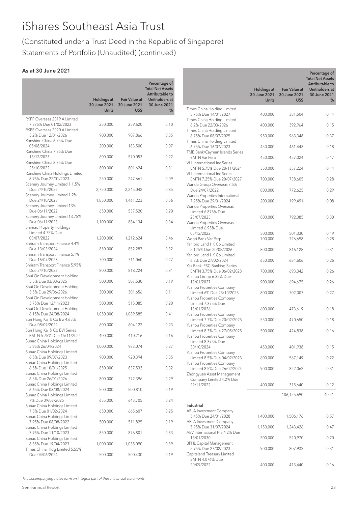# (Constituted under a Trust Deed in the Republic of Singapore) Statements of Portfolio (Unaudited) (continued)

# As at 30 June 2021

|                                                                                     |                                             |                                              | Percentage of<br><b>Total Net Assets</b><br>Attributable to |
|-------------------------------------------------------------------------------------|---------------------------------------------|----------------------------------------------|-------------------------------------------------------------|
|                                                                                     | Holdings at<br>30 June 2021<br><b>Units</b> | <b>Fair Value at</b><br>30 June 2021<br>US\$ | Unitholders at<br>30 June 2021<br>%                         |
| RKPF Overseas 2019 A Limited<br>7.875% Due 01/02/2023                               | 250,000                                     | 259,620                                      | 0.10                                                        |
| RKPF Overseas 2020 A Limited<br>5.2% Due 12/01/2026                                 | 900,000                                     | 907,866                                      | 0.35                                                        |
| Ronshine China 6.75% Due<br>05/08/2024                                              | 200,000                                     | 183,500                                      | 0.07                                                        |
| Ronshine China 7.35% Due<br>15/12/2023                                              | 600,000                                     | 570,053                                      | 0.22                                                        |
| Ronshine China 8.75% Due<br>25/10/2022                                              | 800,000                                     | 801,624                                      | 0.31                                                        |
| Ronshine China Holdings Limited<br>8.95% Due 22/01/2023                             | 250,000                                     | 247,661                                      | 0.09                                                        |
| Scenery Journey Limited 1 1.5%<br>Due 24/10/2022<br>Scenery Journey Limited 1 2%    | 2,750,000                                   | 2,245,042                                    | 0.85                                                        |
| Due 24/10/2023<br>Scenery Journey Limited 13%                                       | 1,850,000                                   | 1,461,223                                    | 0.56                                                        |
| Due 06/11/2022<br>Scenery Journey Limited 13.75%                                    | 650,000                                     | 537,520                                      | 0.20                                                        |
| Due 06/11/2023<br>Shimao Property Holdings                                          | 1,100,000                                   | 884,134                                      | 0.34                                                        |
| Limited 4.75% Due<br>03/07/2022                                                     | 1,200,000                                   | 1,212,624                                    | 0.46                                                        |
| Shriram Transport Finance 4.4%<br>Due 13/03/2024                                    | 850,000                                     | 852,287                                      | 0.32                                                        |
| Shriram Transport Finance 5.1%<br>Due 16/07/2023<br>Shriram Transport Finance 5.95% | 700,000                                     | 711,060                                      | 0.27                                                        |
| Due 24/10/2022<br>Shui On Development Holding                                       | 800,000                                     | 818,224                                      | 0.31                                                        |
| 5.5% Due 03/03/2025<br>Shui On Development Holding                                  | 500,000                                     | 507,530                                      | 0.19                                                        |
| 5.5% Due 29/06/2026<br>Shui On Development Holding                                  | 300,000                                     | 301,656                                      | 0.11                                                        |
| 5.75% Due 12/11/2023<br>Shui On Development Holding                                 | 500,000                                     | 515,085                                      | 0.20                                                        |
| 6.15% Due 24/08/2024<br>Sun Hung Kai & Co Bvi 4.65%                                 | 1,050,000                                   | 1,089,585                                    | 0.41                                                        |
| Due 08/09/2022<br>Sun Hung Kai & Co BVI Series                                      | 600,000                                     | 604,122                                      | 0.23                                                        |
| EMTN 5.75% Due 15/11/2024<br>Sunac China Holdings Limited                           | 400,000                                     | 410,216                                      | 0.16                                                        |
| 5.95% 26/04/2024<br>Sunac China Holdings Limited                                    | 1,000,000                                   | 983,074                                      | 0.37                                                        |
| 6.5% Due 09/07/2023<br>Sunac China Holdings Limited                                 | 900,000                                     | 920,394                                      | 0.35                                                        |
| 6.5% Due 10/01/2025<br>Sunac China Holdings Limited                                 | 850,000                                     | 837,533                                      | 0.32                                                        |
| 6.5% Due 26/01/2026<br>Sunac China Holdings Limited                                 | 800,000                                     | 772,396                                      | 0.29                                                        |
| 6.65% Due 03/08/2024<br>Sunac China Holdings Limited                                | 500,000                                     | 500,810                                      | 0.19                                                        |
| 7% Due 09/07/2025<br>Sunac China Holdings Limited                                   | 655,000                                     | 643,705                                      | 0.24                                                        |
| 7.5% Due 01/02/2024<br>Sunac China Holdings Limited                                 | 650,000                                     | 665,607                                      | 0.25                                                        |
| 7.95% Due 08/08/2022<br>Sunac China Holdings Limited                                | 500,000                                     | 511,825                                      | 0.19                                                        |
| 7.95% Due 11/10/2023<br>Sunac China Holdings Limited                                | 850,000                                     | 876,801                                      | 0.33                                                        |
| 8.35% Due 19/04/2023<br>Times China Hldg Limited 5.55%<br>Due 04/06/2024            | 1,000,000<br>500,000                        | 1,035,090<br>500,430                         | 0.39<br>0.19                                                |
|                                                                                     |                                             |                                              |                                                             |

|                                                                                       |                                                    |                                              | Percentage of<br><b>Total Net Assets</b><br>Attributable to |
|---------------------------------------------------------------------------------------|----------------------------------------------------|----------------------------------------------|-------------------------------------------------------------|
|                                                                                       | <b>Holdings at</b><br>30 June 2021<br><b>Units</b> | <b>Fair Value at</b><br>30 June 2021<br>US\$ | Unitholders at<br>30 June 2021<br>%                         |
| Times China Holding Limited<br>5.75% Due 14/01/2027                                   | 400,000                                            | 381,504                                      | 0.14                                                        |
| Times China Holding Limited<br>6.2% Due 22/03/2026                                    | 400,000                                            | 392,964                                      | 0.15                                                        |
| Times China Holding Limited<br>6.75% Due 08/07/2025                                   | 950,000                                            | 963,348                                      | 0.37                                                        |
| Times China Holding Limited<br>6.75% Due 16/07/2023                                   | 450,000                                            | 461,443                                      | 0.18                                                        |
| TMB Bank/Cayman Islands Series<br><b>EMTN Var Perp</b>                                | 450,000                                            | 457,024                                      | 0.17                                                        |
| <b>VLL</b> International Inc Series<br>EMTN 5.75% Due 28/11/2024                      | 350,000                                            | 357,224                                      | 0.14                                                        |
| VLL International Inc Series<br>EMTN 7.25% Due 20/07/2027                             | 700,000                                            | 738,605                                      | 0.28                                                        |
| Wanda Group Overseas 7.5%<br>Due 24/07/2022                                           | 800,000                                            | 772,625                                      | 0.29                                                        |
| Wanda Properties International<br>7.25% Due 29/01/2024                                | 200,000                                            | 199,491                                      | 0.08                                                        |
| Wanda Properties Overseas<br>Limited 6.875% Due                                       |                                                    |                                              |                                                             |
| 23/07/2023<br>Wanda Properties Overseas                                               | 800,000                                            | 792,085                                      | 0.30                                                        |
| Limited 6.95% Due<br>05/12/2022                                                       | 500,000                                            | 501,330                                      | 0.19                                                        |
| Woori Bank Var Perp<br>Yanlord Land HK Co Limited                                     | 700,000                                            | 726,698                                      | 0.28                                                        |
| 5.125% Due 20/05/2026<br>Yanlord Land HK Co Limited                                   | 800,000                                            | 816,128                                      | 0.31                                                        |
| 6.8% Due 27/02/2024<br>Yes Bank IFSC Banking Series                                   | 650,000                                            | 684,606                                      | 0.26                                                        |
| EMTN 3.75% Due 06/02/2023<br>Yuzhou Group 6.35% Due                                   | 700,000                                            | 693,342                                      | 0.26                                                        |
| 13/01/2027<br>Yuzhou Properties Company                                               | 900,000                                            | 694,675                                      | 0.26                                                        |
| Limited 6% Due 25/10/2023<br>Yuzhou Properties Company                                | 800,000                                            | 702,007                                      | 0.27                                                        |
| Limited 7.375% Due<br>13/01/2026                                                      | 600,000                                            | 473,619                                      | 0.18                                                        |
| Yuzhou Properties Company<br>Limited 7.7% Due 20/02/2025                              | 550,000                                            | 470,650                                      | 0.18                                                        |
| Yuzhou Properties Company<br>Limited 8.3% Due 27/05/2025                              | 500,000                                            | 424,838                                      | 0.16                                                        |
| Yuzhou Properties Company<br>Limited 8.375% Due                                       |                                                    |                                              |                                                             |
| 30/10/2024<br>Yuzhou Properties Company                                               | 450,000                                            | 401,938                                      | 0.15                                                        |
| Limited 8.5% Due 04/02/2023<br>Yuzhou Properties Company                              | 600,000                                            | 567,149                                      | 0.22                                                        |
| Limited 8.5% Due 26/02/2024<br>Zhongyuan Asset Management                             | 900,000                                            | 822,062                                      | 0.31                                                        |
| Company Limited 4.2% Due<br>29/11/2022                                                | 400,000                                            | 315,640                                      | 0.12                                                        |
|                                                                                       |                                                    | 106,155,690                                  | 40.41                                                       |
| Industrial                                                                            |                                                    |                                              |                                                             |
| ABJA Investment Company<br>5.45% Due 24/01/2028                                       | 1,400,000                                          | 1,506,176                                    | 0.57                                                        |
| ABJA Investment Company<br>5.95% Due 31/07/2024                                       | 1,150,000                                          | 1,243,426                                    | 0.47                                                        |
| AEV International Pte 4.2% Due<br>16/01/2030                                          | 500,000                                            | 520,970                                      | 0.20                                                        |
| <b>BPHL Capital Management</b><br>5.95% Due 27/02/2023<br>Capitaland Treasury Limited | 900,000                                            | 807,932                                      | 0.31                                                        |
| EMTN 4.076% Due<br>20/09/2022                                                         | 400,000                                            | 413,440                                      | 0.16                                                        |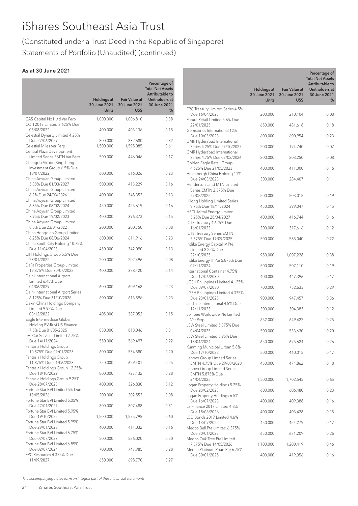# (Constituted under a Trust Deed in the Republic of Singapore) Statements of Portfolio (Unaudited) (continued)

# As at 30 June 2021

|                                                           | <b>Holdings at</b>           | <b>Fair Value at</b> | Percentage of<br><b>Total Net Assets</b><br>Attributable to<br><b>Unitholders at</b> |                                                            | Holdings at<br>30 June 2021<br><b>Units</b> |
|-----------------------------------------------------------|------------------------------|----------------------|--------------------------------------------------------------------------------------|------------------------------------------------------------|---------------------------------------------|
|                                                           | 30 June 2021<br><b>Units</b> | 30 June 2021<br>US\$ | 30 June 2021<br>%                                                                    | FPC Treasury Limited Series 4.5%                           |                                             |
| CAS Capital No1 Ltd Var Perp                              | 1,000,000                    | 1,006,810            | 0.38                                                                                 | Due 16/04/2023<br>Future Retail Limited 5.6% Due           | 200,000                                     |
| CCTI 2017 Limited 3.625% Due<br>08/08/2022                | 400,000                      | 403,136              | 0.15                                                                                 | 22/01/2025<br>Gemstones International 12%                  | 650,000                                     |
| Celestial Dynasty Limited 4.25%                           |                              |                      |                                                                                      | Due 10/03/2023                                             | 600,000                                     |
| Due 27/06/2029<br>Celestial Miles Var Perp                | 800,000<br>1,500,000         | 832,680<br>1,595,085 | 0.32<br>0.61                                                                         | GMR Hyderabad International<br>Series 4.25% Due 27/10/2027 | 200,000                                     |
| Central Plaza Development<br>Limited Series EMTN Var Perp | 500,000                      | 446,046              | 0.17                                                                                 | GMR Hyderabad International<br>Series 4.75% Due 02/02/2026 | 200,000                                     |
| Chengdu Airport Xingcheng<br>Investment Group 6.5% Due    |                              |                      |                                                                                      | Golden Eagle Retail Group<br>4.625% Due 21/05/2023         | 400,000                                     |
| 18/07/2022                                                | 600,000                      | 616,026              | 0.23                                                                                 | Helenbergh China Holding 11%                               |                                             |
| China Aoyuan Group Limited<br>5.88% Due 01/03/2027        | 500,000                      | 413,229              | 0.16                                                                                 | Due 24/03/2023<br>Henderson Land MTN Limited               | 300,000                                     |
| China Aoyuan Group Limited<br>6.2% Due 24/03/2026         | 400,000                      | 348,352              | 0.13                                                                                 | Series EMTN 2.375% Due<br>27/05/2025                       | 500,000                                     |
| China Aoyuan Group Limited<br>6.35% Due 08/02/2024        | 450,000                      | 425,619              | 0.16                                                                                 | Hilong Holding Limited Series<br>9.75% Due 18/11/2024      | 450,000                                     |
| China Aoyuan Group Limited<br>7.95% Due 19/02/2023        | 400,000                      | 396,373              | 0.15                                                                                 | HPCL-Mittal Energy Limited                                 |                                             |
| China Aoyuan Group Limited                                |                              |                      |                                                                                      | 5.25% Due 28/04/2027<br>ICTSI Treasury 4.625% Due          | 400,000                                     |
| 8.5% Due 23/01/2022<br>China Hongqiao Group Limited       | 200,000                      | 200,750              | 0.08                                                                                 | 16/01/2023<br><b>ICTSI Treasury Series EMTN</b>            | 300,000                                     |
| 6.25% Due 08/06/2024<br>China South City Holding 10.75%   | 600,000                      | 611,916              | 0.23                                                                                 | 5.875% Due 17/09/2025<br>Indika Energy Capital IV Pte      | 500,000                                     |
| Due 11/04/2023<br>CIFI Holdings Group 5.5% Due            | 450,000                      | 342,090              | 0.13                                                                                 | Limited 8.25% Due<br>22/10/2025                            | 950,000                                     |
| 23/01/2022                                                | 200,000                      | 202,496              | 0.08                                                                                 | Indika Energy III Pte 5.875% Due                           |                                             |
| DaFa Properties Group Limited<br>12.375% Due 30/07/2022   | 400,000                      | 378,420              | 0.14                                                                                 | 09/11/2024<br>International Container 4.75%                | 500,000                                     |
| Delhi International Airport<br>Limited 6.45% Due          |                              |                      |                                                                                      | Due 17/06/2030<br>JGSH Philippines Limited 4.125%          | 400,000                                     |
| 04/06/2029<br>Delhi International Airport Series          | 600,000                      | 609,168              | 0.23                                                                                 | Due 09/07/2030<br>JGSH Philippines Limited 4.375%          | 700,000                                     |
| 6.125% Due 31/10/2026                                     | 600,000                      | 613,596              | 0.23                                                                                 | Due 23/01/2023                                             | 900,000                                     |
| Dexin China Holdings Company<br>Limited 9.95% Due         |                              |                      |                                                                                      | Jinshine International 4.5% Due<br>12/11/2023              | 300,000                                     |
| 03/12/2022<br>Eagle Intermediate Global                   | 405,000                      | 387,052              | 0.15                                                                                 | Jollibee Worldwide Pte Limited<br>Var Perp                 | 652,000                                     |
| Holding BV-Ruyi US Finance<br>7.5% Due 01/05/2025         | 850,000                      | 818,046              | 0.31                                                                                 | JSW Steel Limited 5.375% Due<br>04/04/2025                 | 500,000                                     |
| eHi Car Services Limited 7.75%                            |                              |                      |                                                                                      | JSW Steel Limited 5.95% Due                                |                                             |
| Due 14/11/2024<br>Fantasia Holdings Group                 | 550,000                      | 569,497              | 0.22                                                                                 | 18/04/2024<br>Kunming Municipal Urban 5.8%                 | 650,000                                     |
| 10.875% Due 09/01/2023<br>Fantasia Holdings Group         | 600,000                      | 534,580              | 0.20                                                                                 | Due 17/10/2022<br>Lenovo Group Limited Series              | 500,000                                     |
| 11.875% Due 01/06/2023<br>Fantasia Holdings Group 12.25%  | 750,000                      | 659,401              | 0.25                                                                                 | EMTN 4.75% Due 29/03/2023<br>Lenovo Group Limited Series   | 450,000                                     |
| Due 18/10/2022                                            | 800,000                      | 727,132              | 0.28                                                                                 | EMTN 5.875% Due                                            |                                             |
| Fantasia Holdings Group 9.25%<br>Due 28/07/2023           | 400,000                      | 326,830              | 0.12                                                                                 | 24/04/2025<br>Logan Property Holdings 5.25%                | 1,500,000                                   |
| Fortune Star BVI Limited 5% Due<br>18/05/2026             | 200,000                      | 202,552              | 0.08                                                                                 | Due 23/02/2023<br>Logan Property Holdings 6.5%             | 600,000                                     |
| Fortune Star BVI Limited 5.05%<br>Due 27/01/2027          | 800,000                      | 807,488              | 0.31                                                                                 | Due 16/07/2023<br>LS Finance 2017 Limited 4.8%             | 400,000                                     |
| Fortune Star BVI Limited 5.95%                            |                              |                      |                                                                                      | Due 18/06/2026                                             | 400,000                                     |
| Due 19/10/2025<br>Fortune Star BVI Limited 5.95%          | 1,500,000                    | 1,575,795            | 0.60                                                                                 | LSD Bonds 2017 Limited 4.6%<br>Due 13/09/2022              | 450,000                                     |
| Due 29/01/2023<br>Fortune Star BVI Limited 6.75%          | 400,000                      | 411,032              | 0.16                                                                                 | Medco Bell Pte Limited 6.375%<br>Due 30/01/2027            | 650,000                                     |
| Due 02/07/2023<br>Fortune Star BVI Limited 6.85%          | 500,000                      | 526,020              | 0.20                                                                                 | Medco Oak Tree Pte LImited<br>7.375% Due 14/05/2026        | 1,100,000                                   |
| Due 02/07/2024                                            | 700,000                      | 747,985              | 0.28                                                                                 | Medco Platinum Road Pte 6.75%                              |                                             |
| FPC Resources 4.375% Due<br>11/09/2027                    | 650,000                      | 698,770              | 0.27                                                                                 | Due 30/01/2025                                             | 400,000                                     |
|                                                           |                              |                      |                                                                                      |                                                            |                                             |

Percentage of Total Net Assets Attributable to Unitholders at 30 June 2021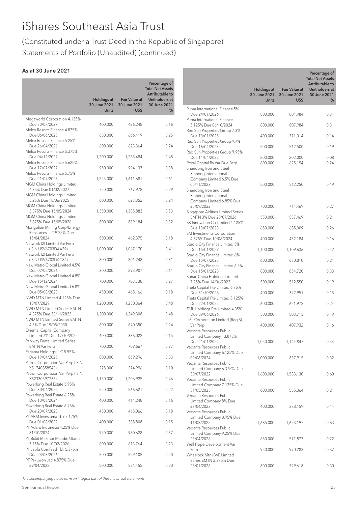# (Constituted under a Trust Deed in the Republic of Singapore) Statements of Portfolio (Unaudited) (continued)

## As at 30 June 2021

|                                                           |                                                    | <b>Fair Value at</b> | Percentage of<br><b>Total Net Assets</b><br>Attributable to |
|-----------------------------------------------------------|----------------------------------------------------|----------------------|-------------------------------------------------------------|
|                                                           | <b>Holdings at</b><br>30 June 2021<br><b>Units</b> | 30 June 2021<br>US\$ | Unitholders at<br>30 June 2021<br>%                         |
| Megaworld Corporation 4.125%<br>Due 30/07/2027            | 400,000                                            | 426,248              | 0.16                                                        |
| Melco Resorts Finance 4.875%<br>Due 06/06/2025            | 650,000                                            | 666,419              | 0.25                                                        |
| Melco Resorts Finance 5.25%<br>Due 26/04/2026             | 600,000                                            | 623,364              | 0.24                                                        |
| Melco Resorts Finance 5.375%<br>Due 04/12/2029            | 1,200,000                                          | 1,265,484            | 0.48                                                        |
| Melco Resorts Finance 5.625%<br>Due 17/07/2027            | 950,000                                            | 994,137              | 0.38                                                        |
| Melco Resorts Finance 5.75%<br>Due 21/07/2028             | 1,525,000                                          | 1,611,681            | 0.61                                                        |
| MGM China Holdings Limited<br>4.75% Due 01/02/2027        | 750,000                                            | 767,978              | 0.29                                                        |
| MGM China Holdings Limited<br>5.25% Due 18/06/2025        | 600,000                                            | 623,352              | 0.24                                                        |
| MGM China Holdings Limited<br>5.375% Due 15/05/2024       | 1,350,000                                          | 1,385,883            | 0.53                                                        |
| MGM China Holdings Limited<br>5.875% Due 15/05/2026       | 800,000                                            | 839,184              | 0.32                                                        |
| Mongolian Mining Corp/Energy<br>Resources LLC 9.25% Due   |                                                    |                      |                                                             |
| 15/04/2024<br>Network I2I Limited Var Perp                | 500,000                                            | 462,375              | 0.18                                                        |
| (ISIN USV6703DAA29)<br>Network I2I Limited Var Perp       | 1,000,000                                          | 1,067,170            | 0.41                                                        |
| (ISIN USV6703DAC84)<br>New Metro Global Limited 4.5%      | 800,000                                            | 801,248              | 0.31                                                        |
| Due 02/05/2026<br>New Metro Global Limited 4.8%           | 300,000                                            | 293,907              | 0.11                                                        |
| Due 15/12/2024<br>New Metro Global Limited 6.8%           | 700,000                                            | 703,738              | 0.27                                                        |
| Due 05/08/2023                                            | 450,000                                            | 468,166              | 0.18                                                        |
| NWD MTN Limited 4.125% Due<br>18/07/2029                  | 1,200,000                                          | 1,250,364            | 0.48                                                        |
| NWD MTN Limited Series EMTN<br>4.375% Due 30/11/2022      | 1,200,000                                          | 1,249,308            | 0.48                                                        |
| <b>NWD MTN Limited Series EMTN</b><br>4.5% Due 19/05/2030 | 600,000                                            | 640,350              | 0.24                                                        |
| Oriental Capital Company<br>Limited 7% Due 17/10/2022     | 400,000                                            | 386,022              | 0.15                                                        |
| Parkway Pantai Limited Series<br>EMTN Var Perp            | 700,000                                            | 709,667              | 0.27                                                        |
| Periama Holdings LLC 5.95%<br>Due 19/04/2026              | 800,000                                            | 869,296              | 0.33                                                        |
| Petron Corporation Var Perp (ISIN<br>XS1740858540)        | 275,000                                            | 274,996              | 0.10                                                        |
| Petron Corporation Var Perp (ISIN<br>XS2330597738)        | 1,150,000                                          | 1,206,925            | 0.46                                                        |
| Powerlong Real Estate 5.95%<br>Due 30/04/2025             | 550,000                                            | 566,621              | 0.22                                                        |
| Powerlong Real Estate 6.25%<br>Due 10/08/2024             | 400,000                                            | 414,248              | 0.16                                                        |
| Powerlong Real Estate 6.95%<br>Due 23/07/2023             | 450,000                                            | 465,066              | 0.18                                                        |
| PT ABM Investama Tbk 7.125%<br>Due 01/08/2022             | 400,000                                            | 388,808              | 0.15                                                        |
| PT Adaro Indonesia 4.25% Due<br>31/10/2024                | 950,000                                            | 980,628              | 0.37                                                        |
| PT Bukit Makmur Mandiri Utama<br>7.75% Due 10/02/2026     | 600,000                                            | 613,764              | 0.23                                                        |
| PT Japfa Comfeed Tbk 5.375%<br>Due 23/03/2026             | 500,000                                            | 529,105              | 0.20                                                        |
| PT Pakuwon Jati 4.875% Due<br>29/04/2028                  | 500,000                                            | 521,455              | 0.20                                                        |
|                                                           |                                                    |                      |                                                             |

|                                                                                                     | <b>Holdings at</b><br>30 June 2021<br><b>Units</b> | <b>Fair Value at</b><br>30 June 2021<br>US\$ | Percentage of<br><b>Total Net Assets</b><br>Attributable to<br><b>Unitholders at</b><br>30 June 2021<br>% |
|-----------------------------------------------------------------------------------------------------|----------------------------------------------------|----------------------------------------------|-----------------------------------------------------------------------------------------------------------|
| Puma International Finance 5%<br>Due 24/01/2026                                                     | 800,000                                            | 804,984                                      | 0.31                                                                                                      |
| Puma International Finance                                                                          |                                                    |                                              |                                                                                                           |
| 5.125% Due 06/10/2024<br>Red Sun Properties Group 7.3%                                              | 800,000                                            | 807,984                                      | 0.31                                                                                                      |
| Due 13/01/2025<br>Red Sun Properties Group 9.7%                                                     | 400,000                                            | 371,014                                      | 0.14                                                                                                      |
| Due 16/04/2023<br>Red Sun Properties Group 9.95%                                                    | 500,000                                            | 512,500                                      | 0.19                                                                                                      |
| Due 11/04/2022<br>Royal Capital Bv Var Due Perp<br>Shandong Iron and Steel<br>Xinheng International | 200,000<br>600,000                                 | 202,000<br>625,194                           | 0.08<br>0.24                                                                                              |
| Company Limited 6.5% Due<br>05/11/2023<br>Shandong Iron and Steel<br>Xinheng International          | 500,000                                            | 512,250                                      | 0.19                                                                                                      |
| Company Limited 6.85% Due<br>25/09/2022                                                             | 700,000                                            | 714,469                                      | 0.27                                                                                                      |
| Singapore Airlines Limited Series<br>EMTN 3% Due 20/07/2026                                         | 550,000                                            | 557,469                                      | 0.21                                                                                                      |
| SK Innovation Co Limited 4.125%<br>Due 13/07/2023                                                   | 650,000                                            | 685,009                                      | 0.26                                                                                                      |
| SM Investments Corporation<br>4.875% Due 10/06/2024                                                 | 400,000                                            | 432,184                                      | 0.16                                                                                                      |
| Studio City Finance Limited 5%<br>Due 15/01/2029                                                    | 1,100,000                                          | 1,109,636                                    | 0.42                                                                                                      |
| Studio City Finance Limited 6%<br>Due 15/07/2025                                                    | 600,000                                            | 630,810                                      | 0.24                                                                                                      |
| Studio City Finance Limited 6.5%<br>Due 15/01/2028                                                  | 800,000                                            | 854,720                                      | 0.33                                                                                                      |
| Sunac China Holdings Limited<br>7.25% Due 14/06/2022                                                | 500,000                                            | 512,550                                      | 0.19                                                                                                      |
| Theta Capital Pte Limited 6.75%<br>Due 31/10/2026                                                   | 400,000                                            | 392,951                                      | 0.15                                                                                                      |
| Theta Capital Pte Limited 8.125%<br>Due 22/01/2025                                                  | 600,000                                            | 621,972                                      | 0.24                                                                                                      |
| TML Holdings Pte Limited 4.35%<br>Due 09/06/2026                                                    | 500,000                                            | 503,715                                      | 0.19                                                                                                      |
| UPL Corporation Limited (Reg S)<br>Var Perp                                                         | 400,000                                            | 407,932                                      | 0.16                                                                                                      |
| Vedanta Resources Public<br>Limited Company 13.875%<br>Due 21/01/2024                               | 1,050,000                                          | 1,144,847                                    | 0.44                                                                                                      |
| Vedanta Resources Public<br>Limited Company 6.125% Due<br>09/08/2024                                | 1,000,000                                          | 837,915                                      | 0.32                                                                                                      |
| Vedanta Resources Public<br>Limited Company 6.375% Due<br>30/07/2022<br>Vedanta Resources Public    | 1,600,000                                          | 1,583,130                                    | 0.60                                                                                                      |
| Limited Company 7.125% Due<br>31/05/2023<br>Vedanta Resources Public                                | 600,000                                            | 555,364                                      | 0.21                                                                                                      |
| Limited Company 8% Due<br>23/04/2023<br>Vedanta Resources Public                                    | 400,000                                            | 378,159                                      | 0.14                                                                                                      |
| Limited Company 8.95% Due<br>11/03/2025<br>Vedanta Resources Public                                 | 1,685,000                                          | 1,653,197                                    | 0.63                                                                                                      |
| Limited Company 9.25% Due<br>23/04/2026                                                             | 650,000                                            | 571,877                                      | 0.22                                                                                                      |
| Well Hope Development Var<br>Perp<br>Wheelock Mtn (BVI) Limited                                     | 950,000                                            | 970,283                                      | 0.37                                                                                                      |
| Series EMTN 2.375% Due<br>25/01/2026                                                                | 800,000                                            | 799,618                                      | 0.30                                                                                                      |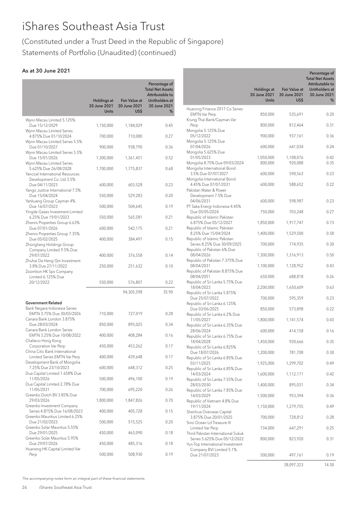# (Constituted under a Trust Deed in the Republic of Singapore) Statements of Portfolio (Unaudited) (continued)

# As at 30 June 2021

|                                                                                        |                                                    |                                              | Percentage of<br><b>Total Net Assets</b><br>Attributable to |
|----------------------------------------------------------------------------------------|----------------------------------------------------|----------------------------------------------|-------------------------------------------------------------|
|                                                                                        | <b>Holdings at</b><br>30 June 2021<br><b>Units</b> | <b>Fair Value at</b><br>30 June 2021<br>US\$ | Unitholders at<br>30 June 2021<br>%                         |
| Wynn Macau Limited 5.125%<br>Due 15/12/2029                                            | 1,150,000                                          | 1,184,029                                    | 0.45                                                        |
| Wynn Macau Limited Series<br>4.875% Due 01/10/2024                                     | 700,000                                            | 710,080                                      | 0.27                                                        |
| Wynn Macau Limited Series 5.5%<br>Due 01/10/2027                                       | 900,000                                            | 938,790                                      | 0.36                                                        |
| Wynn Macau Limited Series 5.5%<br>Due 15/01/2026                                       | 1,300,000                                          | 1,361,451                                    | 0.52                                                        |
| Wynn Macau Limited Series<br>5.625% Due 26/08/2028<br>Yancoal International Resources  | 1,700,000                                          | 1,775,837                                    | 0.68                                                        |
| Development Co. Ltd 3.5%<br>Due 04/11/2023                                             | 600,000                                            | 603,528                                      | 0.23                                                        |
| Yango Justice International 7.5%<br>Due 15/04/2024                                     | 550,000                                            | 529,283                                      | 0.20                                                        |
| Yankuang Group Cayman 4%<br>Due 16/07/2023                                             | 500,000                                            | 504,645                                      | 0.19                                                        |
| Yingde Gases Investment Limited<br>6.25% Due 19/01/2023                                | 550,000                                            | 565,581                                      | 0.21                                                        |
| Zhenro Properties Group 6.63%<br>Due 07/01/2026                                        | 600,000                                            | 542,175                                      | 0.21                                                        |
| Zhenro Properties Group 7.35%<br>Due 05/02/2025                                        | 400,000                                            | 384,497                                      | 0.15                                                        |
| Zhongliang Holdings Group<br>Company Limited 9.5% Due<br>29/07/2022                    | 400,000                                            | 376,558                                      | 0.14                                                        |
| Zhuhai Da Heng Qin Investment<br>3.8% Due 27/11/2022                                   | 250,000                                            | 251,632                                      | 0.10                                                        |
| Zoomlion HK Spv Company<br>Limited 6.125% Due<br>20/12/2022                            | 550,000                                            | 576,807                                      | 0.22                                                        |
|                                                                                        |                                                    | 94,305,598                                   | 35.90                                                       |
| <b>Government Related</b>                                                              |                                                    |                                              |                                                             |
| Bank Negara Indonesia Series<br>EMTN 3.75% Due 30/03/2026<br>Canara Bank London 3.875% | 710,000                                            | 727,019                                      | 0.28                                                        |
| Due 28/03/2024<br>Canara Bank London Series                                            | 850,000                                            | 895,025                                      | 0.34                                                        |
| EMTN 3.25% Due 10/08/2022<br>Chalieco Hong Kong                                        | 400,000                                            | 408,284                                      | 0.16                                                        |
| Corporation Var Perp<br>China Citic Bank International                                 | 450,000                                            | 453,262                                      | 0.17                                                        |
| Limited Series EMTN Var Perp<br>Development Bank of Mongolia                           | 400,000                                            | 439,648                                      | 0.17                                                        |
| 7.25% Due 23/10/2023<br>Dua Capital Limited 1.658% Due                                 | 600,000                                            | 648,312                                      | 0.25                                                        |
| 11/05/2026<br>Dua Capital Limited 2.78% Due                                            | 500,000                                            | 496,100                                      | 0.19                                                        |
| 11/05/2031<br>Greenko Dutch BV 3.85% Due                                               | 700,000                                            | 695,220                                      | 0.26                                                        |
| 29/03/2026<br>Greenko Investment Company                                               | 1,800,000                                          | 1,847,826                                    | 0.70                                                        |
| Series 4.875% Due 16/08/2023<br>Greenko Mauritius Limited 6.25%                        | 400,000                                            | 405,728                                      | 0.15                                                        |
| Due 21/02/2023<br>Greenko Solar Mauritius 5.55%                                        | 500,000                                            | 515,525                                      | 0.20                                                        |
| Due 29/01/2025<br>Greenko Solar Mauritius 5.95%                                        | 450,000                                            | 463,090                                      | 0.18                                                        |
| Due 29/07/2026<br>Huaneng HK Capital Limited Var                                       | 450,000                                            | 485,316                                      | 0.18                                                        |
| Perp                                                                                   | 500,000                                            | 508,930                                      | 0.19                                                        |

|                                                                  | <b>Holdings at</b><br>30 June 2021<br><b>Units</b> | <b>Fair Value at</b><br>30 June 2021 | Percentage of<br><b>Total Net Assets</b><br>Attributable to<br>Unitholders at<br>30 June 2021 |
|------------------------------------------------------------------|----------------------------------------------------|--------------------------------------|-----------------------------------------------------------------------------------------------|
|                                                                  |                                                    | US\$                                 | %                                                                                             |
| Huarong Finance 2017 Co Series<br><b>EMTN Var Perp</b>           | 850,000                                            | 535,691                              | 0.20                                                                                          |
| Krung Thai Bank/Cayman Var<br>Perp                               | 800,000                                            | 812,464                              | 0.31                                                                                          |
| Mongolia 5.125% Due<br>05/12/2022                                | 900,000                                            | 937,161                              | 0.36                                                                                          |
| Mongolia 5.125% Due<br>07/04/2026                                | 600,000                                            | 641,034                              | 0.24                                                                                          |
| Mongolia 5.625% Due                                              |                                                    |                                      |                                                                                               |
| 01/05/2023<br>Mongolia 8.75% Due 09/03/2024                      | 1,050,000<br>800,000                               | 1,108,076<br>920,088                 | 0.42<br>0.35                                                                                  |
| Mongolia International Bond<br>3.5% Due 07/07/2027               | 600,000                                            | 590,563                              | 0.23                                                                                          |
| Mongolia International Bond<br>4.45% Due 07/07/2031              | 600,000                                            | 588,652                              | 0.22                                                                                          |
| Pakistan Water & Power<br>Development 7.5% Due                   |                                                    |                                      |                                                                                               |
| 04/06/2031                                                       | 600,000                                            | 598,987                              | 0.23                                                                                          |
| PT Saka Energi Indonesia 4.45%<br>Due 05/05/2024                 | 750,000                                            | 703,248                              | 0.27                                                                                          |
| Republic of Islamic Pakistan<br>6.875% Due 05/12/2027            | 1,850,000                                          | 1,917,747                            | 0.73                                                                                          |
| Republic of Islamic Pakistan<br>8.25% Due 15/04/2024             | 1,400,000                                          | 1,529,500                            | 0.58                                                                                          |
| Republic of Islamic Pakistan<br>Series 8.25% Due 30/09/2025      | 700,000                                            | 774,935                              | 0.30                                                                                          |
| Republic of Pakistan 6% Due<br>08/04/2026                        | 1,300,000                                          | 1,316,913                            | 0.50                                                                                          |
| Republic of Pakistan 7.375% Due<br>08/04/2031                    | 1,100,000                                          | 1,128,952                            | 0.43                                                                                          |
| Republic of Pakistan 8.875% Due                                  |                                                    |                                      |                                                                                               |
| 08/04/2051<br>Republic of Sri Lanka 5.75% Due                    | 650,000                                            | 688,818                              | 0.26                                                                                          |
| 18/04/2023<br>Republic of Sri Lanka 5.875%                       | 2,200,000                                          | 1,650,609                            | 0.63                                                                                          |
| Due 25/07/2022<br>Republic of Sri Lanka 6.125%                   | 700,000                                            | 595,359                              | 0.23                                                                                          |
| Due 03/06/2025<br>Republic of Sri Lanka 6.2% Due                 | 850,000                                            | 573,898                              | 0.22                                                                                          |
| 11/05/2027<br>Republic of Sri Lanka 6.35% Due                    | 1,800,000                                          | 1,141,574                            | 0.43                                                                                          |
| 28/06/2024<br>Republic of Sri Lanka 6.75% Due                    | 600,000                                            | 414,158                              | 0.16                                                                                          |
| 18/04/2028                                                       | 1,450,000                                          | 920,666                              | 0.35                                                                                          |
| Republic of Sri Lanka 6.825%<br>Due 18/07/2026                   | 1,200,000                                          | 781,708                              | 0.30                                                                                          |
| Republic of Sri Lanka 6.85% Due<br>03/11/2025                    | 1,925,000                                          | 1,299,702                            | 0.49                                                                                          |
| Republic of Sri Lanka 6.85% Due<br>14/03/2024                    | 1,600,000                                          | 1,112,171                            | 0.42                                                                                          |
| Republic of Sri Lanka 7.55% Due<br>28/03/2030                    | 1,400,000                                          | 895,031                              | 0.34                                                                                          |
| Republic of Sri Lanka 7.85% Due<br>14/03/2029                    | 1,500,000                                          | 953,394                              | 0.36                                                                                          |
| Republic of Vietnam 4.8% Due<br>19/11/2024                       | 1,150,000                                          | 1,279,755                            | 0.49                                                                                          |
| Shenhua Overseas Capital                                         |                                                    |                                      |                                                                                               |
| 3.875% Due 20/01/2025<br>Sino Ocean Ld Treasure III              | 700,000                                            | 728,812                              | 0.28                                                                                          |
| Limited Var Perp<br>Third Pakistan International Sukuk           | 734,000                                            | 647,291                              | 0.25                                                                                          |
| Series 5.625% Due 05/12/2022<br>Yun-Top International Investment | 800,000                                            | 823,920                              | 0.31                                                                                          |
| Company BVI Limited 5.1%<br>Due 21/07/2023                       | 500,000                                            | 497,161                              | 0.19                                                                                          |
|                                                                  |                                                    | 38,097,323                           | 14.50                                                                                         |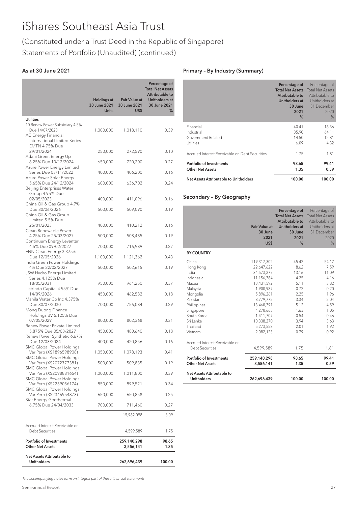# (Constituted under a Trust Deed in the Republic of Singapore) Statements of Portfolio (Unaudited) (continued)

## As at 30 June 2021

|                                                                                   | <b>Holdings at</b><br>30 June 2021<br><b>Units</b> | <b>Fair Value at</b><br>30 June 2021<br>US\$ | Percentage of<br><b>Total Net Assets</b><br><b>Attributable to</b><br>Unitholders at<br>30 June 2021<br>℅ |
|-----------------------------------------------------------------------------------|----------------------------------------------------|----------------------------------------------|-----------------------------------------------------------------------------------------------------------|
| <b>Utilities</b>                                                                  |                                                    |                                              |                                                                                                           |
| 10 Renew Power Subsidiary 4.5%<br>Due 14/07/2028<br>AC Energy Financial           | 1,000,000                                          | 1,018,110                                    | 0.39                                                                                                      |
| International Limited Series<br>EMTN 4.75% Due<br>29/01/2024                      | 250,000                                            | 272,590                                      | 0.10                                                                                                      |
| Adani Green Energy Up<br>6.25% Due 10/12/2024                                     | 650,000                                            | 720,200                                      | 0.27                                                                                                      |
| Azure Power Energy Limited<br>Series Due 03/11/2022                               | 400,000                                            | 406,200                                      | 0.16                                                                                                      |
| Azure Power Solar Energy<br>5.65% Due 24/12/2024                                  | 600,000                                            | 636,702                                      | 0.24                                                                                                      |
| Beijing Enterprises Water<br>Group 4.95% Due<br>02/05/2023                        | 400,000                                            | 411,096                                      | 0.16                                                                                                      |
| China Oil & Gas Group 4.7%<br>Due 30/06/2026                                      | 500,000                                            | 509,090                                      | 0.19                                                                                                      |
| China Oil & Gas Group<br>Limited 5.5% Due<br>25/01/2023                           | 400,000                                            | 410,212                                      | 0.16                                                                                                      |
| Clean Renewable Power<br>4.25% Due 25/03/2027                                     | 500,000                                            | 508,485                                      | 0.19                                                                                                      |
| Continuum Energy Levanter<br>4.5% Due 09/02/2027                                  | 700,000                                            | 716,989                                      | 0.27                                                                                                      |
| ENN Clean Energy 3.375%<br>Due 12/05/2026                                         | 1,100,000                                          | 1,121,362                                    | 0.43                                                                                                      |
| India Green Power Holdings<br>4% Due 22/02/2027<br>JSW Hydro Energy Limited       | 500,000                                            | 502,615                                      | 0.19                                                                                                      |
| Series 4.125% Due<br>18/05/2031                                                   | 950,000                                            | 964,250                                      | 0.37                                                                                                      |
| Listrindo Capital 4.95% Due<br>14/09/2026                                         | 450,000                                            | 462,582                                      | 0.18                                                                                                      |
| Manila Water Co Inc 4.375%<br>Due 30/07/2030<br>Mong Duong Finance                | 700,000                                            | 756,084                                      | 0.29                                                                                                      |
| Holdings BV 5.125% Due<br>07/05/2029<br>Renew Power Private Limited               | 800,000                                            | 802,368                                      | 0.31                                                                                                      |
| 5.875% Due 05/03/2027                                                             | 450,000                                            | 480,640                                      | 0.18                                                                                                      |
| Renew Power Synthetic 6.67%<br>Due 12/03/2024                                     | 400,000                                            | 420,856                                      | 0.16                                                                                                      |
| SMC Global Power Holdings<br>Var Perp (XS1896598908)<br>SMC Global Power Holdings | 1,050,000                                          | 1,078,193                                    | 0.41                                                                                                      |
| Var Perp (XS2072777381)<br>SMC Global Power Holdings                              | 500,000                                            | 509,835                                      | 0.19                                                                                                      |
| Var Perp (XS2098881654)<br>SMC Global Power Holdings                              | 1,000,000                                          | 1,011,800                                    | 0.39                                                                                                      |
| Var Perp (XS2239056174)<br>SMC Global Power Holdings                              | 850,000                                            | 899,521                                      | 0.34                                                                                                      |
| Var Perp (XS2346954873)<br>Star Energy Geothermal                                 | 650,000                                            | 650,858                                      | 0.25                                                                                                      |
| 6.75% Due 24/04/2033                                                              | 700,000                                            | 711,460                                      | 0.27                                                                                                      |
|                                                                                   |                                                    | 15,982,098                                   | 6.09                                                                                                      |
| Accrued Interest Receivable on<br><b>Debt Securities</b>                          |                                                    | 4,599,589                                    | 1.75                                                                                                      |
| <b>Portfolio of Investments</b><br><b>Other Net Assets</b>                        |                                                    | 259,140,298<br>3,556,141                     | 98.65<br>1.35                                                                                             |
| Net Assets Attributable to<br><b>Unitholders</b>                                  |                                                    | 262,696,439                                  | 100.00                                                                                                    |

### Primary – By Industry (Summary)

|                                                | Percentage of<br><b>Total Net Assets</b><br>Attributable to<br>Unitholders at<br>30 June<br>2021<br>% | Percentage of<br><b>Total Net Assets</b><br>Attributable to<br>Unitholders at<br>31 December<br>2020<br>% |
|------------------------------------------------|-------------------------------------------------------------------------------------------------------|-----------------------------------------------------------------------------------------------------------|
| Financial                                      | 40.41                                                                                                 | 16.36                                                                                                     |
| Industrial                                     | 35.90                                                                                                 | 64.11                                                                                                     |
| Government Related                             | 14.50                                                                                                 | 12.81                                                                                                     |
| <b>Utilities</b>                               | 6.09                                                                                                  | 4.32                                                                                                      |
| Accrued Interest Receivable on Debt Securities | 1.75                                                                                                  | 1.81                                                                                                      |
| Portfolio of Investments                       | 98.65                                                                                                 | 99.41                                                                                                     |
| <b>Other Net Assets</b>                        | 1.35                                                                                                  | 0.59                                                                                                      |
| Net Assets Attributable to Unitholders         | 100.00                                                                                                | 100.00                                                                                                    |

## Secondary – By Geography

|                                                                                                                                                                      | <b>Fair Value at</b><br>30 June<br>2021<br>US\$                                                                                                                                            | Percentage of<br><b>Total Net Assets</b><br>Attributable to<br>Unitholders at<br>30 June<br>2021<br>%          | Percentage of<br><b>Total Net Assets</b><br>Attributable to<br>Unitholders at<br>31 December<br>2020<br>%      |
|----------------------------------------------------------------------------------------------------------------------------------------------------------------------|--------------------------------------------------------------------------------------------------------------------------------------------------------------------------------------------|----------------------------------------------------------------------------------------------------------------|----------------------------------------------------------------------------------------------------------------|
| <b>BY COUNTRY</b>                                                                                                                                                    |                                                                                                                                                                                            |                                                                                                                |                                                                                                                |
| China<br>Hong Kong<br>India<br>Indonesia<br>Macau<br>Malaysia<br>Mongolia<br>Pakistan<br>Philippines<br>Singapore<br>South Korea<br>Sri Lanka<br>Thailand<br>Vietnam | 119,317,302<br>22,647,622<br>34,573,277<br>11,156,784<br>13,431,592<br>1,900,987<br>5,896,261<br>8,779,772<br>13,460,791<br>4,270,663<br>1,411,707<br>10,338,270<br>5,273,558<br>2,082,123 | 45.42<br>8.62<br>13.16<br>4.25<br>5.11<br>0.72<br>2.25<br>3.34<br>5.12<br>1.63<br>0.54<br>3.94<br>2.01<br>0.79 | 54.17<br>7.59<br>11.09<br>4.16<br>3.82<br>0.20<br>1.96<br>2.04<br>4.59<br>1.05<br>0.46<br>3.63<br>1.92<br>0.92 |
| Accrued Interest Receivable on<br>Debt Securities                                                                                                                    | 4,599,589                                                                                                                                                                                  | 1.75                                                                                                           | 1.81                                                                                                           |
| Portfolio of Investments<br><b>Other Net Assets</b>                                                                                                                  | 259,140,298<br>3,556,141                                                                                                                                                                   | 98.65<br>1.35                                                                                                  | 99.41<br>0.59                                                                                                  |
| Net Assets Attributable to<br><b>Unitholders</b>                                                                                                                     | 262.696.439                                                                                                                                                                                | 100.00                                                                                                         | 100.00                                                                                                         |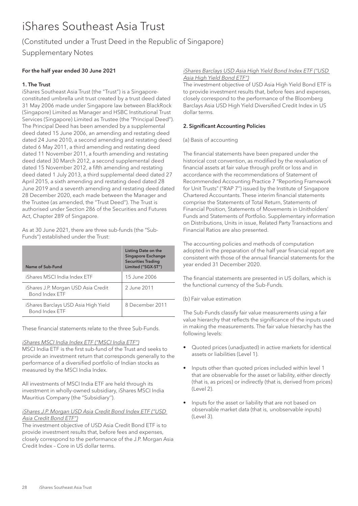# (Constituted under a Trust Deed in the Republic of Singapore)

Supplementary Notes

## For the half year ended 30 June 2021

## 1. The Trust

iShares Southeast Asia Trust (the "Trust") is a Singaporeconstituted umbrella unit trust created by a trust deed dated 31 May 2006 made under Singapore law between BlackRock (Singapore) Limited as Manager and HSBC Institutional Trust Services (Singapore) Limited as Trustee (the "Principal Deed"). The Principal Deed has been amended by a supplemental deed dated 15 June 2006, an amending and restating deed dated 24 June 2010, a second amending and restating deed dated 6 May 2011, a third amending and restating deed dated 11 November 2011, a fourth amending and restating deed dated 30 March 2012, a second supplemental deed dated 15 November 2012, a fifth amending and restating deed dated 1 July 2013, a third supplemental deed dated 27 April 2015, a sixth amending and restating deed dated 28 June 2019 and a seventh amending and restating deed dated 28 December 2020, each made between the Manager and the Trustee (as amended, the "Trust Deed"). The Trust is authorised under Section 286 of the Securities and Futures Act, Chapter 289 of Singapore.

As at 30 June 2021, there are three sub-funds (the "Sub-Funds") established under the Trust:

| Name of Sub-Fund                                              | Listing Date on the<br><b>Singapore Exchange</b><br><b>Securities Trading</b><br>Limited ("SGX-ST") |
|---------------------------------------------------------------|-----------------------------------------------------------------------------------------------------|
| iShares MSCI India Index ETF                                  | 15 June 2006                                                                                        |
| iShares J.P. Morgan USD Asia Credit<br>Bond Index FTF         | 2.June 2011                                                                                         |
| iShares Barclays USD Asia High Yield<br><b>Bond Index FTF</b> | 8 December 2011                                                                                     |

These financial statements relate to the three Sub-Funds.

#### iShares MSCI India Index ETF ("MSCI India ETF")

MSCI India ETF is the first sub-fund of the Trust and seeks to provide an investment return that corresponds generally to the performance of a diversified portfolio of Indian stocks as measured by the MSCI India Index.

All investments of MSCI India ETF are held through its investment in wholly-owned subsidiary, iShares MSCI India Mauritius Company (the "Subsidiary'').

## iShares J.P. Morgan USD Asia Credit Bond Index ETF ("USD Asia Credit Bond ETF")

The investment objective of USD Asia Credit Bond ETF is to provide investment results that, before fees and expenses, closely correspond to the performance of the J.P. Morgan Asia Credit Index – Core in US dollar terms.

#### iShares Barclays USD Asia High Yield Bond Index ETF ("USD Asia High Yield Bond ETF")

The investment objective of USD Asia High Yield Bond ETF is to provide investment results that, before fees and expenses, closely correspond to the performance of the Bloomberg Barclays Asia USD High Yield Diversified Credit Index in US dollar terms.

### 2. Significant Accounting Policies

### (a) Basis of accounting

The financial statements have been prepared under the historical cost convention, as modified by the revaluation of financial assets at fair value through profit or loss and in accordance with the recommendations of Statement of Recommended Accounting Practice 7 "Reporting Framework for Unit Trusts" ("RAP 7") issued by the Institute of Singapore Chartered Accountants. These interim financial statements comprise the Statements of Total Return, Statements of Financial Position, Statements of Movements in Unitholders' Funds and Statements of Portfolio. Supplementary information on Distributions, Units in issue, Related Party Transactions and Financial Ratios are also presented.

The accounting policies and methods of computation adopted in the preparation of the half year financial report are consistent with those of the annual financial statements for the year ended 31 December 2020.

The financial statements are presented in US dollars, which is the functional currency of the Sub-Funds.

### (b) Fair value estimation

The Sub-Funds classify fair value measurements using a fair value hierarchy that reflects the significance of the inputs used in making the measurements. The fair value hierarchy has the following levels:

- Quoted prices (unadjusted) in active markets for identical assets or liabilities (Level 1).
- Inputs other than quoted prices included within level 1 that are observable for the asset or liability, either directly (that is, as prices) or indirectly (that is, derived from prices) (Level 2).
- Inputs for the asset or liability that are not based on observable market data (that is, unobservable inputs) (Level 3).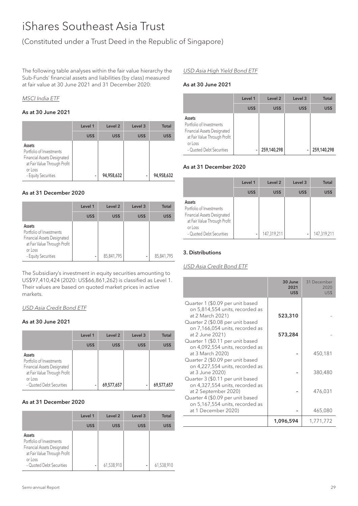# (Constituted under a Trust Deed in the Republic of Singapore)

The following table analyses within the fair value hierarchy the Sub-Funds' financial assets and liabilities (by class) measured at fair value at 30 June 2021 and 31 December 2020:

#### MSCI India ETF

## As at 30 June 2021

|                                                                                                                                     | Level 1 | Level <sub>2</sub> | Level 3 | <b>Total</b> |
|-------------------------------------------------------------------------------------------------------------------------------------|---------|--------------------|---------|--------------|
|                                                                                                                                     | US\$    | US\$               | US\$    | US\$         |
| Assets<br>Portfolio of Investments<br>Financial Assets Designated<br>at Fair Value Through Profit<br>or Loss<br>- Equity Securities | -       | 94,958,632         | -       | 94,958,632   |

#### As at 31 December 2020

|                                                                                                                                     | Level 1 | Level <sub>2</sub> | Level 3 | <b>Total</b> |
|-------------------------------------------------------------------------------------------------------------------------------------|---------|--------------------|---------|--------------|
|                                                                                                                                     | US\$    | US\$               | US\$    | US\$         |
| Assets<br>Portfolio of Investments<br>Financial Assets Designated<br>at Fair Value Through Profit<br>or Loss<br>- Equity Securities | -       | 85,841,795         | ۰       | 85,841,795   |

The Subsidiary's investment in equity securities amounting to US\$97,410,424 (2020: US\$66,861,262) is classified as Level 1. Their values are based on quoted market prices in active markets.

## USD Asia Credit Bond ETF

#### As at 30 June 2021

|                                                                                                                                          | Level 1 | Level <sub>2</sub> | Level <sub>3</sub> | <b>Total</b> |
|------------------------------------------------------------------------------------------------------------------------------------------|---------|--------------------|--------------------|--------------|
|                                                                                                                                          | US\$    | US\$               | US\$               | US\$         |
| Assets<br>Portfolio of Investments<br>Financial Assets Designated<br>at Fair Value Through Profit<br>or Loss<br>- Quoted Debt Securities | -       | 69,577,657         |                    | 69,577,657   |

#### As at 31 December 2020

|                                                                                                                                          | Level 1 | Level <sub>2</sub> | Level 3 | <b>Total</b> |
|------------------------------------------------------------------------------------------------------------------------------------------|---------|--------------------|---------|--------------|
|                                                                                                                                          | US\$    | US\$               | US\$    | US\$         |
| Assets<br>Portfolio of Investments<br>Financial Assets Designated<br>at Fair Value Through Profit<br>or Loss<br>- Quoted Debt Securities | ۰       | 61,538,910         | ۰       | 61,538,910   |

#### USD Asia High Yield Bond ETF

#### As at 30 June 2021

|                                                                                                                                                 | Level 1 | Level <sub>2</sub> | Level 3 | <b>Total</b> |
|-------------------------------------------------------------------------------------------------------------------------------------------------|---------|--------------------|---------|--------------|
|                                                                                                                                                 | US\$    | US\$               | US\$    | US\$         |
| Assets<br>Portfolio of Investments<br><b>Financial Assets Designated</b><br>at Fair Value Through Profit<br>or Loss<br>- Quoted Debt Securities |         | 259,140,298        |         | 259,140,298  |

#### As at 31 December 2020

|                                                                                                                                          | Level 1 | Level 2     | Level <sub>3</sub> | <b>Total</b> |
|------------------------------------------------------------------------------------------------------------------------------------------|---------|-------------|--------------------|--------------|
|                                                                                                                                          | US\$    | US\$        | US\$               | US\$         |
| Assets<br>Portfolio of Investments<br>Financial Assets Designated<br>at Fair Value Through Profit<br>or Loss<br>- Quoted Debt Securities | ۰       | 147,319,211 |                    | 147,319,211  |

#### 3. Distributions

### USD Asia Credit Bond ETF

|                                                                                                                             | 30 June<br>2021<br>US\$ | 31 December<br>2020<br>US\$ |
|-----------------------------------------------------------------------------------------------------------------------------|-------------------------|-----------------------------|
| Quarter 1 (\$0.09 per unit based<br>on 5,814,554 units, recorded as<br>at 2 March 2021)<br>Quarter 2 (\$0.08 per unit based | 523,310                 |                             |
| on 7,166,054 units, recorded as<br>at 2 June 2021)<br>Quarter 1 (\$0.11 per unit based                                      | 573,284                 |                             |
| on 4,092,554 units, recorded as<br>at 3 March 2020)<br>Quarter 2 (\$0.09 per unit based                                     |                         | 450,181                     |
| on 4,227,554 units, recorded as<br>at 3 June 2020)<br>Quarter 3 (\$0.11 per unit based                                      |                         | 380,480                     |
| on 4,327,554 units, recorded as<br>at 2 September 2020)<br>Quarter 4 (\$0.09 per unit based                                 |                         | 476,031                     |
| on 5,167,554 units, recorded as<br>at 1 December 2020)                                                                      |                         | 465,080                     |
|                                                                                                                             | 1,096,594               | 1,771,772                   |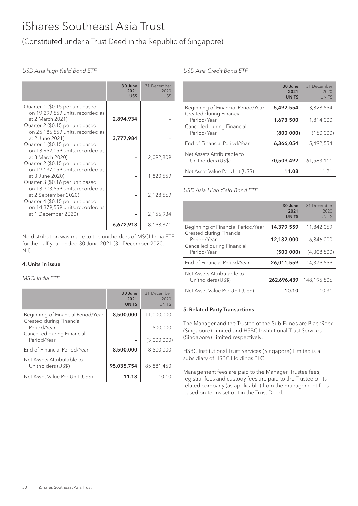# (Constituted under a Trust Deed in the Republic of Singapore)

### USD Asia High Yield Bond ETF

|                                                                                                                              | 30 June<br>2021<br>US\$ | 31 December<br>2020<br>US\$ |
|------------------------------------------------------------------------------------------------------------------------------|-------------------------|-----------------------------|
| Quarter 1 (\$0.15 per unit based<br>on 19,299,559 units, recorded as<br>at 2 March 2021)<br>Quarter 2 (\$0.15 per unit based | 2,894,934               |                             |
| on 25,186,559 units, recorded as<br>at 2 June 2021)<br>Quarter 1 (\$0.15 per unit based                                      | 3,777,984               |                             |
| on 13,952,059 units, recorded as<br>at 3 March 2020)<br>Quarter 2 (\$0.15 per unit based                                     |                         | 2,092,809                   |
| on 12,137,059 units, recorded as<br>at 3 June 2020)<br>Quarter 3 (\$0.16 per unit based                                      |                         | 1,820,559                   |
| on 13,303,559 units, recorded as<br>at 2 September 2020)<br>Quarter 4 (\$0.15 per unit based                                 |                         | 2,128,569                   |
| on 14,379,559 units, recorded as<br>at 1 December 2020)                                                                      |                         | 2,156,934                   |
|                                                                                                                              | 6,672,918               | 8,198,871                   |

No distribution was made to the unitholders of MSCI India ETF for the half year ended 30 June 2021 (31 December 2020: Nil).

#### 4. Units in issue

#### MSCI India ETF

|                                                                | 30 June<br>2021<br><b>UNITS</b> | 31 December<br>2020<br><b>UNITS</b> |
|----------------------------------------------------------------|---------------------------------|-------------------------------------|
| Beginning of Financial Period/Year<br>Created during Financial | 8,500,000                       | 11,000,000                          |
| Period/Year<br>Cancelled during Financial                      |                                 | 500,000                             |
| Period/Year                                                    |                                 | (3,000,000)                         |
| End of Financial Period/Year                                   | 8,500,000                       | 8,500,000                           |
| Net Assets Attributable to<br>Unitholders (US\$)               | 95,035,754                      | 85,881,450                          |
| Net Asset Value Per Unit (US\$)                                | 11.18                           | 10.10                               |

#### USD Asia Credit Bond ETF

|                                                                | 30 June<br>2021<br><b>UNITS</b> | 31 December<br>2020<br><b>UNITS</b> |
|----------------------------------------------------------------|---------------------------------|-------------------------------------|
| Beginning of Financial Period/Year<br>Created during Financial | 5,492,554                       | 3,828,554                           |
| Period/Year<br>Cancelled during Financial                      | 1,673,500                       | 1,814,000                           |
| Period/Year                                                    | (800,000)                       | (150,000)                           |
| End of Financial Period/Year                                   | 6,366,054                       | 5,492,554                           |
| Net Assets Attributable to<br>Unitholders (US\$)               | 70,509,492                      | 61,563,111                          |
| Net Asset Value Per Unit (US\$)                                | 11.08                           | 11 21                               |

#### USD Asia High Yield Bond ETF

|                                                                | 30 June<br>2021<br><b>UNITS</b> | 31 December<br>2020<br><b>UNITS</b> |
|----------------------------------------------------------------|---------------------------------|-------------------------------------|
| Beginning of Financial Period/Year<br>Created during Financial | 14,379,559                      | 11,842,059                          |
| Period/Year<br>Cancelled during Financial<br>Period/Year       | 12,132,000<br>(500.000)         | 6,846,000<br>(4,308,500)            |
|                                                                |                                 |                                     |
| End of Financial Period/Year                                   | 26,011,559                      | 14.379.559                          |
| Net Assets Attributable to<br>Unitholders (US\$)               | 262,696,439                     | 148,195,506                         |
| Net Asset Value Per Unit (US\$)                                | 10.10                           | 10.31                               |

#### 5. Related Party Transactions

The Manager and the Trustee of the Sub-Funds are BlackRock (Singapore) Limited and HSBC Institutional Trust Services (Singapore) Limited respectively.

HSBC Institutional Trust Services (Singapore) Limited is a subsidiary of HSBC Holdings PLC.

Management fees are paid to the Manager. Trustee fees, registrar fees and custody fees are paid to the Trustee or its related company (as applicable) from the management fees based on terms set out in the Trust Deed.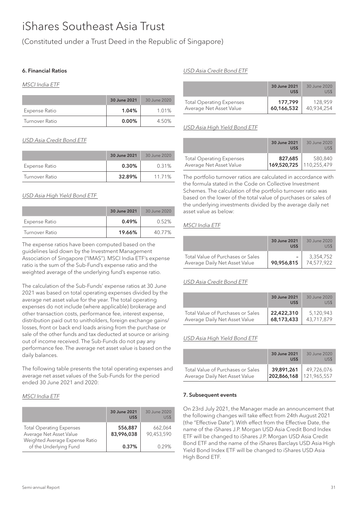(Constituted under a Trust Deed in the Republic of Singapore)

### 6. Financial Ratios

#### MSCI India ETF

|                | 30 June 2021 | 30 June 2020 |
|----------------|--------------|--------------|
| Expense Ratio  | 1.04%        | 1.01%        |
| Turnover Ratio | 0.00%        | 4.50%        |

## USD Asia Credit Bond ETF

|                | 30 June 2021 | 30 June 2020 |
|----------------|--------------|--------------|
| Expense Ratio  | 0.30%        | 0.31%        |
| Turnover Ratio | 32.89%       | 11 7 1 %     |

## USD Asia High Yield Bond ETF

|                | 30 June 2021 | 30 June 2020 |
|----------------|--------------|--------------|
| Expense Ratio  | 0.49%        | 0.52%        |
| Turnover Ratio | 19.66%       | 40 77%       |

The expense ratios have been computed based on the guidelines laid down by the Investment Management Association of Singapore ("IMAS"). MSCI India ETF's expense ratio is the sum of the Sub-Fund's expense ratio and the weighted average of the underlying fund's expense ratio.

The calculation of the Sub-Funds' expense ratios at 30 June 2021 was based on total operating expenses divided by the average net asset value for the year. The total operating expenses do not include (where applicable) brokerage and other transaction costs, performance fee, interest expense, distribution paid out to unitholders, foreign exchange gains/ losses, front or back end loads arising from the purchase or sale of the other funds and tax deducted at source or arising out of income received. The Sub-Funds do not pay any performance fee. The average net asset value is based on the daily balances.

The following table presents the total operating expenses and average net asset values of the Sub-Funds for the period ended 30 June 2021 and 2020:

### MSCI India ETF

|                                                                                              | 30 June 2021<br>US\$  | 30 June 2020<br>US\$  |
|----------------------------------------------------------------------------------------------|-----------------------|-----------------------|
| <b>Total Operating Expenses</b><br>Average Net Asset Value<br>Weighted Average Expense Ratio | 556,887<br>83,996,038 | 662,064<br>90,453,590 |
| of the Underlying Fund                                                                       | 0.37%                 | በ 29%                 |

## USD Asia Credit Bond ETF

|                                 | 30 June 2021<br>US\$ | 30 June 2020<br>US\$ |
|---------------------------------|----------------------|----------------------|
| <b>Total Operating Expenses</b> | 177.799              | 128.959              |
| Average Net Asset Value         | 60,166,532           | 40,934,254           |

### USD Asia High Yield Bond ETF

|                                                            | 30 June 2021<br>US\$               | 30 June 2020<br>US\$ |
|------------------------------------------------------------|------------------------------------|----------------------|
| <b>Total Operating Expenses</b><br>Average Net Asset Value | 827,685<br>169,520,725 110,255,479 | 580,840              |

The portfolio turnover ratios are calculated in accordance with the formula stated in the Code on Collective Investment Schemes. The calculation of the portfolio turnover ratio was based on the lower of the total value of purchases or sales of the underlying investments divided by the average daily net asset value as below:

# MSCI India ETF

|                                                                    | 30 June 2021<br>US\$ | 30 June 2020            |
|--------------------------------------------------------------------|----------------------|-------------------------|
| Total Value of Purchases or Sales<br>Average Daily Net Asset Value | 90,956,815           | 3.354.752<br>74.577.922 |

### USD Asia Credit Bond ETF

|                                   | 30 June 2021<br>US\$ | 30 June 2020<br>US\$ |
|-----------------------------------|----------------------|----------------------|
| Total Value of Purchases or Sales | 22,422,310           | 5,120,943            |
| Average Daily Net Asset Value     | 68,173,433           | 43.717.879           |

### USD Asia High Yield Bond ETF

|                                   | 30 June 2021<br>US\$ | 30 June 2020<br>US\$ |
|-----------------------------------|----------------------|----------------------|
| Total Value of Purchases or Sales | 39,891,261           | 49,726,076           |
| Average Daily Net Asset Value     | 202,866,168          | 121.965.557          |

### 7. Subsequent events

On 23rd July 2021, the Manager made an announcement that the following changes will take effect from 24th August 2021 (the "Effective Date"). With effect from the Effective Date, the name of the iShares J.P. Morgan USD Asia Credit Bond Index ETF will be changed to iShares J.P. Morgan USD Asia Credit Bond ETF and the name of the iShares Barclays USD Asia High Yield Bond Index ETF will be changed to iShares USD Asia High Bond ETF.